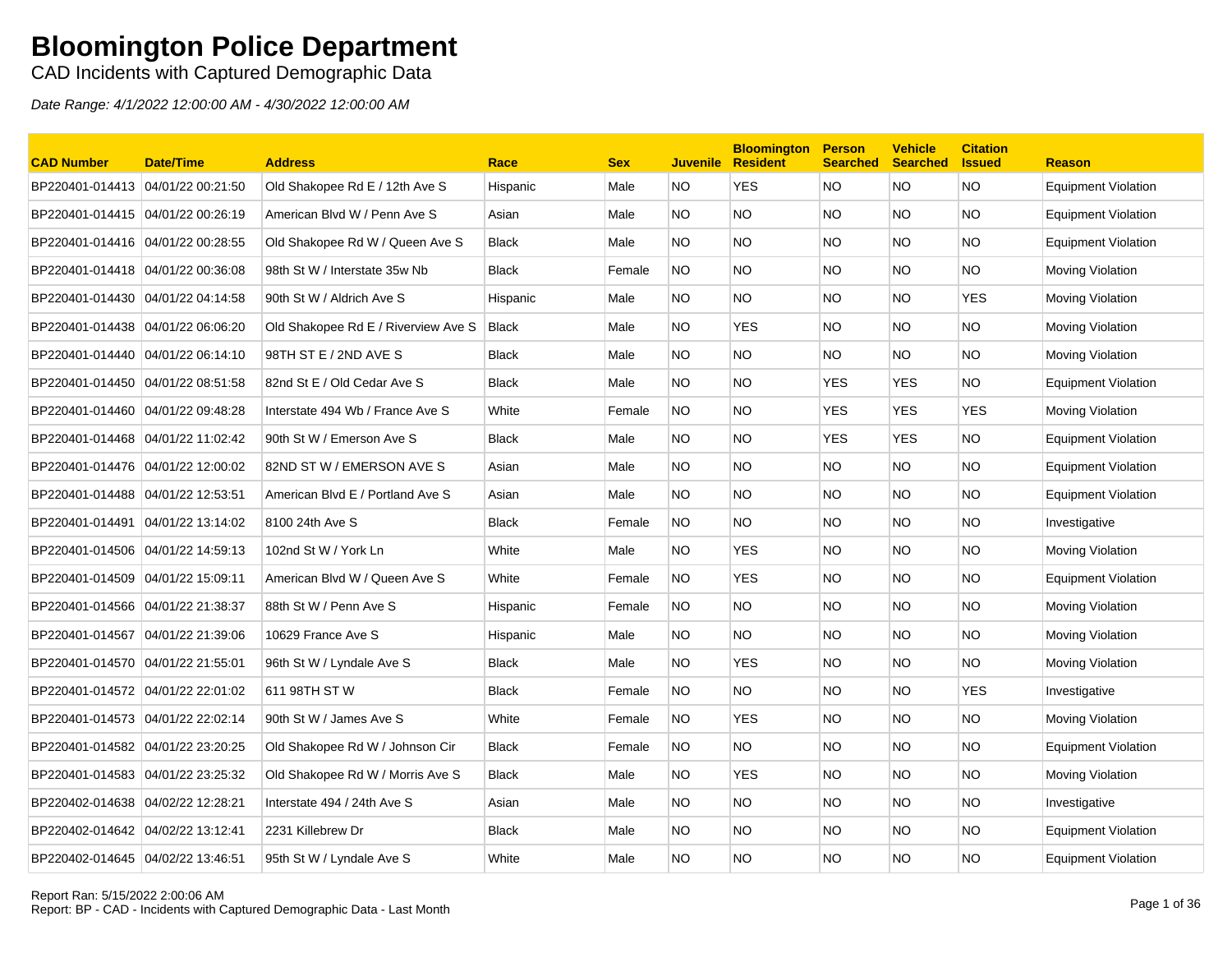CAD Incidents with Captured Demographic Data

| <b>CAD Number</b>                 | Date/Time         | <b>Address</b>                      | Race         | <b>Sex</b> | <b>Juvenile</b> | <b>Bloomington</b><br><b>Resident</b> | <b>Person</b><br><b>Searched</b> | <b>Vehicle</b><br><b>Searched</b> | <b>Citation</b><br><b>Issued</b> | <b>Reason</b>              |
|-----------------------------------|-------------------|-------------------------------------|--------------|------------|-----------------|---------------------------------------|----------------------------------|-----------------------------------|----------------------------------|----------------------------|
| BP220401-014413 04/01/22 00:21:50 |                   | Old Shakopee Rd E / 12th Ave S      | Hispanic     | Male       | NO.             | <b>YES</b>                            | <b>NO</b>                        | <b>NO</b>                         | <b>NO</b>                        | <b>Equipment Violation</b> |
| BP220401-014415 04/01/22 00:26:19 |                   | American Blvd W / Penn Ave S        | Asian        | Male       | NO.             | <b>NO</b>                             | <b>NO</b>                        | NO.                               | <b>NO</b>                        | <b>Equipment Violation</b> |
| BP220401-014416 04/01/22 00:28:55 |                   | Old Shakopee Rd W / Queen Ave S     | <b>Black</b> | Male       | NO.             | <b>NO</b>                             | <b>NO</b>                        | NO.                               | <b>NO</b>                        | <b>Equipment Violation</b> |
| BP220401-014418 04/01/22 00:36:08 |                   | 98th St W / Interstate 35w Nb       | <b>Black</b> | Female     | NO.             | NO.                                   | <b>NO</b>                        | NO.                               | NO.                              | Moving Violation           |
| BP220401-014430 04/01/22 04:14:58 |                   | 90th St W / Aldrich Ave S           | Hispanic     | Male       | NO.             | NO.                                   | <b>NO</b>                        | NO.                               | <b>YES</b>                       | Moving Violation           |
| BP220401-014438 04/01/22 06:06:20 |                   | Old Shakopee Rd E / Riverview Ave S | <b>Black</b> | Male       | NO.             | YES                                   | <b>NO</b>                        | NO.                               | NO.                              | Moving Violation           |
| BP220401-014440 04/01/22 06:14:10 |                   | 98TH ST E / 2ND AVE S               | <b>Black</b> | Male       | NO.             | <b>NO</b>                             | <b>NO</b>                        | NO.                               | <b>NO</b>                        | Moving Violation           |
| BP220401-014450 04/01/22 08:51:58 |                   | 82nd St E / Old Cedar Ave S         | <b>Black</b> | Male       | NO.             | <b>NO</b>                             | <b>YES</b>                       | <b>YES</b>                        | <b>NO</b>                        | <b>Equipment Violation</b> |
| BP220401-014460 04/01/22 09:48:28 |                   | Interstate 494 Wb / France Ave S    | White        | Female     | <b>NO</b>       | <b>NO</b>                             | <b>YES</b>                       | <b>YES</b>                        | <b>YES</b>                       | Moving Violation           |
| BP220401-014468                   | 04/01/22 11:02:42 | 90th St W / Emerson Ave S           | <b>Black</b> | Male       | NO.             | <b>NO</b>                             | <b>YES</b>                       | <b>YES</b>                        | <b>NO</b>                        | <b>Equipment Violation</b> |
| BP220401-014476 04/01/22 12:00:02 |                   | 82ND ST W / EMERSON AVE S           | Asian        | Male       | NO.             | <b>NO</b>                             | <b>NO</b>                        | NO.                               | <b>NO</b>                        | <b>Equipment Violation</b> |
| BP220401-014488 04/01/22 12:53:51 |                   | American Blvd E / Portland Ave S    | Asian        | Male       | NO.             | NO.                                   | <b>NO</b>                        | NO.                               | NO.                              | <b>Equipment Violation</b> |
| BP220401-014491                   | 04/01/22 13:14:02 | 8100 24th Ave S                     | <b>Black</b> | Female     | NO.             | NO.                                   | <b>NO</b>                        | NO.                               | NO.                              | Investigative              |
| BP220401-014506                   | 04/01/22 14:59:13 | 102nd St W / York Ln                | White        | Male       | NO.             | <b>YES</b>                            | <b>NO</b>                        | NO.                               | <b>NO</b>                        | Moving Violation           |
| BP220401-014509 04/01/22 15:09:11 |                   | American Blvd W / Queen Ave S       | White        | Female     | NO.             | <b>YES</b>                            | <b>NO</b>                        | NO.                               | <b>NO</b>                        | <b>Equipment Violation</b> |
|                                   |                   | 88th St W / Penn Ave S              | Hispanic     | Female     | NO.             | NO.                                   | NO.                              | NO.                               | NO.                              | Moving Violation           |
| BP220401-014567                   | 04/01/22 21:39:06 | 10629 France Ave S                  | Hispanic     | Male       | NO.             | <b>NO</b>                             | <b>NO</b>                        | NO.                               | <b>NO</b>                        | Moving Violation           |
| BP220401-014570 04/01/22 21:55:01 |                   | 96th St W / Lyndale Ave S           | <b>Black</b> | Male       | NO.             | <b>YES</b>                            | <b>NO</b>                        | NO.                               | <b>NO</b>                        | Moving Violation           |
| BP220401-014572 04/01/22 22:01:02 |                   | 611 98TH ST W                       | <b>Black</b> | Female     | NO.             | NO.                                   | <b>NO</b>                        | NO.                               | <b>YES</b>                       | Investigative              |
| BP220401-014573 04/01/22 22:02:14 |                   | 90th St W / James Ave S             | White        | Female     | NO.             | <b>YES</b>                            | <b>NO</b>                        | NO.                               | NO.                              | Moving Violation           |
| BP220401-014582                   | 04/01/22 23:20:25 | Old Shakopee Rd W / Johnson Cir     | Black        | Female     | <b>NO</b>       | <b>NO</b>                             | <b>NO</b>                        | NO.                               | <b>NO</b>                        | <b>Equipment Violation</b> |
| BP220401-014583 04/01/22 23:25:32 |                   | Old Shakopee Rd W / Morris Ave S    | <b>Black</b> | Male       | NO.             | <b>YES</b>                            | <b>NO</b>                        | NO.                               | <b>NO</b>                        | Moving Violation           |
| BP220402-014638 04/02/22 12:28:21 |                   | Interstate 494 / 24th Ave S         | Asian        | Male       | NO.             | <b>NO</b>                             | <b>NO</b>                        | NO.                               | <b>NO</b>                        | Investigative              |
| BP220402-014642 04/02/22 13:12:41 |                   | 2231 Killebrew Dr                   | <b>Black</b> | Male       | NO.             | <b>NO</b>                             | <b>NO</b>                        | NO.                               | <b>NO</b>                        | <b>Equipment Violation</b> |
| BP220402-014645 04/02/22 13:46:51 |                   | 95th St W / Lyndale Ave S           | White        | Male       | NO.             | NO                                    | <b>NO</b>                        | NO.                               | <b>NO</b>                        | <b>Equipment Violation</b> |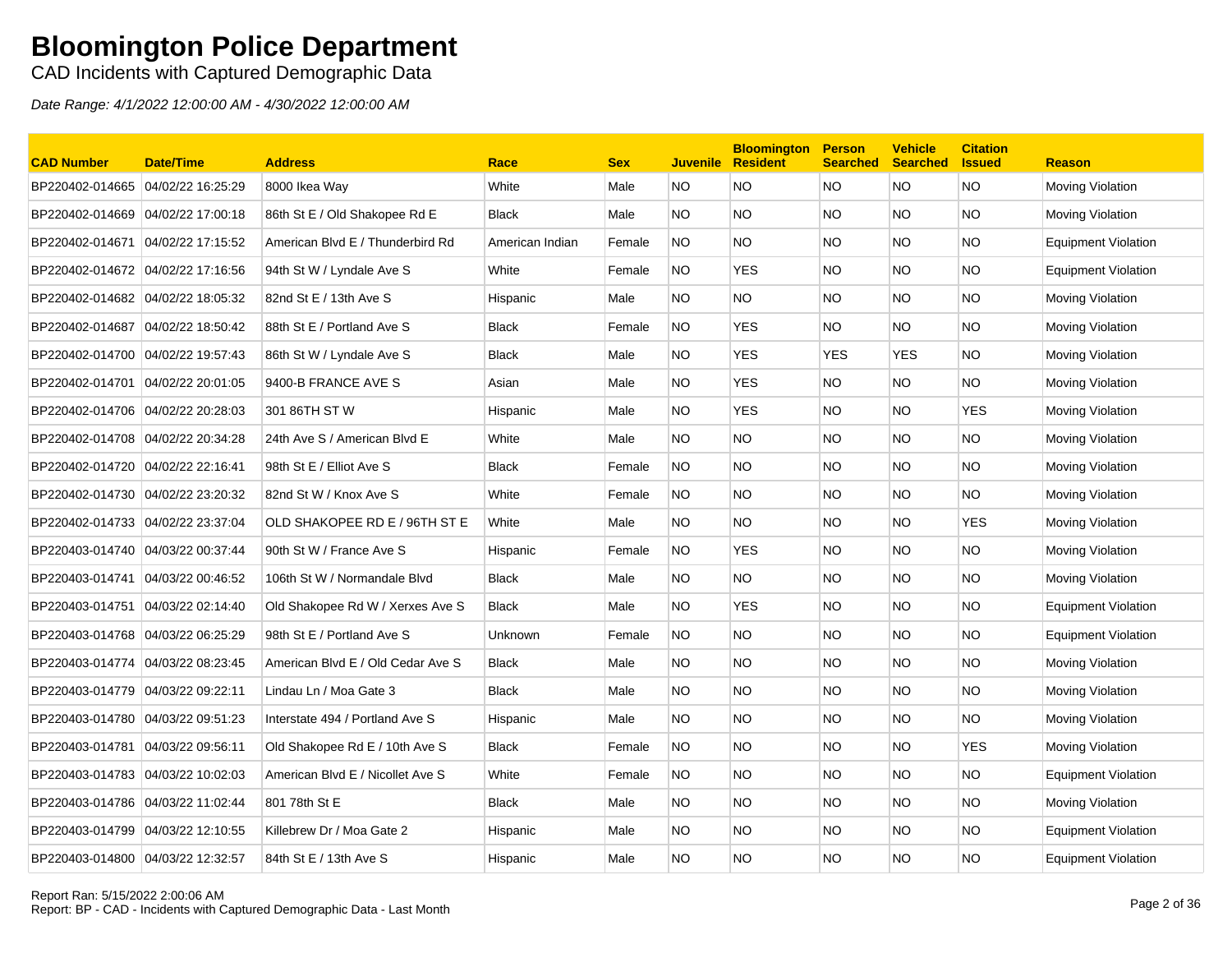CAD Incidents with Captured Demographic Data

| <b>CAD Number</b>                 | Date/Time         | <b>Address</b>                    | Race            | <b>Sex</b> | <b>Juvenile</b> | <b>Bloomington</b><br><b>Resident</b> | <b>Person</b><br><b>Searched</b> | <b>Vehicle</b><br><b>Searched</b> | <b>Citation</b><br><b>Issued</b> | <b>Reason</b>              |
|-----------------------------------|-------------------|-----------------------------------|-----------------|------------|-----------------|---------------------------------------|----------------------------------|-----------------------------------|----------------------------------|----------------------------|
| BP220402-014665 04/02/22 16:25:29 |                   | 8000 Ikea Way                     | White           | Male       | NO.             | <b>NO</b>                             | <b>NO</b>                        | <b>NO</b>                         | <b>NO</b>                        | Moving Violation           |
| BP220402-014669 04/02/22 17:00:18 |                   | 86th St E / Old Shakopee Rd E     | <b>Black</b>    | Male       | NO.             | <b>NO</b>                             | <b>NO</b>                        | NO.                               | <b>NO</b>                        | Moving Violation           |
| BP220402-014671                   | 04/02/22 17:15:52 | American Blvd E / Thunderbird Rd  | American Indian | Female     | <b>NO</b>       | <b>NO</b>                             | <b>NO</b>                        | NO.                               | <b>NO</b>                        | <b>Equipment Violation</b> |
| BP220402-014672 04/02/22 17:16:56 |                   | 94th St W / Lyndale Ave S         | White           | Female     | NO.             | <b>YES</b>                            | <b>NO</b>                        | NO.                               | NO.                              | Equipment Violation        |
| BP220402-014682                   | 04/02/22 18:05:32 | 82nd St E / 13th Ave S            | Hispanic        | Male       | NO.             | NO.                                   | <b>NO</b>                        | NO.                               | NO.                              | Moving Violation           |
| BP220402-014687                   | 04/02/22 18:50:42 | 88th St E / Portland Ave S        | <b>Black</b>    | Female     | NO.             | YES                                   | <b>NO</b>                        | NO.                               | <b>NO</b>                        | Moving Violation           |
| BP220402-014700 04/02/22 19:57:43 |                   | 86th St W / Lyndale Ave S         | <b>Black</b>    | Male       | NO.             | <b>YES</b>                            | <b>YES</b>                       | <b>YES</b>                        | <b>NO</b>                        | Moving Violation           |
| BP220402-014701                   | 04/02/22 20:01:05 | 9400-B FRANCE AVE S               | Asian           | Male       | NO.             | <b>YES</b>                            | <b>NO</b>                        | NO.                               | <b>NO</b>                        | Moving Violation           |
| BP220402-014706 04/02/22 20:28:03 |                   | 301 86TH ST W                     | Hispanic        | Male       | NO.             | <b>YES</b>                            | <b>NO</b>                        | NO.                               | <b>YES</b>                       | Moving Violation           |
| BP220402-014708                   | 04/02/22 20:34:28 | 24th Ave S / American Blvd E      | White           | Male       | NO.             | <b>NO</b>                             | <b>NO</b>                        | NO.                               | <b>NO</b>                        | Moving Violation           |
| BP220402-014720 04/02/22 22:16:41 |                   | 98th St E / Elliot Ave S          | <b>Black</b>    | Female     | NO.             | <b>NO</b>                             | <b>NO</b>                        | NO.                               | <b>NO</b>                        | Moving Violation           |
| BP220402-014730 04/02/22 23:20:32 |                   | 82nd St W / Knox Ave S            | White           | Female     | NO.             | NO.                                   | <b>NO</b>                        | NO.                               | NO.                              | Moving Violation           |
| BP220402-014733 04/02/22 23:37:04 |                   | OLD SHAKOPEE RD E / 96TH ST E     | White           | Male       | NO.             | NO.                                   | <b>NO</b>                        | NO.                               | <b>YES</b>                       | Moving Violation           |
| BP220403-014740 04/03/22 00:37:44 |                   | 90th St W / France Ave S          | Hispanic        | Female     | <b>NO</b>       | <b>YES</b>                            | <b>NO</b>                        | NO.                               | <b>NO</b>                        | Moving Violation           |
| BP220403-014741 04/03/22 00:46:52 |                   | 106th St W / Normandale Blvd      | <b>Black</b>    | Male       | NO.             | <b>NO</b>                             | <b>NO</b>                        | NO.                               | <b>NO</b>                        | Moving Violation           |
|                                   |                   | Old Shakopee Rd W / Xerxes Ave S  | <b>Black</b>    | Male       | NO.             | <b>YES</b>                            | <b>NO</b>                        | NO.                               | <b>NO</b>                        | <b>Equipment Violation</b> |
| BP220403-014768                   | 04/03/22 06:25:29 | 98th St E / Portland Ave S        | Unknown         | Female     | NO.             | <b>NO</b>                             | <b>NO</b>                        | NO.                               | <b>NO</b>                        | <b>Equipment Violation</b> |
| BP220403-014774                   | 04/03/22 08:23:45 | American Blvd E / Old Cedar Ave S | <b>Black</b>    | Male       | NO.             | <b>NO</b>                             | <b>NO</b>                        | NO.                               | <b>NO</b>                        | Moving Violation           |
| BP220403-014779 04/03/22 09:22:11 |                   | Lindau Ln / Moa Gate 3            | <b>Black</b>    | Male       | NO.             | <b>NO</b>                             | <b>NO</b>                        | NO.                               | <b>NO</b>                        | Moving Violation           |
| BP220403-014780 04/03/22 09:51:23 |                   | Interstate 494 / Portland Ave S   | Hispanic        | Male       | NO.             | NO.                                   | <b>NO</b>                        | NO.                               | NO.                              | Moving Violation           |
| BP220403-014781                   | 04/03/22 09:56:11 | Old Shakopee Rd E / 10th Ave S    | Black           | Female     | <b>NO</b>       | <b>NO</b>                             | <b>NO</b>                        | NO.                               | <b>YES</b>                       | Moving Violation           |
| BP220403-014783 04/03/22 10:02:03 |                   | American Blvd E / Nicollet Ave S  | White           | Female     | NO.             | <b>NO</b>                             | <b>NO</b>                        | NO.                               | <b>NO</b>                        | Equipment Violation        |
| BP220403-014786 04/03/22 11:02:44 |                   | 801 78th St E                     | <b>Black</b>    | Male       | NO.             | <b>NO</b>                             | <b>NO</b>                        | NO.                               | <b>NO</b>                        | Moving Violation           |
| BP220403-014799                   | 04/03/22 12:10:55 | Killebrew Dr / Moa Gate 2         | Hispanic        | Male       | NO.             | <b>NO</b>                             | <b>NO</b>                        | NO.                               | <b>NO</b>                        | <b>Equipment Violation</b> |
| BP220403-014800 04/03/22 12:32:57 |                   | 84th St E / 13th Ave S            | Hispanic        | Male       | NO.             | <b>NO</b>                             | <b>NO</b>                        | NO.                               | <b>NO</b>                        | <b>Equipment Violation</b> |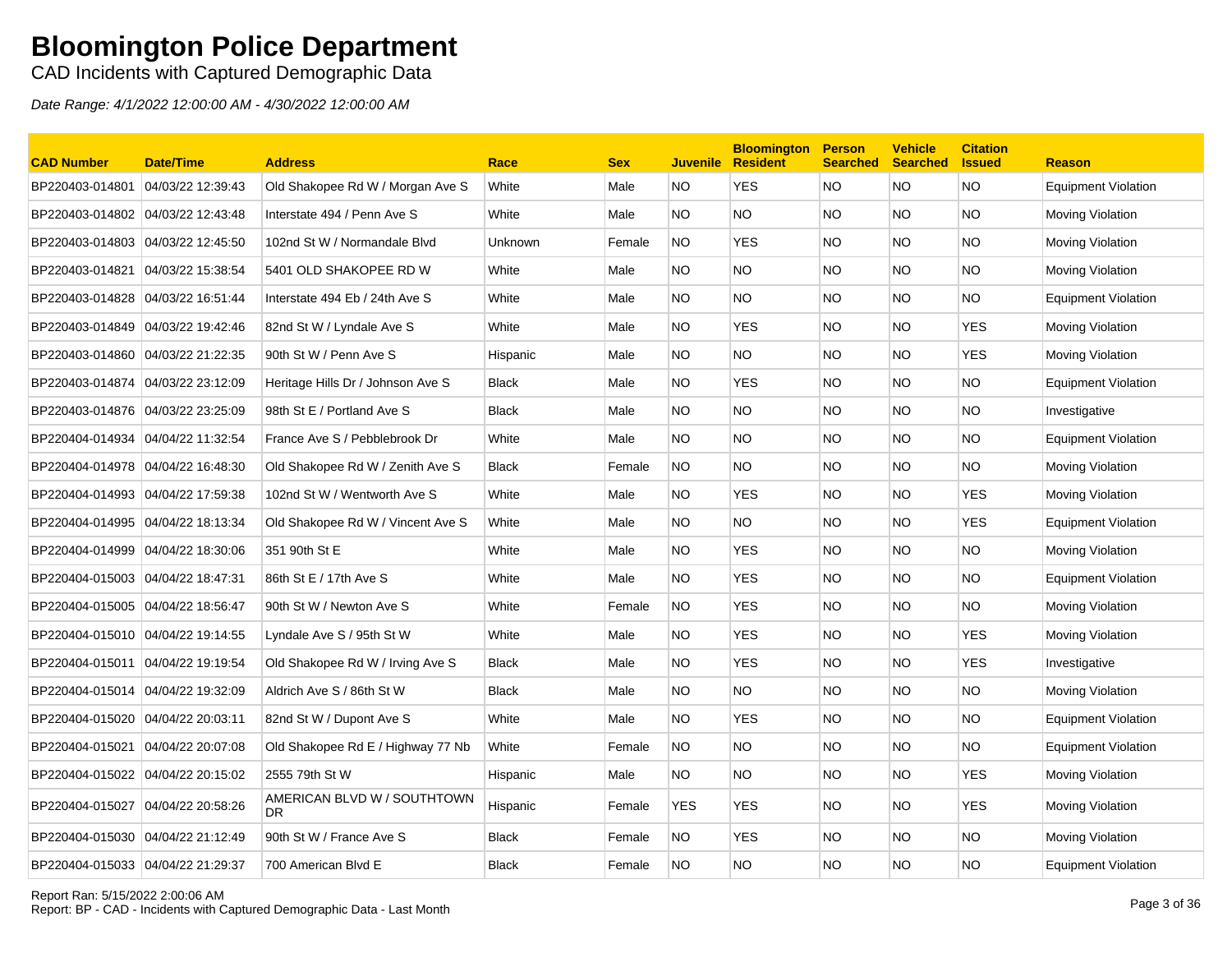CAD Incidents with Captured Demographic Data

| <b>CAD Number</b>                 | <b>Date/Time</b>  | <b>Address</b>                     | Race         | <b>Sex</b> | <b>Juvenile</b> | <b>Bloomington</b><br><b>Resident</b> | <b>Person</b><br><b>Searched</b> | <b>Vehicle</b><br><b>Searched</b> | <b>Citation</b><br><b>Issued</b> | <b>Reason</b>              |
|-----------------------------------|-------------------|------------------------------------|--------------|------------|-----------------|---------------------------------------|----------------------------------|-----------------------------------|----------------------------------|----------------------------|
| BP220403-014801                   | 04/03/22 12:39:43 | Old Shakopee Rd W / Morgan Ave S   | White        | Male       | NO.             | <b>YES</b>                            | <b>NO</b>                        | <b>NO</b>                         | <b>NO</b>                        | <b>Equipment Violation</b> |
| BP220403-014802 04/03/22 12:43:48 |                   | Interstate 494 / Penn Ave S        | White        | Male       | NO.             | <b>NO</b>                             | <b>NO</b>                        | NO.                               | <b>NO</b>                        | Moving Violation           |
| BP220403-014803                   | 04/03/22 12:45:50 | 102nd St W / Normandale Blvd       | Unknown      | Female     | NO.             | <b>YES</b>                            | <b>NO</b>                        | NO.                               | <b>NO</b>                        | Moving Violation           |
| BP220403-014821                   | 04/03/22 15:38:54 | 5401 OLD SHAKOPEE RD W             | White        | Male       | NO.             | NO.                                   | <b>NO</b>                        | NO.                               | NO.                              | Moving Violation           |
| BP220403-014828                   | 04/03/22 16:51:44 | Interstate 494 Eb / 24th Ave S     | White        | Male       | NO.             | <b>NO</b>                             | <b>NO</b>                        | NO.                               | NO.                              | <b>Equipment Violation</b> |
|                                   |                   | 82nd St W / Lyndale Ave S          | White        | Male       | NO.             | <b>YES</b>                            | <b>NO</b>                        | NO.                               | <b>YES</b>                       | Moving Violation           |
| BP220403-014860 04/03/22 21:22:35 |                   | 90th St W / Penn Ave S             | Hispanic     | Male       | NO.             | <b>NO</b>                             | <b>NO</b>                        | NO.                               | <b>YES</b>                       | Moving Violation           |
| BP220403-014874                   | 04/03/22 23:12:09 | Heritage Hills Dr / Johnson Ave S  | <b>Black</b> | Male       | NO.             | YES                                   | <b>NO</b>                        | NO.                               | NO.                              | <b>Equipment Violation</b> |
| BP220403-014876 04/03/22 23:25:09 |                   | 98th St E / Portland Ave S         | <b>Black</b> | Male       | NO.             | <b>NO</b>                             | <b>NO</b>                        | NO.                               | <b>NO</b>                        | Investigative              |
| BP220404-014934                   | 04/04/22 11:32:54 | France Ave S / Pebblebrook Dr      | White        | Male       | NO.             | NO.                                   | <b>NO</b>                        | NO.                               | NO.                              | <b>Equipment Violation</b> |
| BP220404-014978                   | 04/04/22 16:48:30 | Old Shakopee Rd W / Zenith Ave S   | <b>Black</b> | Female     | NO.             | <b>NO</b>                             | <b>NO</b>                        | NO.                               | NO.                              | Moving Violation           |
| BP220404-014993 04/04/22 17:59:38 |                   | 102nd St W / Wentworth Ave S       | White        | Male       | NO.             | <b>YES</b>                            | <b>NO</b>                        | NO.                               | <b>YES</b>                       | Moving Violation           |
|                                   |                   | Old Shakopee Rd W / Vincent Ave S  | White        | Male       | NO.             | <b>NO</b>                             | <b>NO</b>                        | NO.                               | <b>YES</b>                       | Equipment Violation        |
| BP220404-014999 04/04/22 18:30:06 |                   | 351 90th St E                      | White        | Male       | NO.             | <b>YES</b>                            | <b>NO</b>                        | NO.                               | <b>NO</b>                        | Moving Violation           |
| BP220404-015003                   | 04/04/22 18:47:31 | 86th St E / 17th Ave S             | White        | Male       | NO.             | <b>YES</b>                            | <b>NO</b>                        | NO.                               | <b>NO</b>                        | <b>Equipment Violation</b> |
| BP220404-015005 04/04/22 18:56:47 |                   | 90th St W / Newton Ave S           | White        | Female     | NO.             | <b>YES</b>                            | <b>NO</b>                        | NO.                               | NO.                              | Moving Violation           |
| BP220404-015010 04/04/22 19:14:55 |                   | Lyndale Ave S / 95th St W          | White        | Male       | NO.             | <b>YES</b>                            | <b>NO</b>                        | NO.                               | <b>YES</b>                       | Moving Violation           |
| BP220404-015011 04/04/22 19:19:54 |                   | Old Shakopee Rd W / Irving Ave S   | <b>Black</b> | Male       | NO.             | <b>YES</b>                            | <b>NO</b>                        | NO.                               | <b>YES</b>                       | Investigative              |
| BP220404-015014 04/04/22 19:32:09 |                   | Aldrich Ave S / 86th St W          | <b>Black</b> | Male       | NO.             | <b>NO</b>                             | <b>NO</b>                        | NO.                               | <b>NO</b>                        | Moving Violation           |
| BP220404-015020 04/04/22 20:03:11 |                   | 82nd St W / Dupont Ave S           | White        | Male       | NO.             | <b>YES</b>                            | <b>NO</b>                        | NO.                               | <b>NO</b>                        | Equipment Violation        |
| BP220404-015021                   | 04/04/22 20:07:08 | Old Shakopee Rd E / Highway 77 Nb  | White        | Female     | NO.             | <b>NO</b>                             | <b>NO</b>                        | NO.                               | <b>NO</b>                        | <b>Equipment Violation</b> |
| BP220404-015022                   | 04/04/22 20:15:02 | 2555 79th St W                     | Hispanic     | Male       | NO.             | NO.                                   | <b>NO</b>                        | NO.                               | YES                              | Moving Violation           |
| BP220404-015027                   | 04/04/22 20:58:26 | AMERICAN BLVD W / SOUTHTOWN<br>DR. | Hispanic     | Female     | <b>YES</b>      | <b>YES</b>                            | <b>NO</b>                        | NO.                               | <b>YES</b>                       | Moving Violation           |
| BP220404-015030 04/04/22 21:12:49 |                   | 90th St W / France Ave S           | <b>Black</b> | Female     | <b>NO</b>       | <b>YES</b>                            | <b>NO</b>                        | NO.                               | <b>NO</b>                        | Moving Violation           |
| BP220404-015033 04/04/22 21:29:37 |                   | 700 American Blvd E                | <b>Black</b> | Female     | <b>NO</b>       | ΝO                                    | <b>NO</b>                        | <b>NO</b>                         | <b>NO</b>                        | <b>Equipment Violation</b> |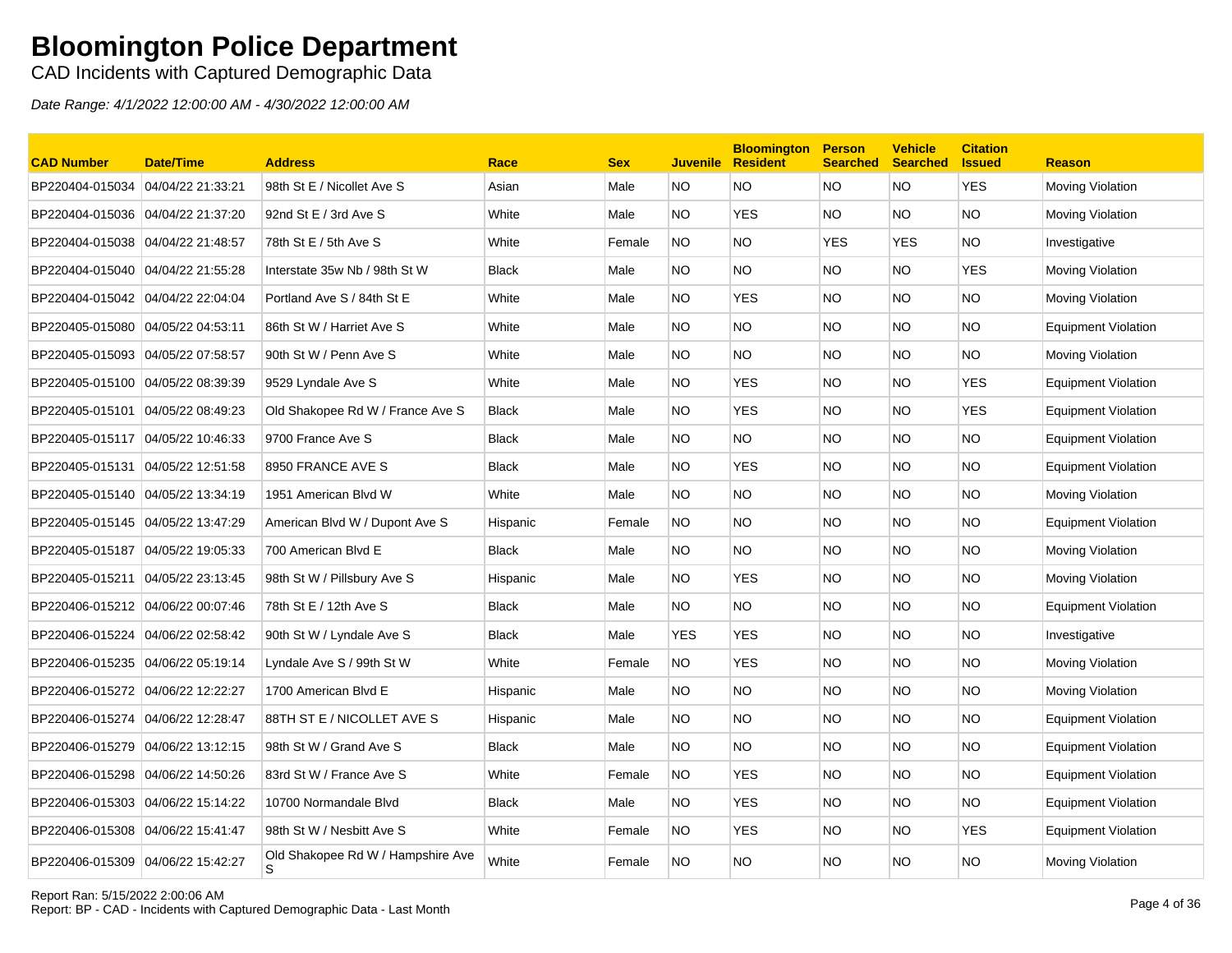CAD Incidents with Captured Demographic Data

| <b>CAD Number</b>                 | <b>Date/Time</b>  | <b>Address</b>                         | Race         | <b>Sex</b> | <b>Juvenile</b> | <b>Bloomington</b><br><b>Resident</b> | <b>Person</b><br><b>Searched</b> | <b>Vehicle</b><br><b>Searched</b> | <b>Citation</b><br><b>Issued</b> | <b>Reason</b>              |
|-----------------------------------|-------------------|----------------------------------------|--------------|------------|-----------------|---------------------------------------|----------------------------------|-----------------------------------|----------------------------------|----------------------------|
| BP220404-015034                   | 04/04/22 21:33:21 | 98th St E / Nicollet Ave S             | Asian        | Male       | NO.             | NO.                                   | <b>NO</b>                        | <b>NO</b>                         | <b>YES</b>                       | Moving Violation           |
| BP220404-015036                   | 04/04/22 21:37:20 | 92nd St E / 3rd Ave S                  | White        | Male       | NO.             | <b>YES</b>                            | <b>NO</b>                        | NO.                               | <b>NO</b>                        | Moving Violation           |
| BP220404-015038                   | 04/04/22 21:48:57 | 78th St E / 5th Ave S                  | White        | Female     | <b>NO</b>       | <b>NO</b>                             | <b>YES</b>                       | <b>YES</b>                        | <b>NO</b>                        | Investigative              |
| BP220404-015040 04/04/22 21:55:28 |                   | Interstate 35w Nb / 98th St W          | <b>Black</b> | Male       | NO.             | NO.                                   | <b>NO</b>                        | NO.                               | <b>YES</b>                       | Moving Violation           |
| BP220404-015042                   | 04/04/22 22:04:04 | Portland Ave S / 84th St E             | White        | Male       | NO.             | <b>YES</b>                            | <b>NO</b>                        | NO.                               | NO.                              | Moving Violation           |
| BP220405-015080 04/05/22 04:53:11 |                   | 86th St W / Harriet Ave S              | White        | Male       | NO.             | <b>NO</b>                             | <b>NO</b>                        | NO.                               | <b>NO</b>                        | <b>Equipment Violation</b> |
|                                   |                   | 90th St W / Penn Ave S                 | White        | Male       | NO.             | <b>NO</b>                             | <b>NO</b>                        | NO.                               | <b>NO</b>                        | Moving Violation           |
| BP220405-015100                   | 04/05/22 08:39:39 | 9529 Lyndale Ave S                     | White        | Male       | NO.             | <b>YES</b>                            | <b>NO</b>                        | NO.                               | <b>YES</b>                       | <b>Equipment Violation</b> |
| BP220405-015101                   | 04/05/22 08:49:23 | Old Shakopee Rd W / France Ave S       | <b>Black</b> | Male       | NO.             | <b>YES</b>                            | <b>NO</b>                        | NO.                               | <b>YES</b>                       | <b>Equipment Violation</b> |
| BP220405-015117 04/05/22 10:46:33 |                   | 9700 France Ave S                      | <b>Black</b> | Male       | NO.             | NO.                                   | <b>NO</b>                        | NO.                               | NO.                              | <b>Equipment Violation</b> |
| BP220405-015131                   | 04/05/22 12:51:58 | 8950 FRANCE AVE S                      | Black        | Male       | NO.             | <b>YES</b>                            | <b>NO</b>                        | NO.                               | <b>NO</b>                        | Equipment Violation        |
| BP220405-015140 04/05/22 13:34:19 |                   | 1951 American Blvd W                   | White        | Male       | NO.             | <b>NO</b>                             | <b>NO</b>                        | NO.                               | <b>NO</b>                        | Moving Violation           |
| BP220405-015145 04/05/22 13:47:29 |                   | American Blvd W / Dupont Ave S         | Hispanic     | Female     | NO.             | <b>NO</b>                             | <b>NO</b>                        | NO.                               | <b>NO</b>                        | Equipment Violation        |
| BP220405-015187 04/05/22 19:05:33 |                   | 700 American Blvd E                    | <b>Black</b> | Male       | NO.             | <b>NO</b>                             | <b>NO</b>                        | NO.                               | <b>NO</b>                        | Moving Violation           |
| BP220405-015211                   | 04/05/22 23:13:45 | 98th St W / Pillsbury Ave S            | Hispanic     | Male       | NO.             | <b>YES</b>                            | <b>NO</b>                        | NO.                               | <b>NO</b>                        | Moving Violation           |
| BP220406-015212 04/06/22 00:07:46 |                   | 78th St E / 12th Ave S                 | <b>Black</b> | Male       | NO.             | NO.                                   | <b>NO</b>                        | NO.                               | <b>NO</b>                        | <b>Equipment Violation</b> |
| BP220406-015224                   | 04/06/22 02:58:42 | 90th St W / Lyndale Ave S              | <b>Black</b> | Male       | <b>YES</b>      | <b>YES</b>                            | <b>NO</b>                        | NO.                               | NO.                              | Investigative              |
| BP220406-015235                   | 04/06/22 05:19:14 | Lyndale Ave S / 99th St W              | White        | Female     | NO.             | YES.                                  | <b>NO</b>                        | NO.                               | <b>NO</b>                        | Moving Violation           |
| BP220406-015272                   | 04/06/22 12:22:27 | 1700 American Blvd E                   | Hispanic     | Male       | NO.             | <b>NO</b>                             | <b>NO</b>                        | NO.                               | <b>NO</b>                        | Moving Violation           |
| BP220406-015274 04/06/22 12:28:47 |                   | 88TH ST E / NICOLLET AVE S             | Hispanic     | Male       | NO.             | <b>NO</b>                             | <b>NO</b>                        | NO.                               | <b>NO</b>                        | <b>Equipment Violation</b> |
| BP220406-015279                   | 04/06/22 13:12:15 | 98th St W / Grand Ave S                | <b>Black</b> | Male       | NO.             | <b>NO</b>                             | <b>NO</b>                        | NO.                               | <b>NO</b>                        | <b>Equipment Violation</b> |
| BP220406-015298                   | 04/06/22 14:50:26 | 83rd St W / France Ave S               | White        | Female     | <b>NO</b>       | <b>YES</b>                            | <b>NO</b>                        | NO.                               | <b>NO</b>                        | <b>Equipment Violation</b> |
|                                   |                   | 10700 Normandale Blvd                  | <b>Black</b> | Male       | NO.             | YES.                                  | <b>NO</b>                        | NO.                               | NO.                              | Equipment Violation        |
| BP220406-015308                   | 04/06/22 15:41:47 | 98th St W / Nesbitt Ave S              | White        | Female     | NO.             | <b>YES</b>                            | <b>NO</b>                        | NO.                               | <b>YES</b>                       | <b>Equipment Violation</b> |
| BP220406-015309 04/06/22 15:42:27 |                   | Old Shakopee Rd W / Hampshire Ave<br>S | White        | Female     | NO.             | ΝO                                    | <b>NO</b>                        | NO.                               | <b>NO</b>                        | Moving Violation           |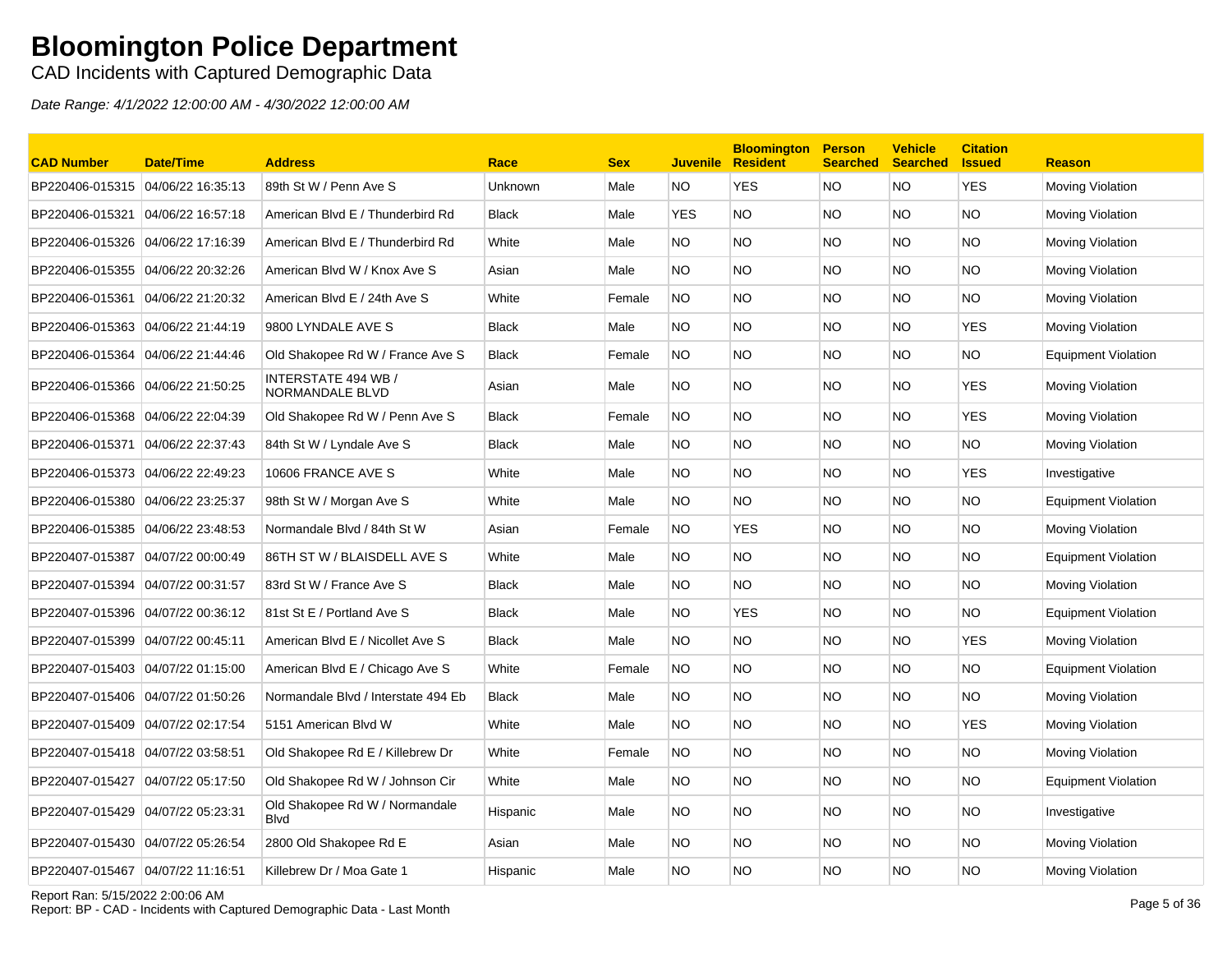CAD Incidents with Captured Demographic Data

| <b>CAD Number</b>                 | <b>Date/Time</b>  | <b>Address</b>                                 | Race           | <b>Sex</b> | <b>Juvenile</b> | <b>Bloomington</b><br><b>Resident</b> | <b>Person</b><br><b>Searched</b> | <b>Vehicle</b><br><b>Searched</b> | <b>Citation</b><br><b>Issued</b> | <b>Reason</b>              |
|-----------------------------------|-------------------|------------------------------------------------|----------------|------------|-----------------|---------------------------------------|----------------------------------|-----------------------------------|----------------------------------|----------------------------|
| BP220406-015315                   | 04/06/22 16:35:13 | 89th St W / Penn Ave S                         | <b>Unknown</b> | Male       | NO              | <b>YES</b>                            | <b>NO</b>                        | NO.                               | <b>YES</b>                       | Moving Violation           |
| BP220406-015321                   | 04/06/22 16:57:18 | American Blvd E / Thunderbird Rd               | <b>Black</b>   | Male       | <b>YES</b>      | NO.                                   | <b>NO</b>                        | NO.                               | NO.                              | Moving Violation           |
| BP220406-015326 04/06/22 17:16:39 |                   | American Blvd E / Thunderbird Rd               | White          | Male       | NO.             | NO.                                   | <b>NO</b>                        | NO.                               | NO.                              | Moving Violation           |
| BP220406-015355 04/06/22 20:32:26 |                   | American Blvd W / Knox Ave S                   | Asian          | Male       | NO.             | NO                                    | <b>NO</b>                        | NO.                               | NO                               | Moving Violation           |
| BP220406-015361 04/06/22 21:20:32 |                   | American Blvd E / 24th Ave S                   | White          | Female     | NO              | <b>NO</b>                             | <b>NO</b>                        | NO.                               | NO.                              | Moving Violation           |
| BP220406-015363 04/06/22 21:44:19 |                   | 9800 LYNDALE AVE S                             | <b>Black</b>   | Male       | <b>NO</b>       | NO.                                   | <b>NO</b>                        | NO.                               | <b>YES</b>                       | Moving Violation           |
| BP220406-015364                   | 04/06/22 21:44:46 | Old Shakopee Rd W / France Ave S               | Black          | Female     | <b>NO</b>       | NO.                                   | <b>NO</b>                        | NO.                               | NO.                              | <b>Equipment Violation</b> |
| BP220406-015366 04/06/22 21:50:25 |                   | INTERSTATE 494 WB /<br>NORMANDALE BLVD         | Asian          | Male       | NO.             | NO                                    | <b>NO</b>                        | NO.                               | <b>YES</b>                       | Moving Violation           |
| BP220406-015368 04/06/22 22:04:39 |                   | Old Shakopee Rd W / Penn Ave S                 | <b>Black</b>   | Female     | <b>NO</b>       | NO.                                   | <b>NO</b>                        | NO.                               | <b>YES</b>                       | Moving Violation           |
| BP220406-015371                   | 04/06/22 22:37:43 | 84th St W / Lyndale Ave S                      | <b>Black</b>   | Male       | NO.             | NO                                    | <b>NO</b>                        | NO.                               | NO.                              | Moving Violation           |
| BP220406-015373 04/06/22 22:49:23 |                   | 10606 FRANCE AVE S                             | White          | Male       | NO.             | NO.                                   | <b>NO</b>                        | NO.                               | YES                              | Investigative              |
| BP220406-015380                   | 04/06/22 23:25:37 | 98th St W / Morgan Ave S                       | White          | Male       | NO.             | NO.                                   | <b>NO</b>                        | NO.                               | NO.                              | <b>Equipment Violation</b> |
| BP220406-015385 04/06/22 23:48:53 |                   | Normandale Blvd / 84th St W                    | Asian          | Female     | <b>NO</b>       | <b>YES</b>                            | <b>NO</b>                        | NO.                               | NO.                              | Moving Violation           |
| BP220407-015387 04/07/22 00:00:49 |                   | 86TH ST W / BLAISDELL AVE S                    | White          | Male       | NO              | NO.                                   | <b>NO</b>                        | NO.                               | NO.                              | <b>Equipment Violation</b> |
| BP220407-015394 04/07/22 00:31:57 |                   | 83rd St W / France Ave S                       | <b>Black</b>   | Male       | NO.             | ΝO                                    | <b>NO</b>                        | NO.                               | ΝO                               | Moving Violation           |
| BP220407-015396 04/07/22 00:36:12 |                   | 81st St E / Portland Ave S                     | Black          | Male       | NO.             | <b>YES</b>                            | <b>NO</b>                        | NO.                               | <b>NO</b>                        | Equipment Violation        |
| BP220407-015399 04/07/22 00:45:11 |                   | American Blvd E / Nicollet Ave S               | Black          | Male       | NO.             | NO.                                   | <b>NO</b>                        | NO.                               | YES                              | Moving Violation           |
|                                   |                   | American Blvd E / Chicago Ave S                | White          | Female     | NO.             | ΝO                                    | <b>NO</b>                        | NO.                               | NO.                              | Equipment Violation        |
|                                   |                   | Normandale Blvd / Interstate 494 Eb            | <b>Black</b>   | Male       | NO.             | NO                                    | <b>NO</b>                        | NO.                               | ΝO                               | Moving Violation           |
| BP220407-015409 04/07/22 02:17:54 |                   | 5151 American Blvd W                           | White          | Male       | NO.             | NO                                    | <b>NO</b>                        | NO.                               | <b>YES</b>                       | Moving Violation           |
| BP220407-015418 04/07/22 03:58:51 |                   | Old Shakopee Rd E / Killebrew Dr               | White          | Female     | <b>NO</b>       | NO                                    | <b>NO</b>                        | NO.                               | NO                               | Moving Violation           |
| BP220407-015427 04/07/22 05:17:50 |                   | Old Shakopee Rd W / Johnson Cir                | White          | Male       | NO.             | NO.                                   | <b>NO</b>                        | NO.                               | NO.                              | Equipment Violation        |
| BP220407-015429 04/07/22 05:23:31 |                   | Old Shakopee Rd W / Normandale<br><b>B</b> lvd | Hispanic       | Male       | NO.             | NO.                                   | <b>NO</b>                        | NO.                               | NO                               | Investigative              |
| BP220407-015430                   | 04/07/22 05:26:54 | 2800 Old Shakopee Rd E                         | Asian          | Male       | NO.             | ΝO                                    | <b>NO</b>                        | NO.                               | <b>NO</b>                        | Moving Violation           |
| BP220407-015467 04/07/22 11:16:51 |                   | Killebrew Dr / Moa Gate 1                      | Hispanic       | Male       | <b>NO</b>       | ΝO                                    | <b>NO</b>                        | NO.                               | ΝO                               | Moving Violation           |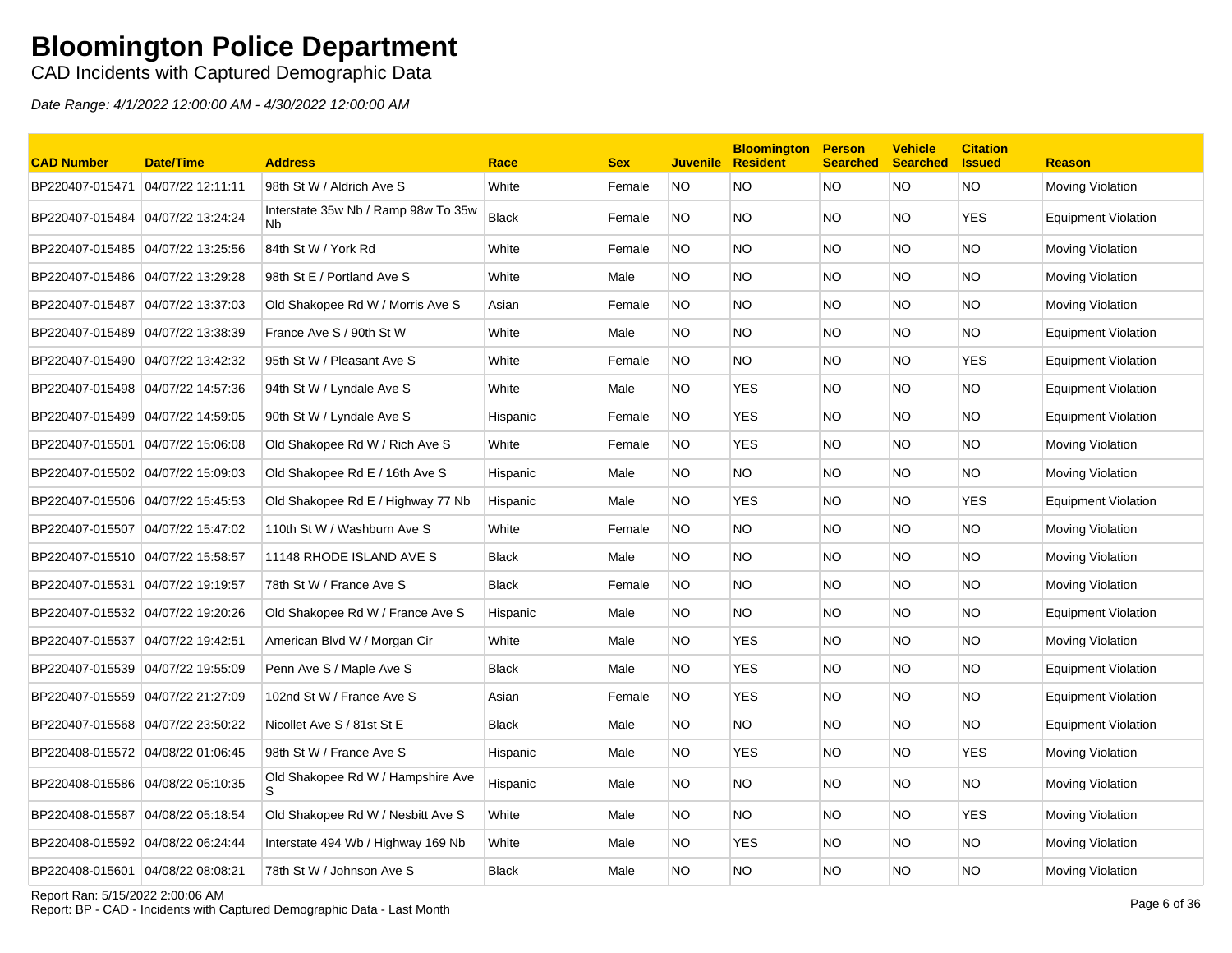CAD Incidents with Captured Demographic Data

Date Range: 4/1/2022 12:00:00 AM - 4/30/2022 12:00:00 AM

| <b>CAD Number</b>                 | <b>Date/Time</b>  | <b>Address</b>                            | Race         | <b>Sex</b> |           | <b>Bloomington</b><br><b>Juvenile Resident</b> | <b>Person</b><br><b>Searched</b> | <b>Vehicle</b><br><b>Searched</b> | <b>Citation</b><br><b>S</b> sued | <b>Reason</b>              |
|-----------------------------------|-------------------|-------------------------------------------|--------------|------------|-----------|------------------------------------------------|----------------------------------|-----------------------------------|----------------------------------|----------------------------|
| BP220407-015471                   | 04/07/22 12:11:11 | 98th St W / Aldrich Ave S                 | White        | Female     | <b>NO</b> | <b>NO</b>                                      | <b>NO</b>                        | NO.                               | <b>NO</b>                        | Moving Violation           |
| BP220407-015484 04/07/22 13:24:24 |                   | Interstate 35w Nb / Ramp 98w To 35w<br>Nb | <b>Black</b> | Female     | NO.       | <b>NO</b>                                      | NO.                              | NO.                               | <b>YES</b>                       | <b>Equipment Violation</b> |
| BP220407-015485 04/07/22 13:25:56 |                   | 84th St W / York Rd                       | White        | Female     | <b>NO</b> | <b>NO</b>                                      | <b>NO</b>                        | NO.                               | <b>NO</b>                        | Moving Violation           |
| BP220407-015486 04/07/22 13:29:28 |                   | 98th St E / Portland Ave S                | White        | Male       | NO.       | <b>NO</b>                                      | <b>NO</b>                        | NO.                               | <b>NO</b>                        | Moving Violation           |
| BP220407-015487                   | 04/07/22 13:37:03 | Old Shakopee Rd W / Morris Ave S          | Asian        | Female     | NO.       | <b>NO</b>                                      | <b>NO</b>                        | NO.                               | <b>NO</b>                        | Moving Violation           |
| BP220407-015489 04/07/22 13:38:39 |                   | France Ave S / 90th St W                  | White        | Male       | NO.       | <b>NO</b>                                      | NO.                              | NO.                               | <b>NO</b>                        | <b>Equipment Violation</b> |
| BP220407-015490                   | 04/07/22 13:42:32 | 95th St W / Pleasant Ave S                | White        | Female     | NO.       | <b>NO</b>                                      | NO.                              | NO.                               | <b>YES</b>                       | <b>Equipment Violation</b> |
| BP220407-015498 04/07/22 14:57:36 |                   | 94th St W / Lyndale Ave S                 | White        | Male       | NO.       | <b>YES</b>                                     | <b>NO</b>                        | <b>NO</b>                         | <b>NO</b>                        | <b>Equipment Violation</b> |
| BP220407-015499 04/07/22 14:59:05 |                   | 90th St W / Lyndale Ave S                 | Hispanic     | Female     | <b>NO</b> | <b>YES</b>                                     | <b>NO</b>                        | NO.                               | <b>NO</b>                        | <b>Equipment Violation</b> |
| BP220407-015501 04/07/22 15:06:08 |                   | Old Shakopee Rd W / Rich Ave S            | White        | Female     | <b>NO</b> | <b>YES</b>                                     | NO.                              | NO.                               | <b>NO</b>                        | Moving Violation           |
| BP220407-015502 04/07/22 15:09:03 |                   | Old Shakopee Rd E / 16th Ave S            | Hispanic     | Male       | NO.       | <b>NO</b>                                      | <b>NO</b>                        | NO.                               | <b>NO</b>                        | Moving Violation           |
| BP220407-015506 04/07/22 15:45:53 |                   | Old Shakopee Rd E / Highway 77 Nb         | Hispanic     | Male       | NO.       | <b>YES</b>                                     | NO.                              | NO.                               | <b>YES</b>                       | <b>Equipment Violation</b> |
| BP220407-015507 04/07/22 15:47:02 |                   | 110th St W / Washburn Ave S               | White        | Female     | NO.       | <b>NO</b>                                      | <b>NO</b>                        | NO.                               | <b>NO</b>                        | Moving Violation           |
|                                   |                   | 11148 RHODE ISLAND AVE S                  | <b>Black</b> | Male       | NO.       | <b>NO</b>                                      | <b>NO</b>                        | NO.                               | <b>NO</b>                        | Moving Violation           |
| BP220407-015531 04/07/22 19:19:57 |                   | 78th St W / France Ave S                  | <b>Black</b> | Female     | <b>NO</b> | <b>NO</b>                                      | <b>NO</b>                        | NO.                               | <b>NO</b>                        | Moving Violation           |
| BP220407-015532 04/07/22 19:20:26 |                   | Old Shakopee Rd W / France Ave S          | Hispanic     | Male       | NO.       | <b>NO</b>                                      | <b>NO</b>                        | NO.                               | <b>NO</b>                        | <b>Equipment Violation</b> |
| BP220407-015537 04/07/22 19:42:51 |                   | American Blvd W / Morgan Cir              | White        | Male       | NO.       | <b>YES</b>                                     | <b>NO</b>                        | NO.                               | <b>NO</b>                        | Moving Violation           |
| BP220407-015539 04/07/22 19:55:09 |                   | Penn Ave S / Maple Ave S                  | Black        | Male       | NO.       | YES                                            | NO.                              | NO.                               | <b>NO</b>                        | Equipment Violation        |
| BP220407-015559 04/07/22 21:27:09 |                   | 102nd St W / France Ave S                 | Asian        | Female     | NO.       | <b>YES</b>                                     | NO.                              | NO.                               | <b>NO</b>                        | <b>Equipment Violation</b> |
| BP220407-015568 04/07/22 23:50:22 |                   | Nicollet Ave S / 81st St E                | <b>Black</b> | Male       | NO.       | <b>NO</b>                                      | NO.                              | NO.                               | <b>NO</b>                        | Equipment Violation        |
| BP220408-015572 04/08/22 01:06:45 |                   | 98th St W / France Ave S                  | Hispanic     | Male       | NO.       | <b>YES</b>                                     | NO.                              | NO.                               | <b>YES</b>                       | Moving Violation           |
| BP220408-015586 04/08/22 05:10:35 |                   | Old Shakopee Rd W / Hampshire Ave<br>S    | Hispanic     | Male       | NO.       | <b>NO</b>                                      | NO.                              | NO.                               | <b>NO</b>                        | Moving Violation           |
| BP220408-015587                   | 04/08/22 05:18:54 | Old Shakopee Rd W / Nesbitt Ave S         | White        | Male       | NO.       | <b>NO</b>                                      | <b>NO</b>                        | NO.                               | <b>YES</b>                       | Moving Violation           |
| BP220408-015592                   | 04/08/22 06:24:44 | Interstate 494 Wb / Highway 169 Nb        | White        | Male       | NO.       | <b>YES</b>                                     | NO.                              | NO.                               | <b>NO</b>                        | Moving Violation           |
| BP220408-015601 04/08/22 08:08:21 |                   | 78th St W / Johnson Ave S                 | <b>Black</b> | Male       | NO.       | <b>NO</b>                                      | <b>NO</b>                        | NO.                               | <b>NO</b>                        | Moving Violation           |

Report Ran: 5/15/2022 2:00:06 AM

Report Ran: 5/15/2022 2:00:06 AM<br>Report: BP - CAD - Incidents with Captured Demographic Data - Last Month Page 6 of 36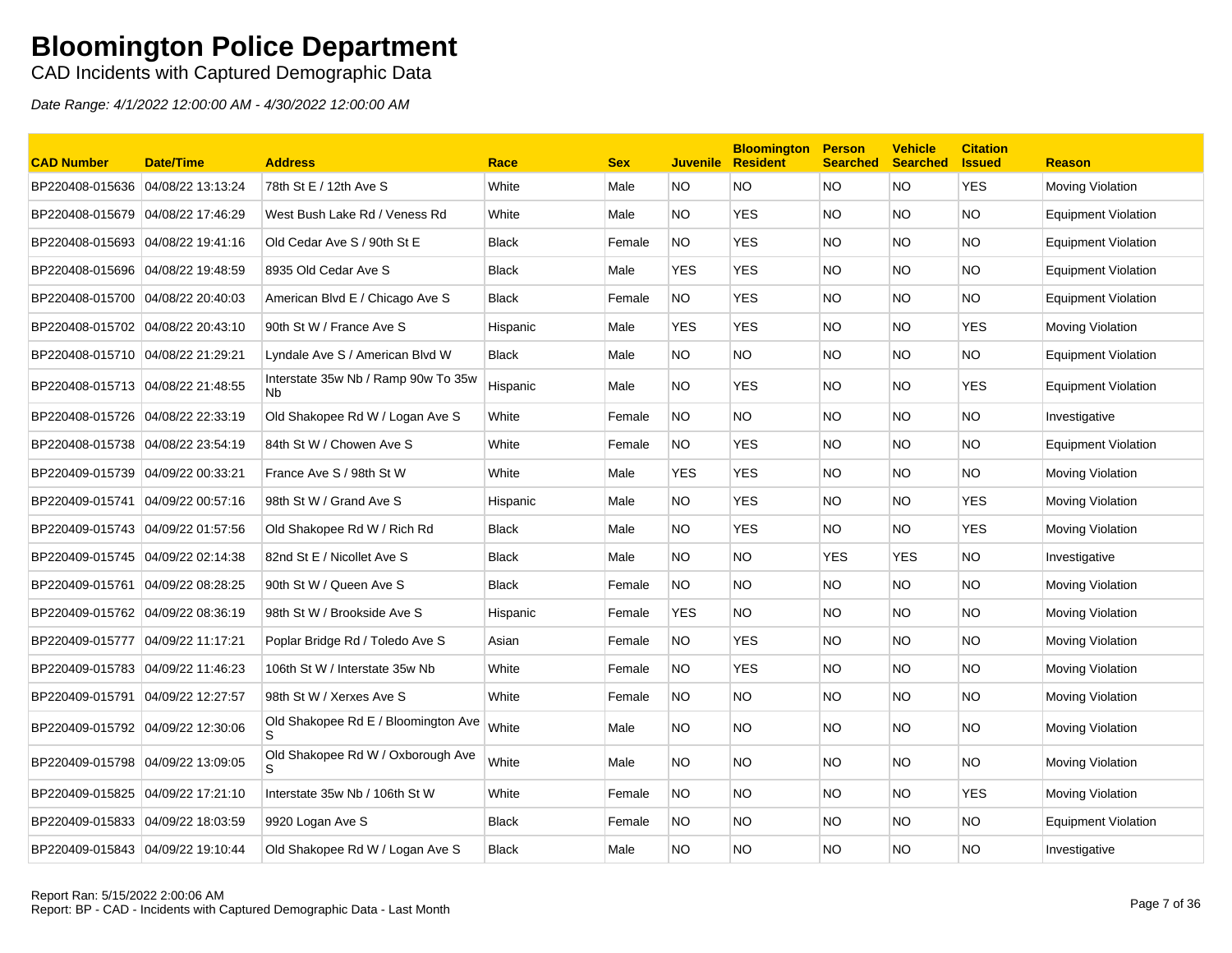CAD Incidents with Captured Demographic Data

| <b>CAD Number</b>                 | <b>Date/Time</b>  | <b>Address</b>                                              | Race         | <b>Sex</b> | <b>Juvenile</b> | <b>Bloomington</b><br><b>Resident</b> | <b>Person</b><br><b>Searched</b> | <b>Vehicle</b><br><b>Searched</b> | <b>Citation</b><br><b>Issued</b> | <b>Reason</b>              |
|-----------------------------------|-------------------|-------------------------------------------------------------|--------------|------------|-----------------|---------------------------------------|----------------------------------|-----------------------------------|----------------------------------|----------------------------|
| BP220408-015636 04/08/22 13:13:24 |                   | 78th St E / 12th Ave S                                      | White        | Male       | NO.             | <b>NO</b>                             | <b>NO</b>                        | <b>NO</b>                         | <b>YES</b>                       | Moving Violation           |
| BP220408-015679 04/08/22 17:46:29 |                   | West Bush Lake Rd / Veness Rd                               | White        | Male       | NO.             | <b>YES</b>                            | NO.                              | NO.                               | <b>NO</b>                        | <b>Equipment Violation</b> |
| BP220408-015693                   | 04/08/22 19:41:16 | Old Cedar Ave S / 90th St E                                 | <b>Black</b> | Female     | NO.             | <b>YES</b>                            | <b>NO</b>                        | NO.                               | <b>NO</b>                        | <b>Equipment Violation</b> |
| BP220408-015696 04/08/22 19:48:59 |                   | 8935 Old Cedar Ave S                                        | <b>Black</b> | Male       | <b>YES</b>      | <b>YES</b>                            | <b>NO</b>                        | <b>NO</b>                         | <b>NO</b>                        | <b>Equipment Violation</b> |
| BP220408-015700 04/08/22 20:40:03 |                   | American Blvd E / Chicago Ave S                             | <b>Black</b> | Female     | NO.             | <b>YES</b>                            | NO.                              | NO.                               | <b>NO</b>                        | <b>Equipment Violation</b> |
| BP220408-015702 04/08/22 20:43:10 |                   | 90th St W / France Ave S                                    | Hispanic     | Male       | <b>YES</b>      | <b>YES</b>                            | NO.                              | NO.                               | YES                              | Moving Violation           |
| BP220408-015710 04/08/22 21:29:21 |                   | Lyndale Ave S / American Blvd W                             | <b>Black</b> | Male       | NO.             | NO.                                   | NO.                              | NO.                               | <b>NO</b>                        | <b>Equipment Violation</b> |
| BP220408-015713 04/08/22 21:48:55 |                   | Interstate 35w Nb / Ramp 90w To 35w<br><b>N<sub>b</sub></b> | Hispanic     | Male       | NO.             | <b>YES</b>                            | NO.                              | NO.                               | YES                              | <b>Equipment Violation</b> |
| BP220408-015726 04/08/22 22:33:19 |                   | Old Shakopee Rd W / Logan Ave S                             | White        | Female     | <b>NO</b>       | NO.                                   | NO.                              | NO.                               | <b>NO</b>                        | Investigative              |
| BP220408-015738                   | 04/08/22 23:54:19 | 84th St W / Chowen Ave S                                    | White        | Female     | NO.             | <b>YES</b>                            | <b>NO</b>                        | NO.                               | <b>NO</b>                        | <b>Equipment Violation</b> |
| BP220409-015739 04/09/22 00:33:21 |                   | France Ave S / 98th St W                                    | White        | Male       | <b>YES</b>      | <b>YES</b>                            | <b>NO</b>                        | NO.                               | <b>NO</b>                        | Moving Violation           |
| BP220409-015741 04/09/22 00:57:16 |                   | 98th St W / Grand Ave S                                     | Hispanic     | Male       | NO.             | YES                                   | NO.                              | NO.                               | YES                              | <b>Moving Violation</b>    |
| BP220409-015743 04/09/22 01:57:56 |                   | Old Shakopee Rd W / Rich Rd                                 | <b>Black</b> | Male       | NO.             | <b>YES</b>                            | <b>NO</b>                        | <b>NO</b>                         | <b>YES</b>                       | Moving Violation           |
| BP220409-015745 04/09/22 02:14:38 |                   | 82nd St E / Nicollet Ave S                                  | <b>Black</b> | Male       | NO.             | NO.                                   | <b>YES</b>                       | <b>YES</b>                        | <b>NO</b>                        | Investigative              |
| BP220409-015761                   | 04/09/22 08:28:25 | 90th St W / Queen Ave S                                     | <b>Black</b> | Female     | NO.             | <b>NO</b>                             | NO.                              | NO.                               | <b>NO</b>                        | Moving Violation           |
| BP220409-015762 04/09/22 08:36:19 |                   | 98th St W / Brookside Ave S                                 | Hispanic     | Female     | <b>YES</b>      | <b>NO</b>                             | <b>NO</b>                        | NO.                               | <b>NO</b>                        | Moving Violation           |
|                                   |                   | Poplar Bridge Rd / Toledo Ave S                             | Asian        | Female     | <b>NO</b>       | <b>YES</b>                            | NO.                              | NO.                               | <b>NO</b>                        | Moving Violation           |
| BP220409-015783 04/09/22 11:46:23 |                   | 106th St W / Interstate 35w Nb                              | White        | Female     | NO.             | <b>YES</b>                            | NO.                              | NO.                               | <b>NO</b>                        | <b>Moving Violation</b>    |
| BP220409-015791                   | 04/09/22 12:27:57 | 98th St W / Xerxes Ave S                                    | White        | Female     | NO.             | NO.                                   | <b>NO</b>                        | NO.                               | <b>NO</b>                        | Moving Violation           |
| BP220409-015792 04/09/22 12:30:06 |                   | Old Shakopee Rd E / Bloomington Ave                         | White        | Male       | NO.             | <b>NO</b>                             | NO.                              | NO.                               | <b>NO</b>                        | <b>Moving Violation</b>    |
| BP220409-015798 04/09/22 13:09:05 |                   | Old Shakopee Rd W / Oxborough Ave<br>S                      | White        | Male       | NO.             | <b>NO</b>                             | NO.                              | NO.                               | <b>NO</b>                        | Moving Violation           |
| BP220409-015825                   | 04/09/22 17:21:10 | Interstate 35w Nb / 106th St W                              | White        | Female     | <b>NO</b>       | <b>NO</b>                             | <b>NO</b>                        | NO.                               | <b>YES</b>                       | Moving Violation           |
| BP220409-015833                   | 04/09/22 18:03:59 | 9920 Logan Ave S                                            | <b>Black</b> | Female     | NO.             | <b>NO</b>                             | NO.                              | NO.                               | <b>NO</b>                        | <b>Equipment Violation</b> |
| BP220409-015843 04/09/22 19:10:44 |                   | Old Shakopee Rd W / Logan Ave S                             | <b>Black</b> | Male       | NO.             | <b>NO</b>                             | NO.                              | NO.                               | <b>NO</b>                        | Investigative              |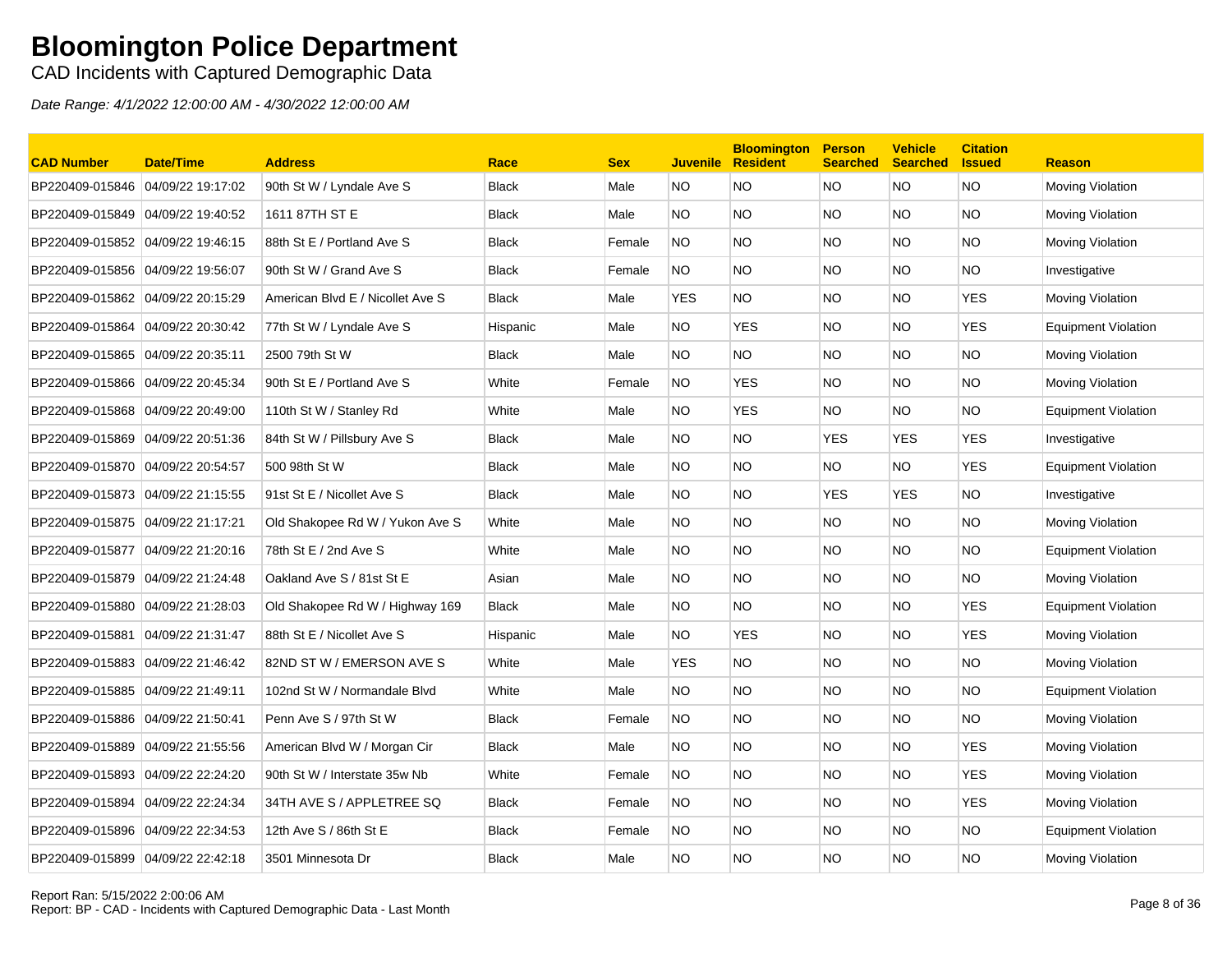CAD Incidents with Captured Demographic Data

| <b>CAD Number</b>                 | Date/Time         | <b>Address</b>                   | Race         | <b>Sex</b> | <b>Juvenile</b> | <b>Bloomington</b><br><b>Resident</b> | <b>Person</b><br><b>Searched</b> | <b>Vehicle</b><br><b>Searched</b> | <b>Citation</b><br><b>Issued</b> | <b>Reason</b>              |
|-----------------------------------|-------------------|----------------------------------|--------------|------------|-----------------|---------------------------------------|----------------------------------|-----------------------------------|----------------------------------|----------------------------|
| BP220409-015846 04/09/22 19:17:02 |                   | 90th St W / Lyndale Ave S        | <b>Black</b> | Male       | NO.             | <b>NO</b>                             | <b>NO</b>                        | <b>NO</b>                         | <b>NO</b>                        | Moving Violation           |
| BP220409-015849 04/09/22 19:40:52 |                   | 1611 87TH ST E                   | <b>Black</b> | Male       | NO.             | <b>NO</b>                             | <b>NO</b>                        | NO.                               | <b>NO</b>                        | Moving Violation           |
| BP220409-015852                   | 04/09/22 19:46:15 | 88th St E / Portland Ave S       | <b>Black</b> | Female     | <b>NO</b>       | <b>NO</b>                             | <b>NO</b>                        | NO.                               | <b>NO</b>                        | Moving Violation           |
| BP220409-015856 04/09/22 19:56:07 |                   | 90th St W / Grand Ave S          | <b>Black</b> | Female     | NO.             | <b>NO</b>                             | <b>NO</b>                        | NO.                               | NO.                              | Investigative              |
| BP220409-015862                   | 04/09/22 20:15:29 | American Blvd E / Nicollet Ave S | <b>Black</b> | Male       | <b>YES</b>      | NO.                                   | <b>NO</b>                        | NO.                               | <b>YES</b>                       | Moving Violation           |
| BP220409-015864                   | 04/09/22 20:30:42 | 77th St W / Lyndale Ave S        | Hispanic     | Male       | NO.             | YES                                   | <b>NO</b>                        | NO.                               | <b>YES</b>                       | <b>Equipment Violation</b> |
| BP220409-015865 04/09/22 20:35:11 |                   | 2500 79th St W                   | <b>Black</b> | Male       | NO.             | <b>NO</b>                             | <b>NO</b>                        | NO.                               | <b>NO</b>                        | Moving Violation           |
| BP220409-015866 04/09/22 20:45:34 |                   | 90th St E / Portland Ave S       | White        | Female     | NO.             | YES                                   | <b>NO</b>                        | NO.                               | <b>NO</b>                        | Moving Violation           |
| BP220409-015868 04/09/22 20:49:00 |                   | 110th St W / Stanley Rd          | White        | Male       | NO.             | <b>YES</b>                            | <b>NO</b>                        | NO.                               | <b>NO</b>                        | <b>Equipment Violation</b> |
| BP220409-015869                   | 04/09/22 20:51:36 | 84th St W / Pillsbury Ave S      | <b>Black</b> | Male       | NO.             | <b>NO</b>                             | <b>YES</b>                       | <b>YES</b>                        | <b>YES</b>                       | Investigative              |
| BP220409-015870 04/09/22 20:54:57 |                   | 500 98th St W                    | <b>Black</b> | Male       | NO.             | <b>NO</b>                             | <b>NO</b>                        | NO.                               | <b>YES</b>                       | <b>Equipment Violation</b> |
| BP220409-015873 04/09/22 21:15:55 |                   | 91st St E / Nicollet Ave S       | <b>Black</b> | Male       | NO.             | NO.                                   | <b>YES</b>                       | <b>YES</b>                        | NO.                              | Investigative              |
| BP220409-015875 04/09/22 21:17:21 |                   | Old Shakopee Rd W / Yukon Ave S  | White        | Male       | NO.             | <b>NO</b>                             | <b>NO</b>                        | NO.                               | NO.                              | Moving Violation           |
| BP220409-015877                   | 04/09/22 21:20:16 | 78th St E / 2nd Ave S            | White        | Male       | NO.             | <b>NO</b>                             | <b>NO</b>                        | NO.                               | <b>NO</b>                        | <b>Equipment Violation</b> |
| BP220409-015879 04/09/22 21:24:48 |                   | Oakland Ave S / 81st St E        | Asian        | Male       | NO.             | <b>NO</b>                             | <b>NO</b>                        | NO.                               | <b>NO</b>                        | Moving Violation           |
| BP220409-015880 04/09/22 21:28:03 |                   | Old Shakopee Rd W / Highway 169  | <b>Black</b> | Male       | NO.             | <b>NO</b>                             | <b>NO</b>                        | NO.                               | <b>YES</b>                       | <b>Equipment Violation</b> |
| BP220409-015881                   | 04/09/22 21:31:47 | 88th St E / Nicollet Ave S       | Hispanic     | Male       | NO.             | YES                                   | <b>NO</b>                        | NO.                               | <b>YES</b>                       | Moving Violation           |
| BP220409-015883 04/09/22 21:46:42 |                   | 82ND ST W / EMERSON AVE S        | White        | Male       | <b>YES</b>      | <b>NO</b>                             | <b>NO</b>                        | NO.                               | <b>NO</b>                        | Moving Violation           |
| BP220409-015885 04/09/22 21:49:11 |                   | 102nd St W / Normandale Blvd     | White        | Male       | NO.             | NO.                                   | <b>NO</b>                        | NO.                               | <b>NO</b>                        | <b>Equipment Violation</b> |
| BP220409-015886 04/09/22 21:50:41 |                   | Penn Ave S / 97th St W           | <b>Black</b> | Female     | NO.             | NO.                                   | <b>NO</b>                        | NO.                               | NO.                              | Moving Violation           |
| BP220409-015889                   | 04/09/22 21:55:56 | American Blvd W / Morgan Cir     | Black        | Male       | NO.             | <b>NO</b>                             | <b>NO</b>                        | NO.                               | <b>YES</b>                       | Moving Violation           |
| BP220409-015893 04/09/22 22:24:20 |                   | 90th St W / Interstate 35w Nb    | White        | Female     | NO.             | <b>NO</b>                             | <b>NO</b>                        | NO.                               | <b>YES</b>                       | Moving Violation           |
| BP220409-015894                   | 04/09/22 22:24:34 | 34TH AVE S / APPLETREE SQ        | <b>Black</b> | Female     | NO.             | <b>NO</b>                             | <b>NO</b>                        | NO.                               | <b>YES</b>                       | Moving Violation           |
| BP220409-015896                   | 04/09/22 22:34:53 | 12th Ave S / 86th St E           | <b>Black</b> | Female     | NO.             | <b>NO</b>                             | <b>NO</b>                        | NO.                               | <b>NO</b>                        | <b>Equipment Violation</b> |
| BP220409-015899 04/09/22 22:42:18 |                   | 3501 Minnesota Dr                | Black        | Male       | <b>NO</b>       | NO                                    | <b>NO</b>                        | NO.                               | <b>NO</b>                        | Moving Violation           |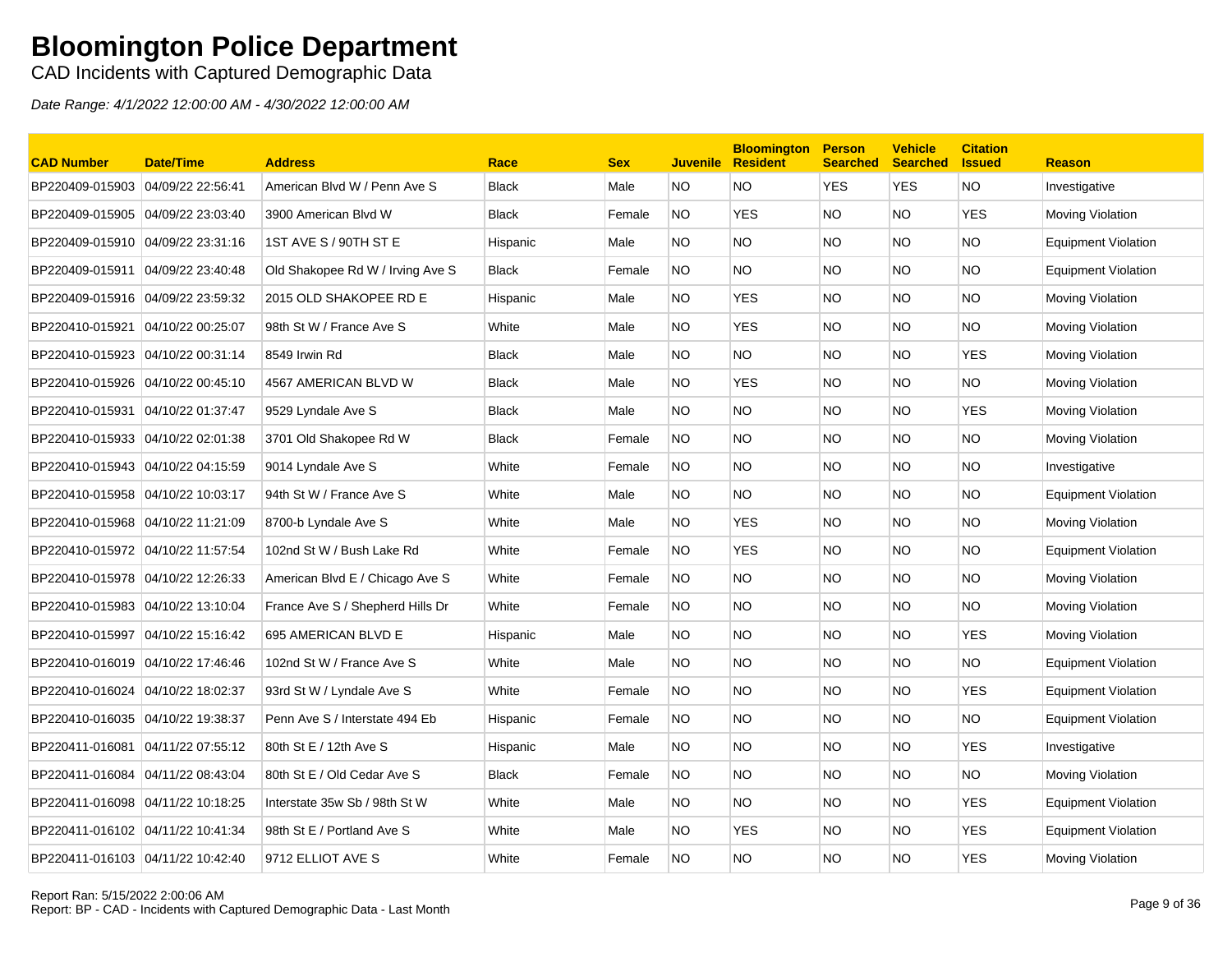CAD Incidents with Captured Demographic Data

| <b>CAD Number</b>                 | <b>Date/Time</b>  | <b>Address</b>                   | Race         | <b>Sex</b> | <b>Juvenile</b> | <b>Bloomington</b><br><b>Resident</b> | <b>Person</b><br><b>Searched</b> | <b>Vehicle</b><br><b>Searched</b> | <b>Citation</b><br><b>Issued</b> | <b>Reason</b>              |
|-----------------------------------|-------------------|----------------------------------|--------------|------------|-----------------|---------------------------------------|----------------------------------|-----------------------------------|----------------------------------|----------------------------|
| BP220409-015903                   | 04/09/22 22:56:41 | American Blvd W / Penn Ave S     | <b>Black</b> | Male       | <b>NO</b>       | <b>NO</b>                             | <b>YES</b>                       | <b>YES</b>                        | <b>NO</b>                        | Investigative              |
| BP220409-015905                   | 04/09/22 23:03:40 | 3900 American Blvd W             | <b>Black</b> | Female     | NO.             | <b>YES</b>                            | <b>NO</b>                        | NO.                               | <b>YES</b>                       | Moving Violation           |
| BP220409-015910 04/09/22 23:31:16 |                   | 1ST AVE S / 90TH ST E            | Hispanic     | Male       | NO.             | <b>NO</b>                             | <b>NO</b>                        | NO.                               | <b>NO</b>                        | <b>Equipment Violation</b> |
| BP220409-015911                   | 04/09/22 23:40:48 | Old Shakopee Rd W / Irving Ave S | <b>Black</b> | Female     | NO.             | NO.                                   | <b>NO</b>                        | NO.                               | NO.                              | <b>Equipment Violation</b> |
| BP220409-015916 04/09/22 23:59:32 |                   | 2015 OLD SHAKOPEE RD E           | Hispanic     | Male       | NO.             | <b>YES</b>                            | <b>NO</b>                        | NO.                               | <b>NO</b>                        | Moving Violation           |
| BP220410-015921                   | 04/10/22 00:25:07 | 98th St W / France Ave S         | White        | Male       | NO.             | <b>YES</b>                            | <b>NO</b>                        | NO.                               | <b>NO</b>                        | Moving Violation           |
| BP220410-015923 04/10/22 00:31:14 |                   | 8549 Irwin Rd                    | <b>Black</b> | Male       | NO.             | NO.                                   | <b>NO</b>                        | NO.                               | <b>YES</b>                       | Moving Violation           |
| BP220410-015926 04/10/22 00:45:10 |                   | 4567 AMERICAN BLVD W             | <b>Black</b> | Male       | NO.             | <b>YES</b>                            | <b>NO</b>                        | NO.                               | NO.                              | Moving Violation           |
| BP220410-015931                   | 04/10/22 01:37:47 | 9529 Lyndale Ave S               | <b>Black</b> | Male       | NO.             | <b>NO</b>                             | <b>NO</b>                        | NO.                               | <b>YES</b>                       | Moving Violation           |
| BP220410-015933                   | 04/10/22 02:01:38 | 3701 Old Shakopee Rd W           | <b>Black</b> | Female     | <b>NO</b>       | <b>NO</b>                             | <b>NO</b>                        | <b>NO</b>                         | <b>NO</b>                        | Moving Violation           |
| BP220410-015943 04/10/22 04:15:59 |                   | 9014 Lyndale Ave S               | White        | Female     | NO.             | NO.                                   | <b>NO</b>                        | NO.                               | NO.                              | Investigative              |
| BP220410-015958 04/10/22 10:03:17 |                   | 94th St W / France Ave S         | White        | Male       | NO.             | NO.                                   | <b>NO</b>                        | NO.                               | <b>NO</b>                        | <b>Equipment Violation</b> |
| BP220410-015968 04/10/22 11:21:09 |                   | 8700-b Lyndale Ave S             | White        | Male       | NO.             | YES                                   | <b>NO</b>                        | NO.                               | NO.                              | Moving Violation           |
| BP220410-015972 04/10/22 11:57:54 |                   | 102nd St W / Bush Lake Rd        | White        | Female     | NO.             | <b>YES</b>                            | <b>NO</b>                        | NO.                               | <b>NO</b>                        | <b>Equipment Violation</b> |
| BP220410-015978 04/10/22 12:26:33 |                   | American Blvd E / Chicago Ave S  | White        | Female     | NO.             | <b>NO</b>                             | <b>NO</b>                        | NO.                               | <b>NO</b>                        | Moving Violation           |
| BP220410-015983 04/10/22 13:10:04 |                   | France Ave S / Shepherd Hills Dr | White        | Female     | <b>NO</b>       | <b>NO</b>                             | <b>NO</b>                        | NO.                               | <b>NO</b>                        | Moving Violation           |
| BP220410-015997                   | 04/10/22 15:16:42 | 695 AMERICAN BLVD E              | Hispanic     | Male       | NO.             | <b>NO</b>                             | <b>NO</b>                        | NO.                               | <b>YES</b>                       | Moving Violation           |
| BP220410-016019 04/10/22 17:46:46 |                   | 102nd St W / France Ave S        | White        | Male       | NO.             | <b>NO</b>                             | <b>NO</b>                        | NO.                               | <b>NO</b>                        | <b>Equipment Violation</b> |
| BP220410-016024                   | 04/10/22 18:02:37 | 93rd St W / Lyndale Ave S        | White        | Female     | NO.             | NO.                                   | <b>NO</b>                        | NO.                               | <b>YES</b>                       | <b>Equipment Violation</b> |
| BP220410-016035 04/10/22 19:38:37 |                   | Penn Ave S / Interstate 494 Eb   | Hispanic     | Female     | NO.             | NO.                                   | <b>NO</b>                        | NO.                               | <b>NO</b>                        | Equipment Violation        |
| BP220411-016081                   | 04/11/22 07:55:12 | 80th St E / 12th Ave S           | Hispanic     | Male       | NO.             | <b>NO</b>                             | <b>NO</b>                        | NO.                               | <b>YES</b>                       | Investigative              |
| BP220411-016084                   | 04/11/22 08:43:04 | 80th St E / Old Cedar Ave S      | <b>Black</b> | Female     | NO.             | <b>NO</b>                             | <b>NO</b>                        | NO.                               | NO.                              | Moving Violation           |
| BP220411-016098 04/11/22 10:18:25 |                   | Interstate 35w Sb / 98th St W    | White        | Male       | NO.             | <b>NO</b>                             | <b>NO</b>                        | NO.                               | <b>YES</b>                       | <b>Equipment Violation</b> |
| BP220411-016102 04/11/22 10:41:34 |                   | 98th St E / Portland Ave S       | White        | Male       | NO.             | <b>YES</b>                            | <b>NO</b>                        | NO.                               | <b>YES</b>                       | <b>Equipment Violation</b> |
| BP220411-016103 04/11/22 10:42:40 |                   | 9712 ELLIOT AVE S                | White        | Female     | <b>NO</b>       | <b>NO</b>                             | <b>NO</b>                        | NO.                               | <b>YES</b>                       | Moving Violation           |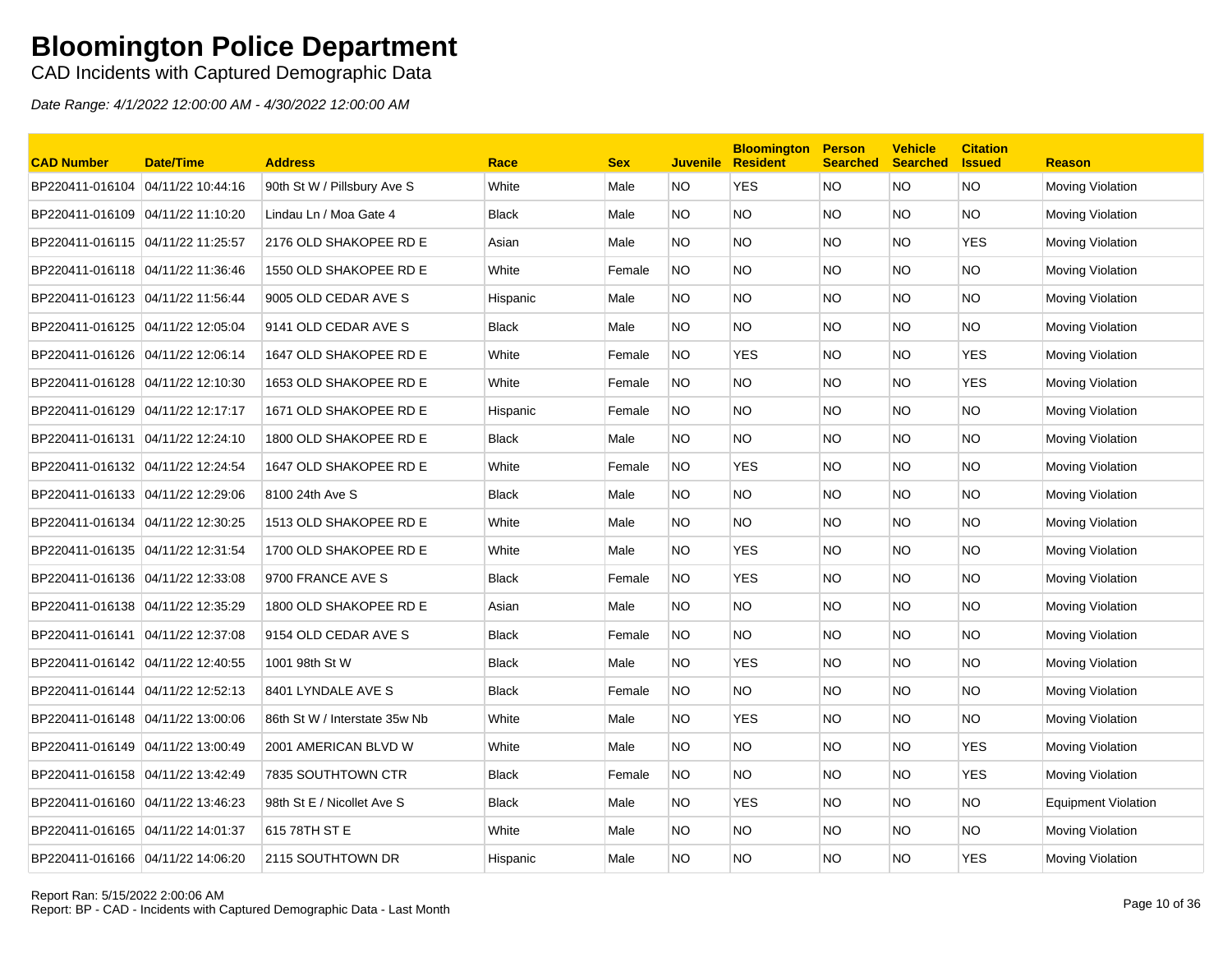CAD Incidents with Captured Demographic Data

| <b>CAD Number</b>                 | <b>Date/Time</b>  | <b>Address</b>                | Race         | <b>Sex</b> | <b>Juvenile</b> | <b>Bloomington</b><br><b>Resident</b> | <b>Person</b><br><b>Searched</b> | <b>Vehicle</b><br><b>Searched</b> | <b>Citation</b><br><b>Issued</b> | <b>Reason</b>              |
|-----------------------------------|-------------------|-------------------------------|--------------|------------|-----------------|---------------------------------------|----------------------------------|-----------------------------------|----------------------------------|----------------------------|
| BP220411-016104                   | 04/11/22 10:44:16 | 90th St W / Pillsbury Ave S   | White        | Male       | NO.             | <b>YES</b>                            | <b>NO</b>                        | <b>NO</b>                         | <b>NO</b>                        | Moving Violation           |
| BP220411-016109 04/11/22 11:10:20 |                   | Lindau Ln / Moa Gate 4        | <b>Black</b> | Male       | NO.             | <b>NO</b>                             | <b>NO</b>                        | NO.                               | <b>NO</b>                        | Moving Violation           |
| BP220411-016115 04/11/22 11:25:57 |                   | 2176 OLD SHAKOPEE RD E        | Asian        | Male       | NO.             | <b>NO</b>                             | <b>NO</b>                        | NO.                               | <b>YES</b>                       | Moving Violation           |
| BP220411-016118 04/11/22 11:36:46 |                   | 1550 OLD SHAKOPEE RD E        | White        | Female     | NO.             | <b>NO</b>                             | <b>NO</b>                        | NO.                               | NO.                              | Moving Violation           |
| BP220411-016123 04/11/22 11:56:44 |                   | 9005 OLD CEDAR AVE S          | Hispanic     | Male       | NO.             | NO.                                   | <b>NO</b>                        | NO.                               | <b>NO</b>                        | Moving Violation           |
|                                   |                   | 9141 OLD CEDAR AVE S          | Black        | Male       | NO.             | NO.                                   | <b>NO</b>                        | NO.                               | <b>NO</b>                        | Moving Violation           |
| BP220411-016126 04/11/22 12:06:14 |                   | 1647 OLD SHAKOPEE RD E        | White        | Female     | NO.             | <b>YES</b>                            | <b>NO</b>                        | NO.                               | <b>YES</b>                       | Moving Violation           |
|                                   |                   | 1653 OLD SHAKOPEE RD E        | White        | Female     | NO.             | <b>NO</b>                             | <b>NO</b>                        | NO.                               | <b>YES</b>                       | Moving Violation           |
| BP220411-016129 04/11/22 12:17:17 |                   | 1671 OLD SHAKOPEE RD E        | Hispanic     | Female     | NO.             | <b>NO</b>                             | <b>NO</b>                        | NO.                               | <b>NO</b>                        | Moving Violation           |
| BP220411-016131                   | 04/11/22 12:24:10 | 1800 OLD SHAKOPEE RD E        | <b>Black</b> | Male       | NO.             | <b>NO</b>                             | <b>NO</b>                        | NO.                               | <b>NO</b>                        | Moving Violation           |
| BP220411-016132 04/11/22 12:24:54 |                   | 1647 OLD SHAKOPEE RD E        | White        | Female     | NO.             | <b>YES</b>                            | <b>NO</b>                        | NO.                               | NO.                              | Moving Violation           |
| BP220411-016133 04/11/22 12:29:06 |                   | 8100 24th Ave S               | <b>Black</b> | Male       | NO.             | NO.                                   | <b>NO</b>                        | NO.                               | NO.                              | Moving Violation           |
|                                   |                   | 1513 OLD SHAKOPEE RD E        | White        | Male       | NO.             | NO.                                   | <b>NO</b>                        | NO.                               | NO.                              | Moving Violation           |
| BP220411-016135 04/11/22 12:31:54 |                   | 1700 OLD SHAKOPEE RD E        | White        | Male       | NO.             | <b>YES</b>                            | <b>NO</b>                        | NO.                               | <b>NO</b>                        | Moving Violation           |
|                                   |                   | 9700 FRANCE AVE S             | <b>Black</b> | Female     | NO.             | YES                                   | <b>NO</b>                        | NO.                               | <b>NO</b>                        | Moving Violation           |
| BP220411-016138 04/11/22 12:35:29 |                   | 1800 OLD SHAKOPEE RD E        | Asian        | Male       | NO.             | <b>NO</b>                             | <b>NO</b>                        | NO.                               | <b>NO</b>                        | Moving Violation           |
| BP220411-016141                   | 04/11/22 12:37:08 | 9154 OLD CEDAR AVE S          | <b>Black</b> | Female     | NO.             | <b>NO</b>                             | <b>NO</b>                        | NO.                               | <b>NO</b>                        | Moving Violation           |
| BP220411-016142 04/11/22 12:40:55 |                   | 1001 98th St W                | <b>Black</b> | Male       | NO.             | <b>YES</b>                            | <b>NO</b>                        | NO.                               | <b>NO</b>                        | Moving Violation           |
| BP220411-016144 04/11/22 12:52:13 |                   | 8401 LYNDALE AVE S            | <b>Black</b> | Female     | NO.             | NO.                                   | <b>NO</b>                        | NO.                               | NO.                              | Moving Violation           |
| BP220411-016148 04/11/22 13:00:06 |                   | 86th St W / Interstate 35w Nb | White        | Male       | NO.             | <b>YES</b>                            | NO.                              | NO.                               | NO.                              | Moving Violation           |
|                                   |                   | 2001 AMERICAN BLVD W          | White        | Male       | NO.             | <b>NO</b>                             | <b>NO</b>                        | NO.                               | <b>YES</b>                       | Moving Violation           |
| BP220411-016158 04/11/22 13:42:49 |                   | 7835 SOUTHTOWN CTR            | <b>Black</b> | Female     | NO.             | <b>NO</b>                             | <b>NO</b>                        | NO.                               | <b>YES</b>                       | Moving Violation           |
| BP220411-016160 04/11/22 13:46:23 |                   | 98th St E / Nicollet Ave S    | <b>Black</b> | Male       | NO.             | <b>YES</b>                            | <b>NO</b>                        | NO.                               | <b>NO</b>                        | <b>Equipment Violation</b> |
| BP220411-016165 04/11/22 14:01:37 |                   | 615 78TH ST E                 | White        | Male       | NO.             | <b>NO</b>                             | <b>NO</b>                        | NO.                               | <b>NO</b>                        | Moving Violation           |
| BP220411-016166 04/11/22 14:06:20 |                   | 2115 SOUTHTOWN DR             | Hispanic     | Male       | NO.             | ΝO                                    | <b>NO</b>                        | <b>NO</b>                         | <b>YES</b>                       | Moving Violation           |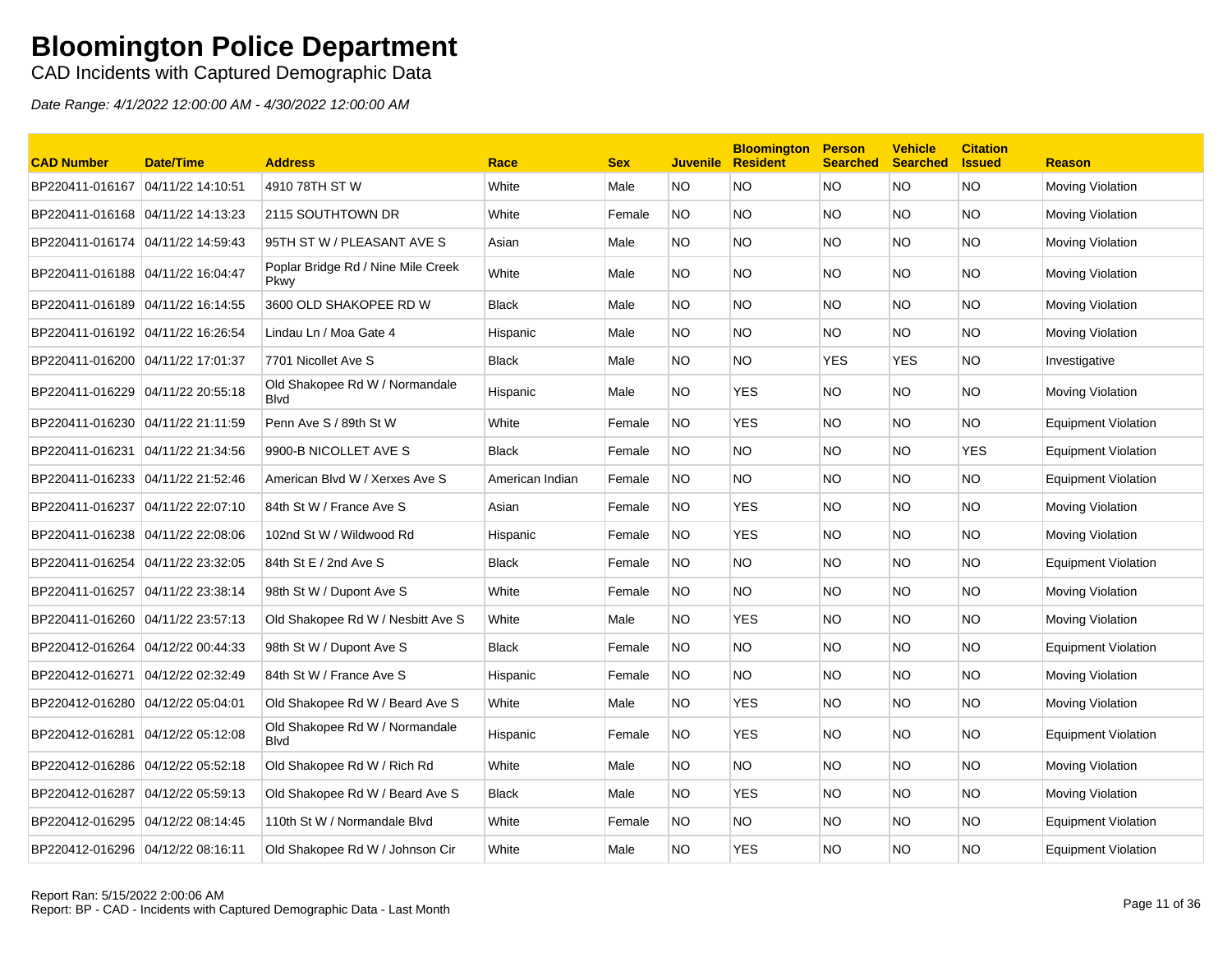CAD Incidents with Captured Demographic Data

| <b>CAD Number</b>                 | <b>Date/Time</b>  | <b>Address</b>                                 | Race            | <b>Sex</b> | <b>Juvenile</b> | <b>Bloomington</b><br><b>Resident</b> | <b>Person</b><br><b>Searched</b> | <b>Vehicle</b><br><b>Searched</b> | <b>Citation</b><br><b>Issued</b> | <b>Reason</b>              |
|-----------------------------------|-------------------|------------------------------------------------|-----------------|------------|-----------------|---------------------------------------|----------------------------------|-----------------------------------|----------------------------------|----------------------------|
| BP220411-016167                   | 04/11/22 14:10:51 | 4910 78TH ST W                                 | White           | Male       | <b>NO</b>       | NO.                                   | <b>NO</b>                        | NO.                               | NO.                              | Moving Violation           |
| BP220411-016168 04/11/22 14:13:23 |                   | 2115 SOUTHTOWN DR                              | White           | Female     | <b>NO</b>       | NO.                                   | NO.                              | NO.                               | NO.                              | Moving Violation           |
| BP220411-016174 04/11/22 14:59:43 |                   | 95TH ST W / PLEASANT AVE S                     | Asian           | Male       | NO              | NO                                    | <b>NO</b>                        | NO.                               | NO                               | Moving Violation           |
| BP220411-016188 04/11/22 16:04:47 |                   | Poplar Bridge Rd / Nine Mile Creek<br>Pkwy     | White           | Male       | NO.             | NO.                                   | <b>NO</b>                        | NO.                               | NO.                              | Moving Violation           |
| BP220411-016189 04/11/22 16:14:55 |                   | 3600 OLD SHAKOPEE RD W                         | Black           | Male       | NO.             | ΝO                                    | <b>NO</b>                        | NO.                               | NO.                              | Moving Violation           |
| BP220411-016192 04/11/22 16:26:54 |                   | Lindau Ln / Moa Gate 4                         | Hispanic        | Male       | NO.             | <b>NO</b>                             | <b>NO</b>                        | NO.                               | <b>NO</b>                        | Moving Violation           |
|                                   |                   | 7701 Nicollet Ave S                            | <b>Black</b>    | Male       | NO.             | NO.                                   | <b>YES</b>                       | <b>YES</b>                        | ΝO                               | Investigative              |
| BP220411-016229                   | 04/11/22 20:55:18 | Old Shakopee Rd W / Normandale<br><b>B</b> lvd | Hispanic        | Male       | NO.             | <b>YES</b>                            | <b>NO</b>                        | NO.                               | ΝO                               | Moving Violation           |
| BP220411-016230 04/11/22 21:11:59 |                   | Penn Ave S / 89th St W                         | White           | Female     | NO.             | <b>YES</b>                            | <b>NO</b>                        | NO.                               | NO.                              | <b>Equipment Violation</b> |
| BP220411-016231                   | 04/11/22 21:34:56 | 9900-B NICOLLET AVE S                          | <b>Black</b>    | Female     | <b>NO</b>       | NO.                                   | <b>NO</b>                        | NO.                               | <b>YES</b>                       | <b>Equipment Violation</b> |
| BP220411-016233 04/11/22 21:52:46 |                   | American Blvd W / Xerxes Ave S                 | American Indian | Female     | <b>NO</b>       | NO.                                   | <b>NO</b>                        | NO.                               | NO.                              | <b>Equipment Violation</b> |
| BP220411-016237                   | 04/11/22 22:07:10 | 84th St W / France Ave S                       | Asian           | Female     | <b>NO</b>       | <b>YES</b>                            | <b>NO</b>                        | <b>NO</b>                         | <b>NO</b>                        | Moving Violation           |
| BP220411-016238 04/11/22 22:08:06 |                   | 102nd St W / Wildwood Rd                       | Hispanic        | Female     | NO.             | <b>YES</b>                            | <b>NO</b>                        | NO.                               | <b>NO</b>                        | Moving Violation           |
|                                   |                   | 84th St E / 2nd Ave S                          | <b>Black</b>    | Female     | NO              | NO.                                   | <b>NO</b>                        | NO.                               | <b>NO</b>                        | <b>Equipment Violation</b> |
| BP220411-016257 04/11/22 23:38:14 |                   | 98th St W / Dupont Ave S                       | White           | Female     | <b>NO</b>       | NO.                                   | <b>NO</b>                        | NO.                               | ΝO                               | Moving Violation           |
| BP220411-016260 04/11/22 23:57:13 |                   | Old Shakopee Rd W / Nesbitt Ave S              | White           | Male       | NO.             | <b>YES</b>                            | <b>NO</b>                        | NO.                               | NO                               | Moving Violation           |
| BP220412-016264 04/12/22 00:44:33 |                   | 98th St W / Dupont Ave S                       | <b>Black</b>    | Female     | NO              | NO.                                   | <b>NO</b>                        | NO.                               | <b>NO</b>                        | <b>Equipment Violation</b> |
| BP220412-016271 04/12/22 02:32:49 |                   | 84th St W / France Ave S                       | Hispanic        | Female     | NO.             | NO.                                   | <b>NO</b>                        | NO.                               | NO.                              | Moving Violation           |
| BP220412-016280 04/12/22 05:04:01 |                   | Old Shakopee Rd W / Beard Ave S                | White           | Male       | NO.             | <b>YES</b>                            | <b>NO</b>                        | NO.                               | <b>NO</b>                        | Moving Violation           |
| BP220412-016281 04/12/22 05:12:08 |                   | Old Shakopee Rd W / Normandale<br><b>Blvd</b>  | Hispanic        | Female     | <b>NO</b>       | <b>YES</b>                            | <b>NO</b>                        | NO.                               | NO                               | <b>Equipment Violation</b> |
| BP220412-016286 04/12/22 05:52:18 |                   | Old Shakopee Rd W / Rich Rd                    | White           | Male       | NO              | NO.                                   | <b>NO</b>                        | NO.                               | NO.                              | Moving Violation           |
| BP220412-016287                   | 04/12/22 05:59:13 | Old Shakopee Rd W / Beard Ave S                | Black           | Male       | NO.             | <b>YES</b>                            | <b>NO</b>                        | NO.                               | <b>NO</b>                        | Moving Violation           |
| BP220412-016295 04/12/22 08:14:45 |                   | 110th St W / Normandale Blvd                   | White           | Female     | <b>NO</b>       | NO.                                   | <b>NO</b>                        | NO.                               | NO                               | <b>Equipment Violation</b> |
| BP220412-016296 04/12/22 08:16:11 |                   | Old Shakopee Rd W / Johnson Cir                | White           | Male       | NO              | <b>YES</b>                            | <b>NO</b>                        | NO.                               | NO                               | <b>Equipment Violation</b> |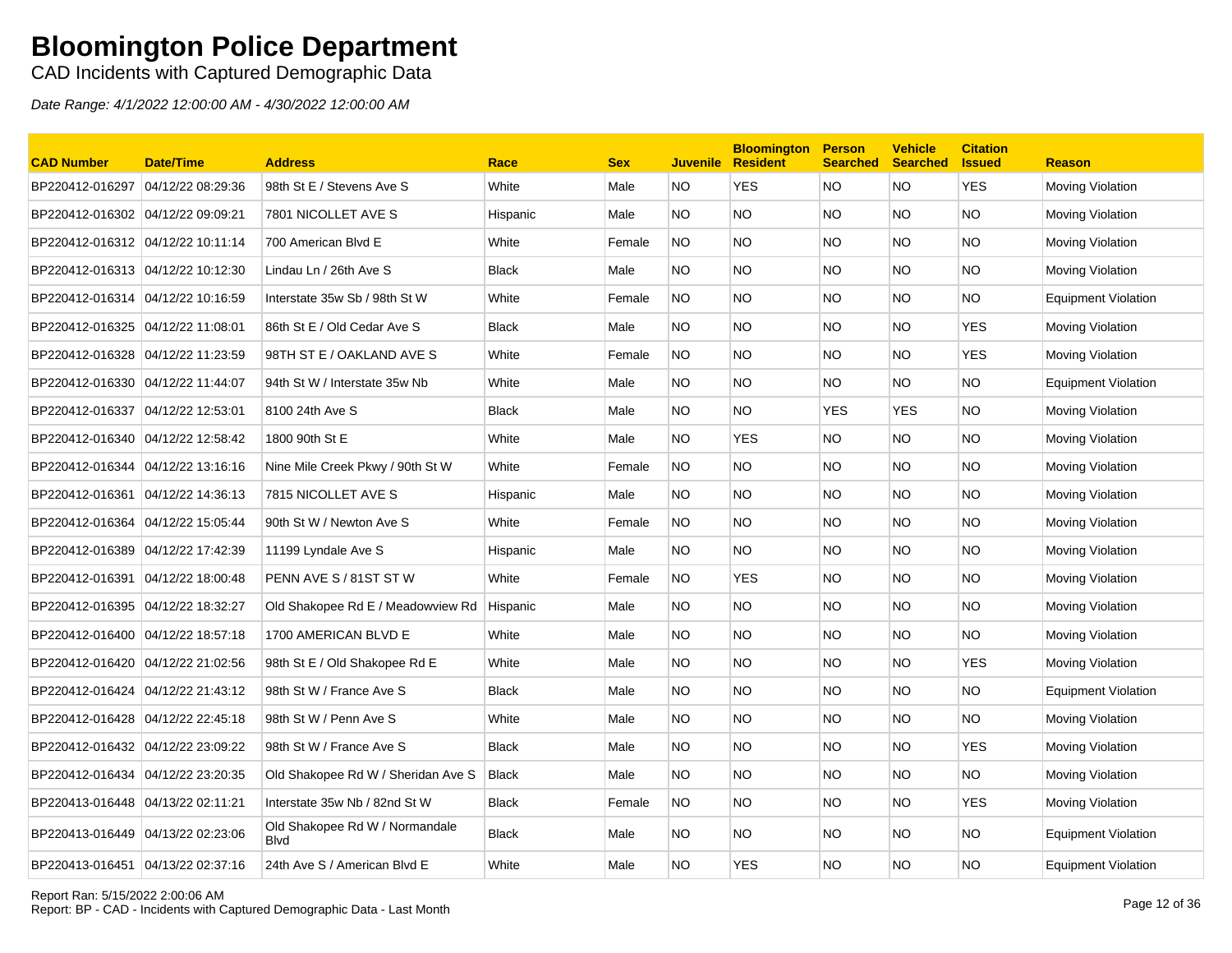CAD Incidents with Captured Demographic Data

| <b>CAD Number</b>                 | <b>Date/Time</b>  | <b>Address</b>                                 | Race         | <b>Sex</b> | <b>Juvenile</b> | <b>Bloomington</b><br><b>Resident</b> | <b>Person</b><br><b>Searched</b> | <b>Vehicle</b><br><b>Searched</b> | <b>Citation</b><br><b>Issued</b> | <b>Reason</b>              |
|-----------------------------------|-------------------|------------------------------------------------|--------------|------------|-----------------|---------------------------------------|----------------------------------|-----------------------------------|----------------------------------|----------------------------|
| BP220412-016297                   | 04/12/22 08:29:36 | 98th St E / Stevens Ave S                      | White        | Male       | NO.             | <b>YES</b>                            | <b>NO</b>                        | NO.                               | <b>YES</b>                       | Moving Violation           |
| BP220412-016302 04/12/22 09:09:21 |                   | 7801 NICOLLET AVE S                            | Hispanic     | Male       | NO.             | <b>NO</b>                             | <b>NO</b>                        | NO.                               | <b>NO</b>                        | Moving Violation           |
| BP220412-016312 04/12/22 10:11:14 |                   | 700 American Blvd E                            | White        | Female     | NO.             | <b>NO</b>                             | <b>NO</b>                        | NO.                               | <b>NO</b>                        | Moving Violation           |
| BP220412-016313 04/12/22 10:12:30 |                   | Lindau Ln / 26th Ave S                         | <b>Black</b> | Male       | NO.             | NO.                                   | <b>NO</b>                        | NO.                               | NO.                              | Moving Violation           |
| BP220412-016314 04/12/22 10:16:59 |                   | Interstate 35w Sb / 98th St W                  | White        | Female     | NO.             | <b>NO</b>                             | <b>NO</b>                        | NO.                               | NO.                              | <b>Equipment Violation</b> |
|                                   |                   | 86th St E / Old Cedar Ave S                    | <b>Black</b> | Male       | NO.             | <b>NO</b>                             | <b>NO</b>                        | NO.                               | <b>YES</b>                       | Moving Violation           |
| BP220412-016328 04/12/22 11:23:59 |                   | 98TH ST E / OAKLAND AVE S                      | White        | Female     | NO.             | <b>NO</b>                             | <b>NO</b>                        | NO.                               | <b>YES</b>                       | Moving Violation           |
| BP220412-016330                   | 04/12/22 11:44:07 | 94th St W / Interstate 35w Nb                  | White        | Male       | NO.             | NO.                                   | <b>NO</b>                        | NO.                               | NO.                              | <b>Equipment Violation</b> |
| BP220412-016337                   | 04/12/22 12:53:01 | 8100 24th Ave S                                | <b>Black</b> | Male       | NO.             | <b>NO</b>                             | <b>YES</b>                       | <b>YES</b>                        | <b>NO</b>                        | Moving Violation           |
| BP220412-016340 04/12/22 12:58:42 |                   | 1800 90th St E                                 | White        | Male       | NO.             | <b>YES</b>                            | <b>NO</b>                        | NO.                               | NO.                              | Moving Violation           |
| BP220412-016344                   | 04/12/22 13:16:16 | Nine Mile Creek Pkwy / 90th St W               | White        | Female     | NO.             | <b>NO</b>                             | <b>NO</b>                        | NO.                               | NO.                              | Moving Violation           |
| BP220412-016361                   | 04/12/22 14:36:13 | 7815 NICOLLET AVE S                            | Hispanic     | Male       | NO.             | <b>NO</b>                             | <b>NO</b>                        | NO.                               | <b>NO</b>                        | Moving Violation           |
|                                   |                   | 90th St W / Newton Ave S                       | White        | Female     | NO.             | <b>NO</b>                             | <b>NO</b>                        | NO.                               | <b>NO</b>                        | Moving Violation           |
| BP220412-016389 04/12/22 17:42:39 |                   | 11199 Lyndale Ave S                            | Hispanic     | Male       | NO.             | <b>NO</b>                             | <b>NO</b>                        | NO.                               | <b>NO</b>                        | Moving Violation           |
| BP220412-016391                   | 04/12/22 18:00:48 | PENN AVE S / 81ST ST W                         | White        | Female     | NO.             | <b>YES</b>                            | <b>NO</b>                        | NO.                               | <b>NO</b>                        | Moving Violation           |
| BP220412-016395 04/12/22 18:32:27 |                   | Old Shakopee Rd E / Meadowview Rd              | Hispanic     | Male       | NO.             | NO.                                   | <b>NO</b>                        | NO.                               | NO.                              | Moving Violation           |
| BP220412-016400 04/12/22 18:57:18 |                   | 1700 AMERICAN BLVD E                           | White        | Male       | NO.             | <b>NO</b>                             | <b>NO</b>                        | NO.                               | NO.                              | Moving Violation           |
| BP220412-016420 04/12/22 21:02:56 |                   | 98th St E / Old Shakopee Rd E                  | White        | Male       | NO.             | <b>NO</b>                             | <b>NO</b>                        | NO.                               | <b>YES</b>                       | Moving Violation           |
| BP220412-016424 04/12/22 21:43:12 |                   | 98th St W / France Ave S                       | <b>Black</b> | Male       | NO.             | <b>NO</b>                             | <b>NO</b>                        | NO.                               | <b>NO</b>                        | <b>Equipment Violation</b> |
| BP220412-016428 04/12/22 22:45:18 |                   | 98th St W / Penn Ave S                         | White        | Male       | NO.             | <b>NO</b>                             | <b>NO</b>                        | NO.                               | <b>NO</b>                        | Moving Violation           |
| BP220412-016432 04/12/22 23:09:22 |                   | 98th St W / France Ave S                       | <b>Black</b> | Male       | NO.             | <b>NO</b>                             | <b>NO</b>                        | NO.                               | <b>YES</b>                       | Moving Violation           |
| BP220412-016434                   | 04/12/22 23:20:35 | Old Shakopee Rd W / Sheridan Ave S             | <b>Black</b> | Male       | NO.             | NO.                                   | <b>NO</b>                        | NO.                               | NO.                              | Moving Violation           |
| BP220413-016448 04/13/22 02:11:21 |                   | Interstate 35w Nb / 82nd St W                  | <b>Black</b> | Female     | NO.             | NO.                                   | <b>NO</b>                        | NO.                               | <b>YES</b>                       | Moving Violation           |
| BP220413-016449 04/13/22 02:23:06 |                   | Old Shakopee Rd W / Normandale<br><b>B</b> lvd | <b>Black</b> | Male       | NO.             | <b>NO</b>                             | <b>NO</b>                        | NO.                               | <b>NO</b>                        | <b>Equipment Violation</b> |
| BP220413-016451 04/13/22 02:37:16 |                   | 24th Ave S / American Blvd E                   | White        | Male       | NO.             | <b>YES</b>                            | <b>NO</b>                        | <b>NO</b>                         | <b>NO</b>                        | <b>Equipment Violation</b> |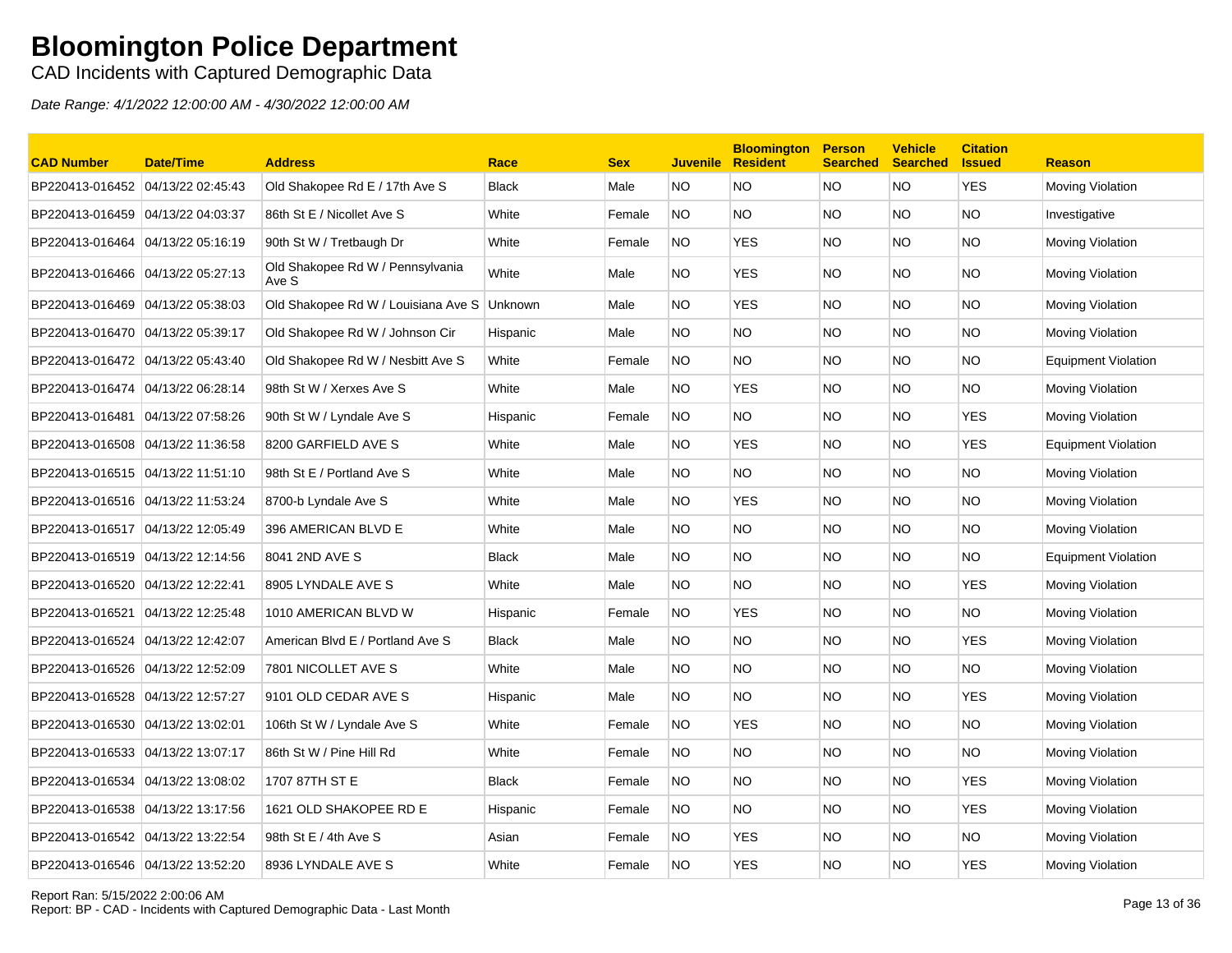CAD Incidents with Captured Demographic Data

| <b>CAD Number</b>                 | <b>Date/Time</b>  | <b>Address</b>                                | Race         | <b>Sex</b> | <b>Juvenile</b> | <b>Bloomington</b><br><b>Resident</b> | <b>Person</b><br><b>Searched</b> | <b>Vehicle</b><br><b>Searched</b> | <b>Citation</b><br><b>Issued</b> | <b>Reason</b>              |
|-----------------------------------|-------------------|-----------------------------------------------|--------------|------------|-----------------|---------------------------------------|----------------------------------|-----------------------------------|----------------------------------|----------------------------|
| BP220413-016452 04/13/22 02:45:43 |                   | Old Shakopee Rd E / 17th Ave S                | <b>Black</b> | Male       | <b>NO</b>       | NO.                                   | <b>NO</b>                        | <b>NO</b>                         | <b>YES</b>                       | <b>Moving Violation</b>    |
| BP220413-016459 04/13/22 04:03:37 |                   | 86th St E / Nicollet Ave S                    | White        | Female     | <b>NO</b>       | NO.                                   | NO.                              | <b>NO</b>                         | NO.                              | Investigative              |
| BP220413-016464                   | 04/13/22 05:16:19 | 90th St W / Tretbaugh Dr                      | White        | Female     | <b>NO</b>       | <b>YES</b>                            | <b>NO</b>                        | <b>NO</b>                         | NO.                              | Moving Violation           |
| BP220413-016466 04/13/22 05:27:13 |                   | Old Shakopee Rd W / Pennsylvania<br>Ave S     | White        | Male       | <b>NO</b>       | <b>YES</b>                            | NO.                              | NO.                               | <b>NO</b>                        | Moving Violation           |
| BP220413-016469 04/13/22 05:38:03 |                   | Old Shakopee Rd W / Louisiana Ave S   Unknown |              | Male       | NO.             | <b>YES</b>                            | <b>NO</b>                        | <b>NO</b>                         | <b>NO</b>                        | <b>Moving Violation</b>    |
| BP220413-016470 04/13/22 05:39:17 |                   | Old Shakopee Rd W / Johnson Cir               | Hispanic     | Male       | <b>NO</b>       | NO.                                   | <b>NO</b>                        | <b>NO</b>                         | NO.                              | <b>Moving Violation</b>    |
| BP220413-016472 04/13/22 05:43:40 |                   | Old Shakopee Rd W / Nesbitt Ave S             | White        | Female     | <b>NO</b>       | NO.                                   | NO.                              | <b>NO</b>                         | <b>NO</b>                        | <b>Equipment Violation</b> |
| BP220413-016474 04/13/22 06:28:14 |                   | 98th St W / Xerxes Ave S                      | White        | Male       | NO.             | <b>YES</b>                            | NO.                              | NO.                               | NO.                              | <b>Moving Violation</b>    |
| BP220413-016481                   | 04/13/22 07:58:26 | 90th St W / Lyndale Ave S                     | Hispanic     | Female     | NO.             | NO.                                   | NO.                              | <b>NO</b>                         | <b>YES</b>                       | Moving Violation           |
| BP220413-016508 04/13/22 11:36:58 |                   | 8200 GARFIELD AVE S                           | White        | Male       | <b>NO</b>       | <b>YES</b>                            | NO.                              | <b>NO</b>                         | <b>YES</b>                       | Equipment Violation        |
| BP220413-016515 04/13/22 11:51:10 |                   | 98th St E / Portland Ave S                    | White        | Male       | <b>NO</b>       | NO.                                   | NO.                              | <b>NO</b>                         | <b>NO</b>                        | <b>Moving Violation</b>    |
| BP220413-016516 04/13/22 11:53:24 |                   | 8700-b Lyndale Ave S                          | White        | Male       | <b>NO</b>       | <b>YES</b>                            | NO.                              | <b>NO</b>                         | NO.                              | <b>Moving Violation</b>    |
| BP220413-016517 04/13/22 12:05:49 |                   | 396 AMERICAN BLVD E                           | White        | Male       | <b>NO</b>       | NO.                                   | <b>NO</b>                        | <b>NO</b>                         | <b>NO</b>                        | <b>Moving Violation</b>    |
| BP220413-016519 04/13/22 12:14:56 |                   | 8041 2ND AVE S                                | Black        | Male       | NO.             | NO.                                   | NO.                              | <b>NO</b>                         | NO.                              | <b>Equipment Violation</b> |
| BP220413-016520 04/13/22 12:22:41 |                   | 8905 LYNDALE AVE S                            | White        | Male       | NO.             | NO.                                   | NO.                              | NO.                               | <b>YES</b>                       | <b>Moving Violation</b>    |
| BP220413-016521                   | 04/13/22 12:25:48 | 1010 AMERICAN BLVD W                          | Hispanic     | Female     | NO.             | <b>YES</b>                            | NO.                              | <b>NO</b>                         | NO.                              | Moving Violation           |
| BP220413-016524 04/13/22 12:42:07 |                   | American Blvd E / Portland Ave S              | <b>Black</b> | Male       | <b>NO</b>       | NO.                                   | NO.                              | <b>NO</b>                         | <b>YES</b>                       | <b>Moving Violation</b>    |
| BP220413-016526 04/13/22 12:52:09 |                   | 7801 NICOLLET AVE S                           | White        | Male       | <b>NO</b>       | NO.                                   | NO.                              | <b>NO</b>                         | NO.                              | Moving Violation           |
| BP220413-016528 04/13/22 12:57:27 |                   | 9101 OLD CEDAR AVE S                          | Hispanic     | Male       | NO.             | NO.                                   | NO.                              | <b>NO</b>                         | <b>YES</b>                       | <b>Moving Violation</b>    |
| BP220413-016530 04/13/22 13:02:01 |                   | 106th St W / Lyndale Ave S                    | White        | Female     | NO.             | <b>YES</b>                            | NO.                              | NO.                               | NO.                              | <b>Moving Violation</b>    |
| BP220413-016533 04/13/22 13:07:17 |                   | 86th St W / Pine Hill Rd                      | White        | Female     | <b>NO</b>       | NO.                                   | NO.                              | NO.                               | NO.                              | Moving Violation           |
| BP220413-016534 04/13/22 13:08:02 |                   | 1707 87TH ST E                                | <b>Black</b> | Female     | NO.             | NO.                                   | NO.                              | NO.                               | YES                              | Moving Violation           |
| BP220413-016538 04/13/22 13:17:56 |                   | 1621 OLD SHAKOPEE RD E                        | Hispanic     | Female     | <b>NO</b>       | NO.                                   | NO.                              | <b>NO</b>                         | <b>YES</b>                       | Moving Violation           |
| BP220413-016542 04/13/22 13:22:54 |                   | 98th St $E/4$ th Ave S                        | Asian        | Female     | NO.             | <b>YES</b>                            | NO.                              | <b>NO</b>                         | NO.                              | <b>Moving Violation</b>    |
| BP220413-016546 04/13/22 13:52:20 |                   | 8936 LYNDALE AVE S                            | White        | Female     | <b>NO</b>       | <b>YES</b>                            | NO.                              | <b>NO</b>                         | <b>YES</b>                       | <b>Moving Violation</b>    |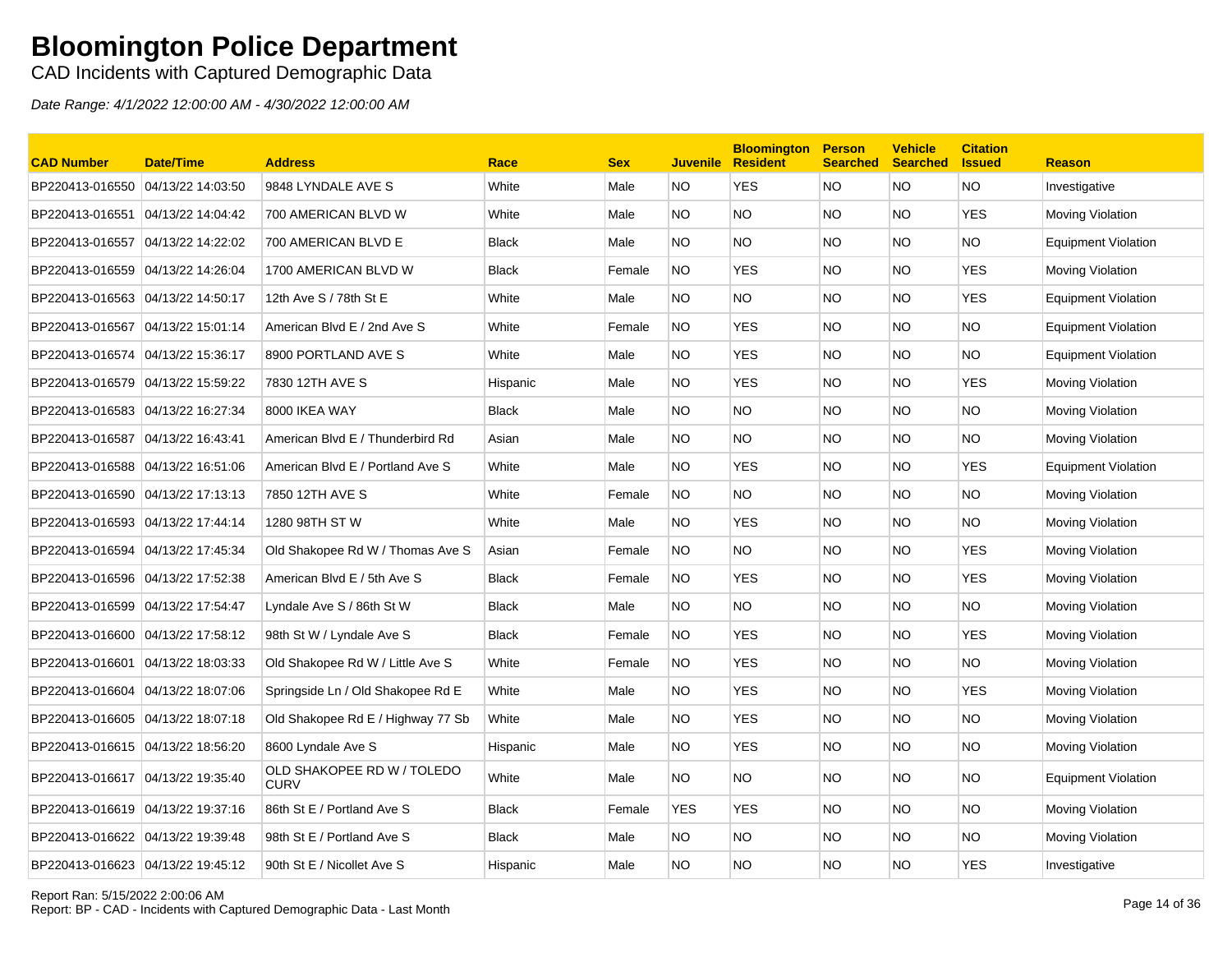CAD Incidents with Captured Demographic Data

| <b>CAD Number</b>                  | <b>Date/Time</b>  | <b>Address</b>                            | Race         | <b>Sex</b> | <b>Juvenile</b> | <b>Bloomington</b><br><b>Resident</b> | <b>Person</b><br><b>Searched</b> | <b>Vehicle</b><br><b>Searched</b> | <b>Citation</b><br><b>Issued</b> | <b>Reason</b>              |
|------------------------------------|-------------------|-------------------------------------------|--------------|------------|-----------------|---------------------------------------|----------------------------------|-----------------------------------|----------------------------------|----------------------------|
| BP220413-016550 04/13/22 14:03:50  |                   | 9848 LYNDALE AVE S                        | White        | Male       | NO.             | <b>YES</b>                            | <b>NO</b>                        | <b>NO</b>                         | <b>NO</b>                        | Investigative              |
| BP220413-016551 04/13/22 14:04:42  |                   | 700 AMERICAN BLVD W                       | White        | Male       | NO.             | NO.                                   | NO.                              | NO.                               | <b>YES</b>                       | <b>Moving Violation</b>    |
| BP220413-016557                    | 04/13/22 14:22:02 | 700 AMERICAN BLVD E                       | <b>Black</b> | Male       | NO.             | NO.                                   | NO.                              | NO.                               | <b>NO</b>                        | <b>Equipment Violation</b> |
| BP220413-016559 04/13/22 14:26:04  |                   | 1700 AMERICAN BLVD W                      | Black        | Female     | NO.             | <b>YES</b>                            | NO.                              | NO.                               | YES                              | Moving Violation           |
| BP220413-016563 04/13/22 14:50:17  |                   | 12th Ave S / 78th St E                    | White        | Male       | NO.             | NO.                                   | NO.                              | NO.                               | <b>YES</b>                       | <b>Equipment Violation</b> |
| BP220413-016567 04/13/22 15:01:14  |                   | American Blvd E / 2nd Ave S               | White        | Female     | NO.             | <b>YES</b>                            | NO.                              | NO.                               | <b>NO</b>                        | <b>Equipment Violation</b> |
| BP220413-016574 04/13/22 15:36:17  |                   | 8900 PORTLAND AVE S                       | White        | Male       | NO.             | <b>YES</b>                            | <b>NO</b>                        | NO.                               | <b>NO</b>                        | <b>Equipment Violation</b> |
| BP220413-016579 04/13/22 15:59:22  |                   | 7830 12TH AVE S                           | Hispanic     | Male       | NO.             | <b>YES</b>                            | NO.                              | NO.                               | <b>YES</b>                       | <b>Moving Violation</b>    |
| BP220413-016583 04/13/22 16:27:34  |                   | 8000 IKEA WAY                             | <b>Black</b> | Male       | NO.             | NO.                                   | <b>NO</b>                        | NO.                               | <b>NO</b>                        | <b>Moving Violation</b>    |
| BP220413-016587                    | 04/13/22 16:43:41 | American Blvd E / Thunderbird Rd          | Asian        | Male       | NO.             | NO.                                   | NO.                              | NO.                               | <b>NO</b>                        | Moving Violation           |
| BP220413-016588 04/13/22 16:51:06  |                   | American Blvd E / Portland Ave S          | White        | Male       | NO.             | <b>YES</b>                            | NO.                              | NO.                               | <b>YES</b>                       | <b>Equipment Violation</b> |
| BP220413-016590 04/13/22 17:13:13  |                   | 7850 12TH AVE S                           | White        | Female     | <b>NO</b>       | <b>NO</b>                             | <b>NO</b>                        | NO.                               | <b>NO</b>                        | Moving Violation           |
| BP220413-016593 04/13/22 17:44:14  |                   | 1280 98TH ST W                            | White        | Male       | NO.             | YES                                   | NO.                              | NO.                               | <b>NO</b>                        | Moving Violation           |
| BP220413-016594 04/13/22 17:45:34  |                   | Old Shakopee Rd W / Thomas Ave S          | Asian        | Female     | <b>NO</b>       | NO.                                   | <b>NO</b>                        | NO.                               | <b>YES</b>                       | Moving Violation           |
| BP220413-016596 04/13/22 17:52:38  |                   | American Blvd E / 5th Ave S               | <b>Black</b> | Female     | <b>NO</b>       | <b>YES</b>                            | NO.                              | NO.                               | YES                              | <b>Moving Violation</b>    |
| BP220413-016599 04/13/22 17:54:47  |                   | Lyndale Ave S / 86th St W                 | <b>Black</b> | Male       | NO.             | NO.                                   | NO.                              | NO.                               | <b>NO</b>                        | Moving Violation           |
| BP220413-016600 04/13/22 17:58:12  |                   | 98th St W / Lyndale Ave S                 | <b>Black</b> | Female     | NO.             | <b>YES</b>                            | NO.                              | NO.                               | YES                              | Moving Violation           |
| BP220413-016601 04/13/22 18:03:33  |                   | Old Shakopee Rd W / Little Ave S          | White        | Female     | NO.             | <b>YES</b>                            | NO.                              | NO.                               | <b>NO</b>                        | Moving Violation           |
| BP220413-016604 04/13/22 18:07:06  |                   | Springside Ln / Old Shakopee Rd E         | White        | Male       | NO.             | <b>YES</b>                            | NO.                              | NO.                               | <b>YES</b>                       | Moving Violation           |
| BP220413-016605 04/13/22 18:07:18  |                   | Old Shakopee Rd E / Highway 77 Sb         | White        | Male       | NO.             | <b>YES</b>                            | <b>NO</b>                        | NO.                               | <b>NO</b>                        | Moving Violation           |
| BP220413-016615 04/13/22 18:56:20  |                   | 8600 Lyndale Ave S                        | Hispanic     | Male       | NO.             | <b>YES</b>                            | NO.                              | NO.                               | <b>NO</b>                        | Moving Violation           |
|                                    |                   | OLD SHAKOPEE RD W / TOLEDO<br><b>CURV</b> | White        | Male       | NO.             | NO.                                   | <b>NO</b>                        | NO.                               | <b>NO</b>                        | Equipment Violation        |
| BP220413-016619 04/13/22 19:37:16  |                   | 86th St E / Portland Ave S                | <b>Black</b> | Female     | <b>YES</b>      | <b>YES</b>                            | <b>NO</b>                        | NO.                               | <b>NO</b>                        | Moving Violation           |
| BP220413-016622  04/13/22 19:39:48 |                   | 98th St E / Portland Ave S                | <b>Black</b> | Male       | NO.             | NO.                                   | NO.                              | NO.                               | <b>NO</b>                        | Moving Violation           |
| BP220413-016623 04/13/22 19:45:12  |                   | 90th St E / Nicollet Ave S                | Hispanic     | Male       | NO.             | <b>NO</b>                             | NO.                              | NO.                               | <b>YES</b>                       | Investigative              |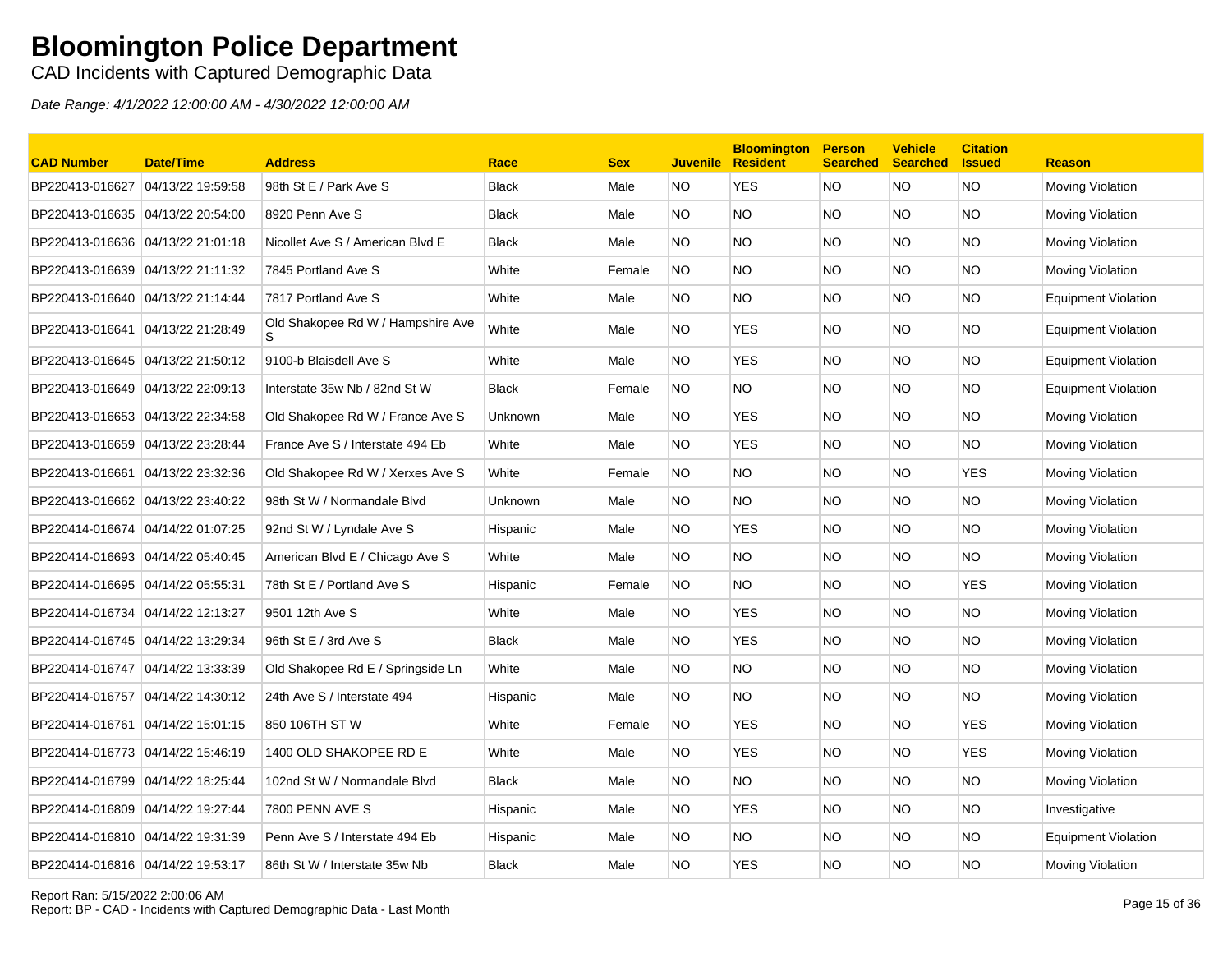CAD Incidents with Captured Demographic Data

| <b>CAD Number</b>                 | <b>Date/Time</b> | <b>Address</b>                          | Race           | <b>Sex</b> | <b>Juvenile</b> | <b>Bloomington</b><br><b>Resident</b> | <b>Person</b><br><b>Searched</b> | <b>Vehicle</b><br><b>Searched</b> | <b>Citation</b><br><b>Issued</b> | <b>Reason</b>              |
|-----------------------------------|------------------|-----------------------------------------|----------------|------------|-----------------|---------------------------------------|----------------------------------|-----------------------------------|----------------------------------|----------------------------|
| BP220413-016627 04/13/22 19:59:58 |                  | 98th St E / Park Ave S                  | Black          | Male       | NO              | <b>YES</b>                            | <b>NO</b>                        | NO                                | NO.                              | <b>Moving Violation</b>    |
| BP220413-016635 04/13/22 20:54:00 |                  | 8920 Penn Ave S                         | Black          | Male       | NO.             | NO.                                   | <b>NO</b>                        | NO.                               | <b>NO</b>                        | <b>Moving Violation</b>    |
| BP220413-016636 04/13/22 21:01:18 |                  | Nicollet Ave S / American Blvd E        | Black          | Male       | NO.             | NO.                                   | <b>NO</b>                        | NO.                               | NO.                              | <b>Moving Violation</b>    |
| BP220413-016639 04/13/22 21:11:32 |                  | 7845 Portland Ave S                     | White          | Female     | NO.             | NO.                                   | NO.                              | NO.                               | NO.                              | Moving Violation           |
| BP220413-016640 04/13/22 21:14:44 |                  | 7817 Portland Ave S                     | White          | Male       | NO.             | NO.                                   | NO.                              | NO.                               | NO.                              | <b>Equipment Violation</b> |
| BP220413-016641 04/13/22 21:28:49 |                  | Old Shakopee Rd W / Hampshire Ave<br>S. | White          | Male       | NO.             | <b>YES</b>                            | <b>NO</b>                        | NO.                               | NO.                              | <b>Equipment Violation</b> |
| BP220413-016645 04/13/22 21:50:12 |                  | 9100-b Blaisdell Ave S                  | White          | Male       | NO.             | <b>YES</b>                            | <b>NO</b>                        | NO                                | <b>NO</b>                        | <b>Equipment Violation</b> |
| BP220413-016649 04/13/22 22:09:13 |                  | Interstate 35w Nb / 82nd St W           | Black          | Female     | NO.             | NO.                                   | NO.                              | NO.                               | NO.                              | <b>Equipment Violation</b> |
| BP220413-016653 04/13/22 22:34:58 |                  | Old Shakopee Rd W / France Ave S        | <b>Unknown</b> | Male       | NO.             | <b>YES</b>                            | <b>NO</b>                        | NO.                               | NO.                              | <b>Moving Violation</b>    |
| BP220413-016659 04/13/22 23:28:44 |                  | France Ave S / Interstate 494 Eb        | White          | Male       | NO.             | YES                                   | <b>NO</b>                        | NO.                               | NO.                              | <b>Moving Violation</b>    |
| BP220413-016661 04/13/22 23:32:36 |                  | Old Shakopee Rd W / Xerxes Ave S        | White          | Female     | NO              | NO.                                   | <b>NO</b>                        | NO                                | <b>YES</b>                       | Moving Violation           |
| BP220413-016662 04/13/22 23:40:22 |                  | 98th St W / Normandale Blvd             | Unknown        | Male       | NO.             | NO.                                   | <b>NO</b>                        | NO.                               | NO.                              | <b>Moving Violation</b>    |
| BP220414-016674 04/14/22 01:07:25 |                  | 92nd St W / Lyndale Ave S               | Hispanic       | Male       | NO.             | <b>YES</b>                            | NO.                              | NO.                               | NO.                              | Moving Violation           |
| BP220414-016693 04/14/22 05:40:45 |                  | American Blvd E / Chicago Ave S         | White          | Male       | NO.             | NO.                                   | NO.                              | NO.                               | NO.                              | <b>Moving Violation</b>    |
| BP220414-016695 04/14/22 05:55:31 |                  | 78th St E / Portland Ave S              | Hispanic       | Female     | NO.             | NO.                                   | NO.                              | NO.                               | <b>YES</b>                       | Moving Violation           |
| BP220414-016734 04/14/22 12:13:27 |                  | 9501 12th Ave S                         | White          | Male       | NO.             | <b>YES</b>                            | <b>NO</b>                        | NO.                               | <b>NO</b>                        | Moving Violation           |
| BP220414-016745 04/14/22 13:29:34 |                  | 96th St E / 3rd Ave S                   | Black          | Male       | NO.             | YES                                   | <b>NO</b>                        | NO.                               | NO.                              | <b>Moving Violation</b>    |
| BP220414-016747 04/14/22 13:33:39 |                  | Old Shakopee Rd E / Springside Ln       | White          | Male       | NO              | NO.                                   | <b>NO</b>                        | NO.                               | NO.                              | Moving Violation           |
| BP220414-016757 04/14/22 14:30:12 |                  | 24th Ave S / Interstate 494             | Hispanic       | Male       | NO.             | NO.                                   | <b>NO</b>                        | NO.                               | ΝO                               | <b>Moving Violation</b>    |
| BP220414-016761 04/14/22 15:01:15 |                  | 850 106TH ST W                          | White          | Female     | NO.             | YES                                   | <b>NO</b>                        | NO.                               | <b>YES</b>                       | Moving Violation           |
| BP220414-016773 04/14/22 15:46:19 |                  | 1400 OLD SHAKOPEE RD E                  | White          | Male       | NO.             | YES                                   | NO.                              | NO.                               | YES                              | Moving Violation           |
| BP220414-016799 04/14/22 18:25:44 |                  | 102nd St W / Normandale Blvd            | Black          | Male       | NO.             | NO.                                   | <b>NO</b>                        | NO.                               | <b>NO</b>                        | Moving Violation           |
| BP220414-016809 04/14/22 19:27:44 |                  | 7800 PENN AVE S                         | Hispanic       | Male       | NO.             | <b>YES</b>                            | <b>NO</b>                        | NO.                               | <b>NO</b>                        | Investigative              |
| BP220414-016810 04/14/22 19:31:39 |                  | Penn Ave S / Interstate 494 Eb          | Hispanic       | Male       | NO.             | NO.                                   | <b>NO</b>                        | NO.                               | <b>NO</b>                        | <b>Equipment Violation</b> |
| BP220414-016816 04/14/22 19:53:17 |                  | 86th St W / Interstate 35w Nb           | Black          | Male       | NO              | YES                                   | <b>NO</b>                        | NO.                               | ΝO                               | <b>Moving Violation</b>    |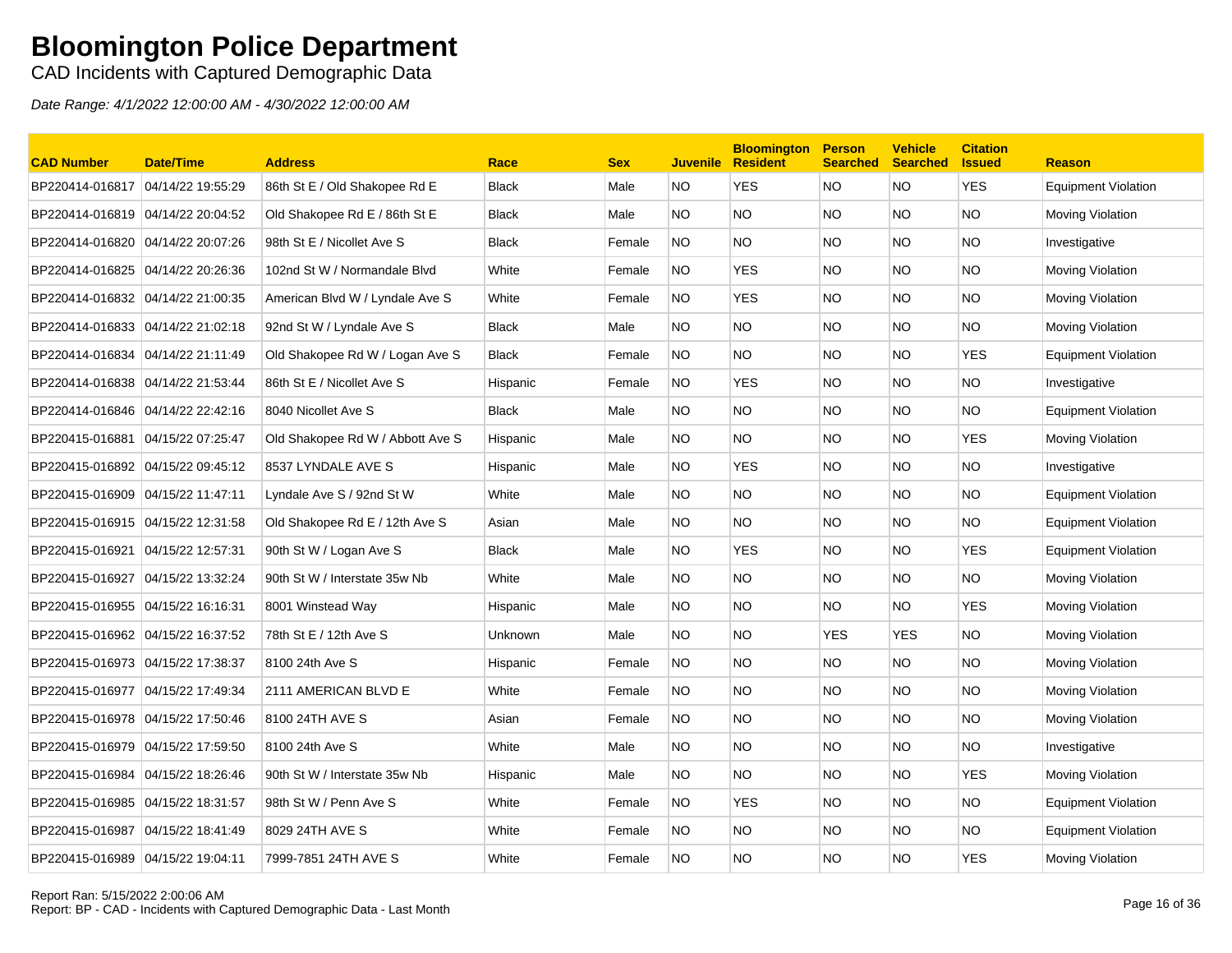CAD Incidents with Captured Demographic Data

| <b>CAD Number</b>                  | <b>Date/Time</b>  | <b>Address</b>                   | Race         | <b>Sex</b> | <b>Juvenile</b> | <b>Bloomington</b><br><b>Resident</b> | <b>Person</b><br><b>Searched</b> | <b>Vehicle</b><br><b>Searched</b> | <b>Citation</b><br><b>Issued</b> | <b>Reason</b>              |
|------------------------------------|-------------------|----------------------------------|--------------|------------|-----------------|---------------------------------------|----------------------------------|-----------------------------------|----------------------------------|----------------------------|
| BP220414-016817                    | 04/14/22 19:55:29 | 86th St E / Old Shakopee Rd E    | <b>Black</b> | Male       | NO.             | <b>YES</b>                            | <b>NO</b>                        | NO.                               | <b>YES</b>                       | <b>Equipment Violation</b> |
| BP220414-016819 04/14/22 20:04:52  |                   | Old Shakopee Rd E / 86th St E    | <b>Black</b> | Male       | NO.             | <b>NO</b>                             | <b>NO</b>                        | NO.                               | <b>NO</b>                        | Moving Violation           |
| BP220414-016820                    | 04/14/22 20:07:26 | 98th St E / Nicollet Ave S       | <b>Black</b> | Female     | NO.             | NO.                                   | <b>NO</b>                        | NO.                               | <b>NO</b>                        | Investigative              |
| BP220414-016825 04/14/22 20:26:36  |                   | 102nd St W / Normandale Blvd     | White        | Female     | NO.             | <b>YES</b>                            | <b>NO</b>                        | NO.                               | NO.                              | Moving Violation           |
| BP220414-016832                    | 04/14/22 21:00:35 | American Blvd W / Lyndale Ave S  | White        | Female     | <b>NO</b>       | <b>YES</b>                            | <b>NO</b>                        | NO.                               | <b>NO</b>                        | Moving Violation           |
| BP220414-016833 04/14/22 21:02:18  |                   | 92nd St W / Lyndale Ave S        | <b>Black</b> | Male       | NO.             | <b>NO</b>                             | <b>NO</b>                        | NO.                               | <b>NO</b>                        | Moving Violation           |
| BP220414-016834                    | 04/14/22 21:11:49 | Old Shakopee Rd W / Logan Ave S  | <b>Black</b> | Female     | NO.             | <b>NO</b>                             | <b>NO</b>                        | NO.                               | <b>YES</b>                       | <b>Equipment Violation</b> |
| BP220414-016838 04/14/22 21:53:44  |                   | 86th St E / Nicollet Ave S       | Hispanic     | Female     | NO.             | <b>YES</b>                            | <b>NO</b>                        | NO.                               | NO.                              | Investigative              |
| BP220414-016846                    | 04/14/22 22:42:16 | 8040 Nicollet Ave S              | <b>Black</b> | Male       | NO.             | <b>NO</b>                             | <b>NO</b>                        | NO.                               | <b>NO</b>                        | <b>Equipment Violation</b> |
| BP220415-016881                    | 04/15/22 07:25:47 | Old Shakopee Rd W / Abbott Ave S | Hispanic     | Male       | NO.             | <b>NO</b>                             | <b>NO</b>                        | NO.                               | <b>YES</b>                       | Moving Violation           |
| BP220415-016892 04/15/22 09:45:12  |                   | 8537 LYNDALE AVE S               | Hispanic     | Male       | NO.             | <b>YES</b>                            | <b>NO</b>                        | NO.                               | NO.                              | Investigative              |
| BP220415-016909 04/15/22 11:47:11  |                   | Lyndale Ave S / 92nd St W        | White        | Male       | NO.             | NO.                                   | <b>NO</b>                        | NO.                               | NO.                              | <b>Equipment Violation</b> |
|                                    |                   | Old Shakopee Rd E / 12th Ave S   | Asian        | Male       | NO.             | <b>NO</b>                             | <b>NO</b>                        | NO.                               | <b>NO</b>                        | Equipment Violation        |
| BP220415-016921                    | 04/15/22 12:57:31 | 90th St W / Logan Ave S          | <b>Black</b> | Male       | NO.             | <b>YES</b>                            | <b>NO</b>                        | NO.                               | <b>YES</b>                       | <b>Equipment Violation</b> |
| BP220415-016927  04/15/22 13:32:24 |                   | 90th St W / Interstate 35w Nb    | White        | Male       | NO.             | <b>NO</b>                             | <b>NO</b>                        | NO.                               | NO.                              | Moving Violation           |
| BP220415-016955 04/15/22 16:16:31  |                   | 8001 Winstead Way                | Hispanic     | Male       | NO.             | <b>NO</b>                             | <b>NO</b>                        | NO.                               | <b>YES</b>                       | Moving Violation           |
| BP220415-016962                    | 04/15/22 16:37:52 | 78th St E / 12th Ave S           | Unknown      | Male       | NO.             | <b>NO</b>                             | <b>YES</b>                       | <b>YES</b>                        | <b>NO</b>                        | Moving Violation           |
| BP220415-016973 04/15/22 17:38:37  |                   | 8100 24th Ave S                  | Hispanic     | Female     | NO.             | NO.                                   | <b>NO</b>                        | NO.                               | NO.                              | Moving Violation           |
| BP220415-016977                    | 04/15/22 17:49:34 | 2111 AMERICAN BLVD E             | White        | Female     | NO.             | NO.                                   | <b>NO</b>                        | NO.                               | NO.                              | Moving Violation           |
| BP220415-016978 04/15/22 17:50:46  |                   | 8100 24TH AVE S                  | Asian        | Female     | NO.             | <b>NO</b>                             | <b>NO</b>                        | NO.                               | NO.                              | Moving Violation           |
| BP220415-016979                    | 04/15/22 17:59:50 | 8100 24th Ave S                  | White        | Male       | NO.             | <b>NO</b>                             | <b>NO</b>                        | NO.                               | <b>NO</b>                        | Investigative              |
|                                    |                   | 90th St W / Interstate 35w Nb    | Hispanic     | Male       | NO.             | <b>NO</b>                             | <b>NO</b>                        | NO.                               | <b>YES</b>                       | Moving Violation           |
| BP220415-016985 04/15/22 18:31:57  |                   | 98th St W / Penn Ave S           | White        | Female     | NO.             | <b>YES</b>                            | <b>NO</b>                        | NO.                               | NO.                              | <b>Equipment Violation</b> |
| BP220415-016987                    | 04/15/22 18:41:49 | 8029 24TH AVE S                  | White        | Female     | NO.             | <b>NO</b>                             | <b>NO</b>                        | NO.                               | <b>NO</b>                        | <b>Equipment Violation</b> |
| BP220415-016989 04/15/22 19:04:11  |                   | 7999-7851 24TH AVE S             | White        | Female     | <b>NO</b>       | <b>NO</b>                             | <b>NO</b>                        | NO.                               | <b>YES</b>                       | Moving Violation           |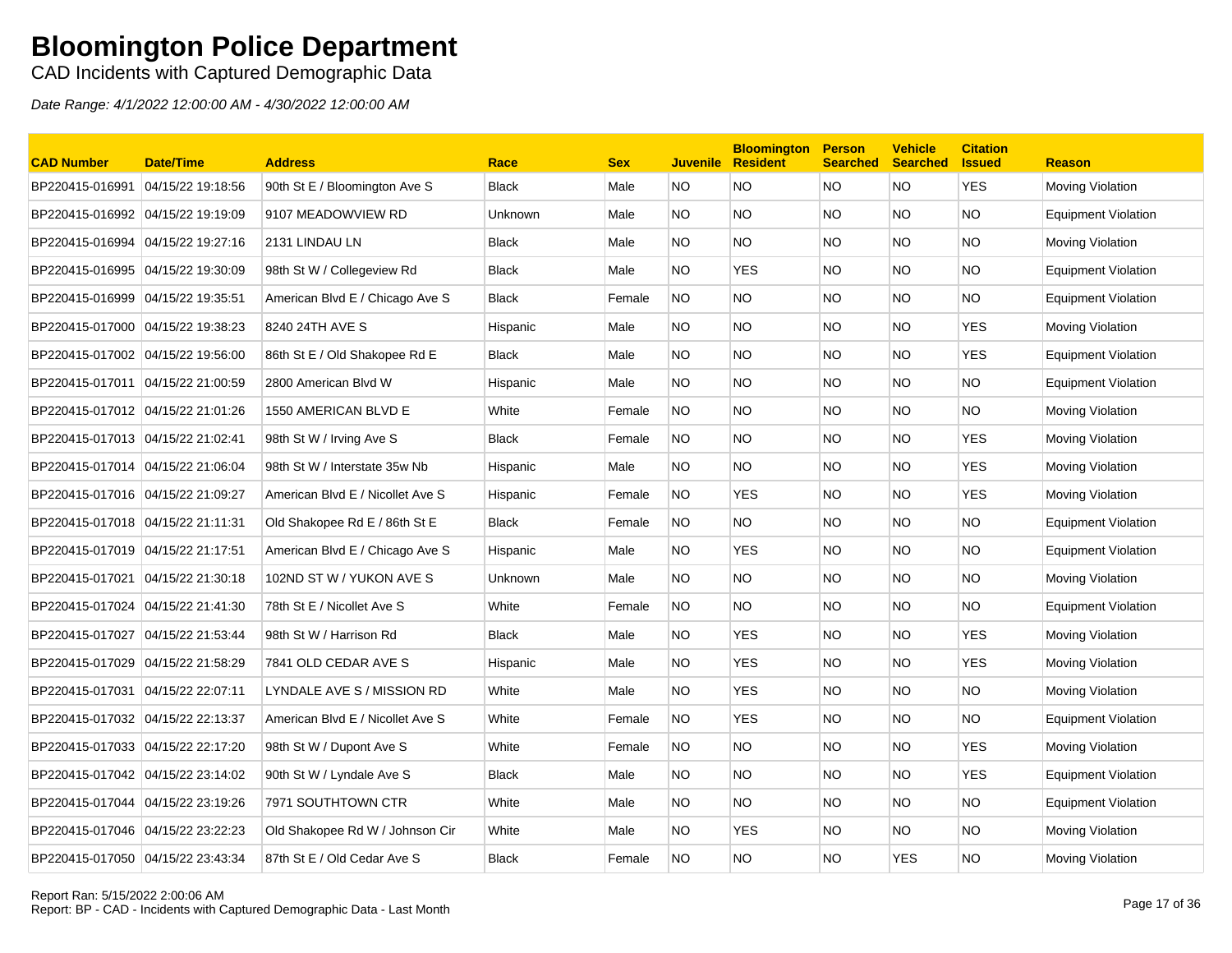CAD Incidents with Captured Demographic Data

| <b>CAD Number</b>                 | Date/Time         | <b>Address</b>                   | Race           | <b>Sex</b> | <b>Juvenile</b> | <b>Bloomington</b><br><b>Resident</b> | <b>Person</b><br><b>Searched</b> | <b>Vehicle</b><br><b>Searched</b> | <b>Citation</b><br><b>Issued</b> | <b>Reason</b>              |
|-----------------------------------|-------------------|----------------------------------|----------------|------------|-----------------|---------------------------------------|----------------------------------|-----------------------------------|----------------------------------|----------------------------|
| BP220415-016991 04/15/22 19:18:56 |                   | 90th St E / Bloomington Ave S    | <b>Black</b>   | Male       | NO.             | NO                                    | <b>NO</b>                        | <b>NO</b>                         | <b>YES</b>                       | Moving Violation           |
| BP220415-016992 04/15/22 19:19:09 |                   | 9107 MEADOWVIEW RD               | <b>Unknown</b> | Male       | NO.             | <b>NO</b>                             | NO.                              | NO.                               | <b>NO</b>                        | <b>Equipment Violation</b> |
| BP220415-016994                   | 04/15/22 19:27:16 | 2131 LINDAU LN                   | <b>Black</b>   | Male       | NO.             | <b>NO</b>                             | <b>NO</b>                        | NO.                               | <b>NO</b>                        | Moving Violation           |
|                                   |                   | 98th St W / Collegeview Rd       | <b>Black</b>   | Male       | NO.             | <b>YES</b>                            | NO.                              | NO.                               | <b>NO</b>                        | Equipment Violation        |
| BP220415-016999 04/15/22 19:35:51 |                   | American Blvd E / Chicago Ave S  | <b>Black</b>   | Female     | NO.             | NO.                                   | NO.                              | NO.                               | NO.                              | <b>Equipment Violation</b> |
| BP220415-017000 04/15/22 19:38:23 |                   | 8240 24TH AVE S                  | Hispanic       | Male       | NO.             | NO.                                   | NO.                              | NO.                               | <b>YES</b>                       | Moving Violation           |
| BP220415-017002 04/15/22 19:56:00 |                   | 86th St E / Old Shakopee Rd E    | <b>Black</b>   | Male       | NO.             | <b>NO</b>                             | NO.                              | NO.                               | <b>YES</b>                       | <b>Equipment Violation</b> |
| BP220415-017011 04/15/22 21:00:59 |                   | 2800 American Blvd W             | Hispanic       | Male       | NO.             | <b>NO</b>                             | <b>NO</b>                        | NO.                               | <b>NO</b>                        | <b>Equipment Violation</b> |
| BP220415-017012 04/15/22 21:01:26 |                   | 1550 AMERICAN BLVD E             | White          | Female     | <b>NO</b>       | NO.                                   | <b>NO</b>                        | NO.                               | <b>NO</b>                        | Moving Violation           |
|                                   |                   | 98th St W / Irving Ave S         | <b>Black</b>   | Female     | NO.             | <b>NO</b>                             | <b>NO</b>                        | NO.                               | <b>YES</b>                       | Moving Violation           |
| BP220415-017014 04/15/22 21:06:04 |                   | 98th St W / Interstate 35w Nb    | Hispanic       | Male       | NO.             | NO.                                   | NO.                              | NO.                               | YES                              | Moving Violation           |
| BP220415-017016 04/15/22 21:09:27 |                   | American Blvd E / Nicollet Ave S | Hispanic       | Female     | NO.             | <b>YES</b>                            | NO.                              | NO.                               | <b>YES</b>                       | Moving Violation           |
| BP220415-017018 04/15/22 21:11:31 |                   | Old Shakopee Rd E / 86th St E    | <b>Black</b>   | Female     | NO.             | NO.                                   | NO.                              | NO.                               | <b>NO</b>                        | <b>Equipment Violation</b> |
| BP220415-017019 04/15/22 21:17:51 |                   | American Blvd E / Chicago Ave S  | Hispanic       | Male       | <b>NO</b>       | <b>YES</b>                            | <b>NO</b>                        | <b>NO</b>                         | <b>NO</b>                        | <b>Equipment Violation</b> |
| BP220415-017021 04/15/22 21:30:18 |                   | 102ND ST W / YUKON AVE S         | Unknown        | Male       | NO.             | NO.                                   | <b>NO</b>                        | NO.                               | <b>NO</b>                        | Moving Violation           |
|                                   |                   | 78th St E / Nicollet Ave S       | White          | Female     | NO.             | NO.                                   | NO.                              | NO.                               | <b>NO</b>                        | <b>Equipment Violation</b> |
| BP220415-017027 04/15/22 21:53:44 |                   | 98th St W / Harrison Rd          | <b>Black</b>   | Male       | NO.             | <b>YES</b>                            | NO.                              | NO.                               | <b>YES</b>                       | Moving Violation           |
| BP220415-017029 04/15/22 21:58:29 |                   | 7841 OLD CEDAR AVE S             | Hispanic       | Male       | NO.             | <b>YES</b>                            | <b>NO</b>                        | NO.                               | <b>YES</b>                       | Moving Violation           |
| BP220415-017031 04/15/22 22:07:11 |                   | LYNDALE AVE S / MISSION RD       | White          | Male       | NO.             | <b>YES</b>                            | NO.                              | NO.                               | <b>NO</b>                        | Moving Violation           |
| BP220415-017032 04/15/22 22:13:37 |                   | American Blvd E / Nicollet Ave S | White          | Female     | <b>NO</b>       | <b>YES</b>                            | NO.                              | NO.                               | <b>NO</b>                        | <b>Equipment Violation</b> |
|                                   |                   | 98th St W / Dupont Ave S         | White          | Female     | <b>NO</b>       | <b>NO</b>                             | <b>NO</b>                        | <b>NO</b>                         | <b>YES</b>                       | Moving Violation           |
| BP220415-017042 04/15/22 23:14:02 |                   | 90th St W / Lyndale Ave S        | <b>Black</b>   | Male       | NO.             | <b>NO</b>                             | NO.                              | NO.                               | <b>YES</b>                       | Equipment Violation        |
|                                   |                   | 7971 SOUTHTOWN CTR               | White          | Male       | NO.             | <b>NO</b>                             | <b>NO</b>                        | NO.                               | <b>NO</b>                        | <b>Equipment Violation</b> |
| BP220415-017046 04/15/22 23:22:23 |                   | Old Shakopee Rd W / Johnson Cir  | White          | Male       | NO.             | <b>YES</b>                            | NO.                              | NO.                               | <b>NO</b>                        | Moving Violation           |
| BP220415-017050 04/15/22 23:43:34 |                   | 87th St E / Old Cedar Ave S      | <b>Black</b>   | Female     | <b>NO</b>       | NO.                                   | <b>NO</b>                        | <b>YES</b>                        | <b>NO</b>                        | Moving Violation           |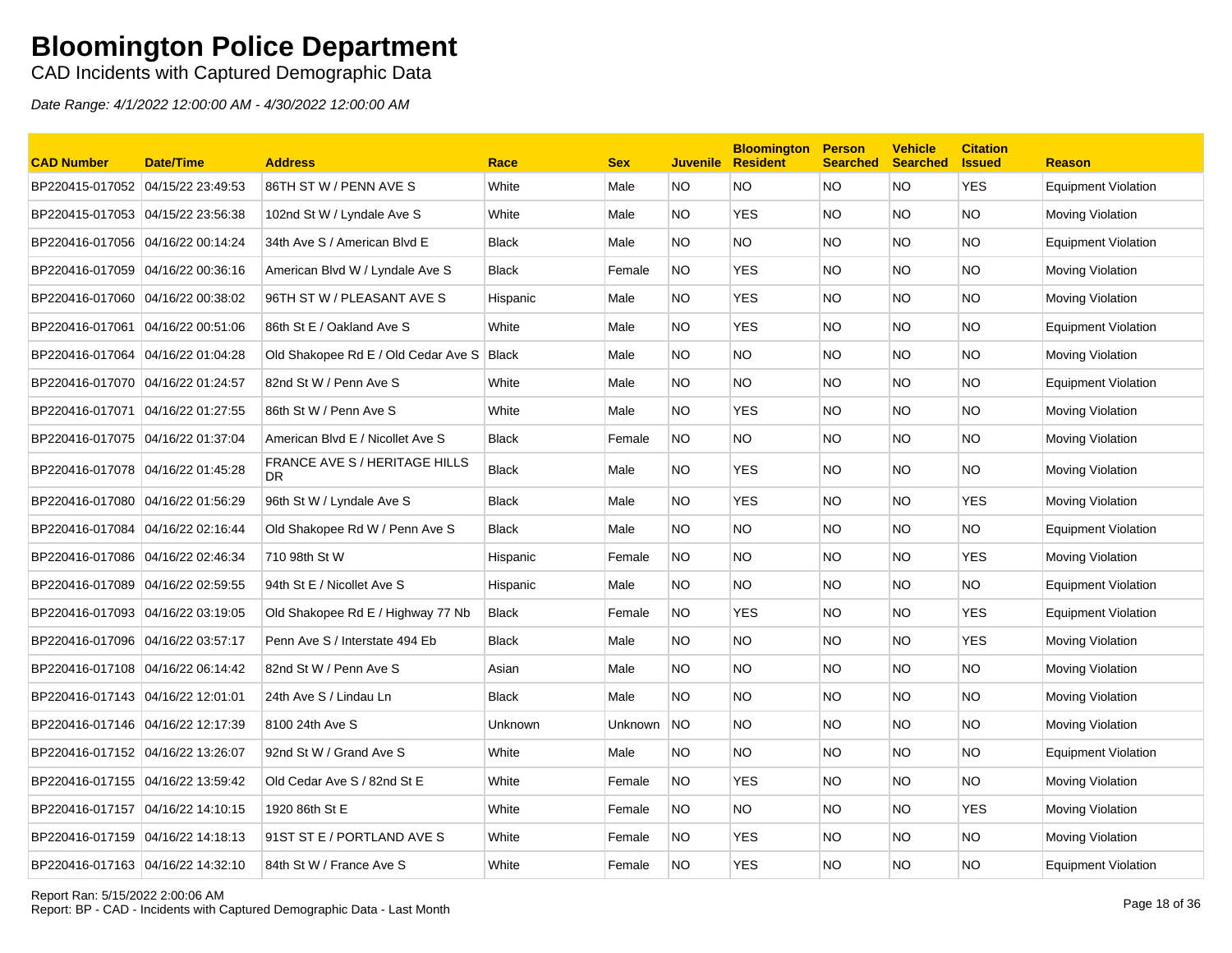CAD Incidents with Captured Demographic Data

| <b>CAD Number</b>                 | <b>Date/Time</b> | <b>Address</b>                              | Race         | <b>Sex</b> | <b>Juvenile</b> | <b>Bloomington</b><br><b>Resident</b> | <b>Person</b><br><b>Searched</b> | <b>Vehicle</b><br><b>Searched</b> | <b>Citation</b><br><b>Issued</b> | <b>Reason</b>              |
|-----------------------------------|------------------|---------------------------------------------|--------------|------------|-----------------|---------------------------------------|----------------------------------|-----------------------------------|----------------------------------|----------------------------|
| BP220415-017052 04/15/22 23:49:53 |                  | 86TH ST W / PENN AVE S                      | White        | Male       | NO.             | NO.                                   | NO                               | NO                                | <b>YES</b>                       | <b>Equipment Violation</b> |
| BP220415-017053 04/15/22 23:56:38 |                  | 102nd St W / Lyndale Ave S                  | White        | Male       | NO.             | <b>YES</b>                            | <b>NO</b>                        | NO.                               | NO.                              | <b>Moving Violation</b>    |
| BP220416-017056 04/16/22 00:14:24 |                  | 34th Ave S / American Blvd E                | Black        | Male       | NO.             | NO.                                   | <b>NO</b>                        | NO.                               | NO.                              | <b>Equipment Violation</b> |
| BP220416-017059 04/16/22 00:36:16 |                  | American Blvd W / Lyndale Ave S             | Black        | Female     | NO.             | <b>YES</b>                            | <b>NO</b>                        | NO.                               | <b>NO</b>                        | <b>Moving Violation</b>    |
| BP220416-017060 04/16/22 00:38:02 |                  | 96TH ST W / PLEASANT AVE S                  | Hispanic     | Male       | NO.             | <b>YES</b>                            | <b>NO</b>                        | NO.                               | NO.                              | Moving Violation           |
| BP220416-017061 04/16/22 00:51:06 |                  | 86th St E / Oakland Ave S                   | White        | Male       | NO.             | <b>YES</b>                            | <b>NO</b>                        | NO.                               | <b>NO</b>                        | <b>Equipment Violation</b> |
| BP220416-017064 04/16/22 01:04:28 |                  | Old Shakopee Rd E / Old Cedar Ave S   Black |              | Male       | NO.             | NO.                                   | <b>NO</b>                        | NO.                               | <b>NO</b>                        | <b>Moving Violation</b>    |
| BP220416-017070 04/16/22 01:24:57 |                  | 82nd St W / Penn Ave S                      | White        | Male       | NO.             | NO.                                   | <b>NO</b>                        | NO.                               | ΝO                               | <b>Equipment Violation</b> |
| BP220416-017071 04/16/22 01:27:55 |                  | 86th St W / Penn Ave S                      | White        | Male       | NO.             | <b>YES</b>                            | NO.                              | NO.                               | NO.                              | <b>Moving Violation</b>    |
| BP220416-017075 04/16/22 01:37:04 |                  | American Blvd E / Nicollet Ave S            | Black        | Female     | <b>NO</b>       | NO.                                   | NO.                              | NO.                               | NO.                              | <b>Moving Violation</b>    |
| BP220416-017078 04/16/22 01:45:28 |                  | <b>FRANCE AVE S / HERITAGE HILLS</b><br>DR. | Black        | Male       | NO.             | <b>YES</b>                            | NO.                              | NO.                               | NO.                              | <b>Moving Violation</b>    |
| BP220416-017080 04/16/22 01:56:29 |                  | 96th St W / Lyndale Ave S                   | <b>Black</b> | Male       | NO.             | <b>YES</b>                            | <b>NO</b>                        | NO                                | <b>YES</b>                       | Moving Violation           |
| BP220416-017084 04/16/22 02:16:44 |                  | Old Shakopee Rd W / Penn Ave S              | Black        | Male       | NO.             | NO.                                   | <b>NO</b>                        | NO.                               | NO.                              | <b>Equipment Violation</b> |
| BP220416-017086 04/16/22 02:46:34 |                  | 710 98th St W                               | Hispanic     | Female     | <b>NO</b>       | NO.                                   | NO.                              | NO.                               | YES                              | <b>Moving Violation</b>    |
| BP220416-017089 04/16/22 02:59:55 |                  | 94th St E / Nicollet Ave S                  | Hispanic     | Male       | NO.             | NO.                                   | <b>NO</b>                        | NO.                               | NO.                              | Equipment Violation        |
| BP220416-017093 04/16/22 03:19:05 |                  | Old Shakopee Rd E / Highway 77 Nb           | Black        | Female     | NO.             | <b>YES</b>                            | <b>NO</b>                        | NO.                               | <b>YES</b>                       | <b>Equipment Violation</b> |
| BP220416-017096 04/16/22 03:57:17 |                  | Penn Ave S / Interstate 494 Eb              | <b>Black</b> | Male       | NO.             | NO.                                   | <b>NO</b>                        | NO.                               | <b>YES</b>                       | <b>Moving Violation</b>    |
| BP220416-017108 04/16/22 06:14:42 |                  | 82nd St W / Penn Ave S                      | Asian        | Male       | NO.             | NO.                                   | <b>NO</b>                        | NO.                               | NO.                              | <b>Moving Violation</b>    |
| BP220416-017143 04/16/22 12:01:01 |                  | 24th Ave S / Lindau Ln                      | Black        | Male       | NO.             | NO.                                   | <b>NO</b>                        | NO.                               | NO.                              | <b>Moving Violation</b>    |
| BP220416-017146 04/16/22 12:17:39 |                  | 8100 24th Ave S                             | Unknown      | Unknown    | <b>NO</b>       | NO.                                   | NO.                              | NO.                               | NO.                              | <b>Moving Violation</b>    |
| BP220416-017152 04/16/22 13:26:07 |                  | 92nd St W / Grand Ave S                     | White        | Male       | NO.             | NO.                                   | NO.                              | NO.                               | NO.                              | <b>Equipment Violation</b> |
| BP220416-017155 04/16/22 13:59:42 |                  | Old Cedar Ave S / 82nd St E                 | White        | Female     | NO              | <b>YES</b>                            | <b>NO</b>                        | NO.                               | <b>NO</b>                        | <b>Moving Violation</b>    |
| BP220416-017157 04/16/22 14:10:15 |                  | 1920 86th St E                              | White        | Female     | NO.             | NO.                                   | <b>NO</b>                        | NO.                               | <b>YES</b>                       | Moving Violation           |
| BP220416-017159 04/16/22 14:18:13 |                  | 91ST ST E / PORTLAND AVE S                  | White        | Female     | NO.             | <b>YES</b>                            | <b>NO</b>                        | NO                                | NO.                              | <b>Moving Violation</b>    |
| BP220416-017163 04/16/22 14:32:10 |                  | 84th St W / France Ave S                    | White        | Female     | <b>NO</b>       | <b>YES</b>                            | <b>NO</b>                        | NO                                | ΝO                               | <b>Equipment Violation</b> |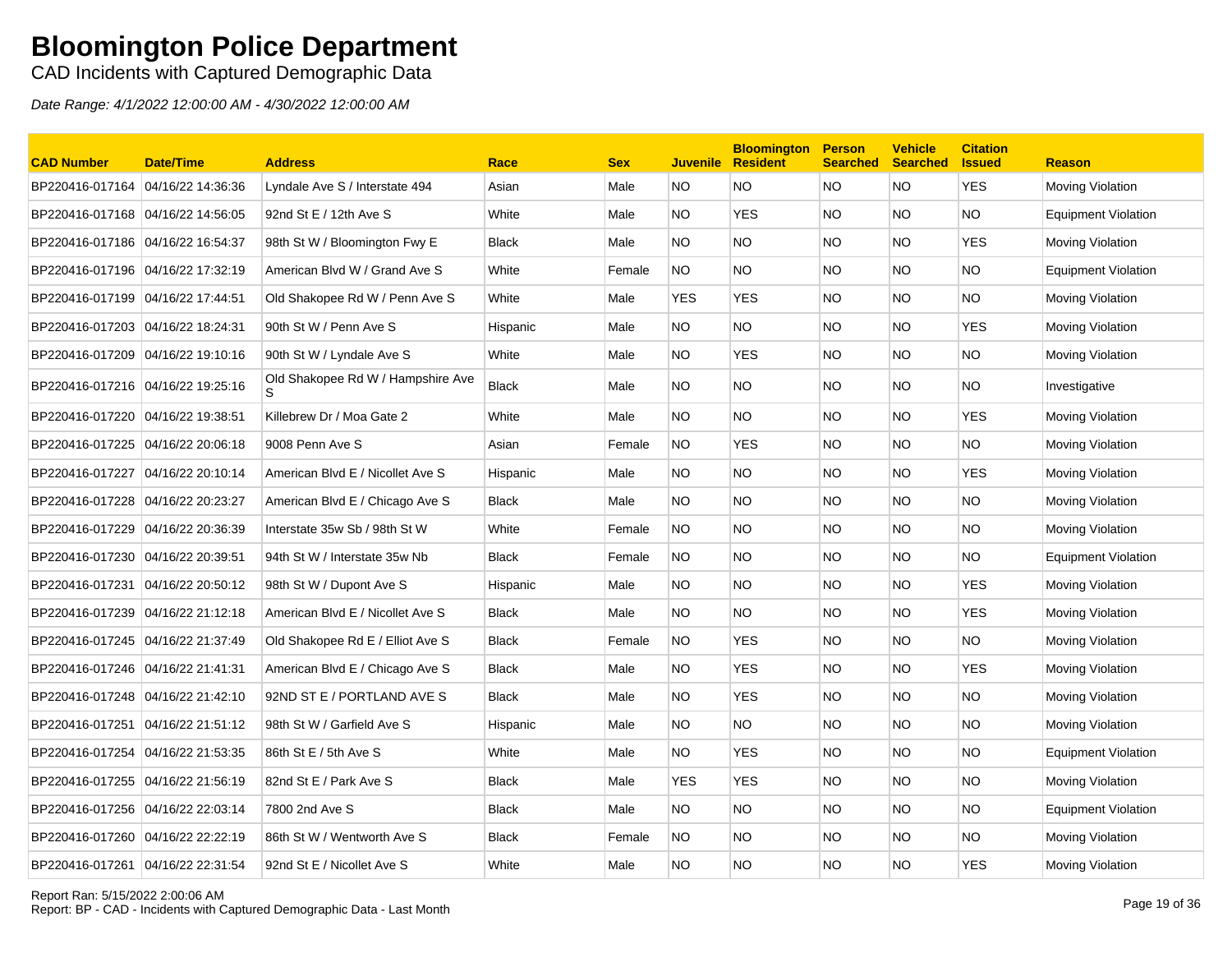CAD Incidents with Captured Demographic Data

| <b>CAD Number</b>                 | <b>Date/Time</b>  | <b>Address</b>                    | Race         | <b>Sex</b> | <b>Juvenile</b> | <b>Bloomington</b><br><b>Resident</b> | <b>Person</b><br><b>Searched</b> | <b>Vehicle</b><br><b>Searched</b> | <b>Citation</b><br><b>Issued</b> | <b>Reason</b>              |
|-----------------------------------|-------------------|-----------------------------------|--------------|------------|-----------------|---------------------------------------|----------------------------------|-----------------------------------|----------------------------------|----------------------------|
| BP220416-017164                   | 04/16/22 14:36:36 | Lyndale Ave S / Interstate 494    | Asian        | Male       | NO.             | NO.                                   | <b>NO</b>                        | <b>NO</b>                         | <b>YES</b>                       | Moving Violation           |
| BP220416-017168 04/16/22 14:56:05 |                   | 92nd St E / 12th Ave S            | White        | Male       | NO.             | <b>YES</b>                            | <b>NO</b>                        | NO.                               | <b>NO</b>                        | <b>Equipment Violation</b> |
| BP220416-017186 04/16/22 16:54:37 |                   | 98th St W / Bloomington Fwy E     | <b>Black</b> | Male       | NO.             | NO.                                   | <b>NO</b>                        | NO.                               | YES                              | Moving Violation           |
| BP220416-017196 04/16/22 17:32:19 |                   | American Blvd W / Grand Ave S     | White        | Female     | NO.             | NO.                                   | NO.                              | NO.                               | <b>NO</b>                        | <b>Equipment Violation</b> |
| BP220416-017199 04/16/22 17:44:51 |                   | Old Shakopee Rd W / Penn Ave S    | White        | Male       | <b>YES</b>      | <b>YES</b>                            | NO.                              | NO.                               | <b>NO</b>                        | Moving Violation           |
| BP220416-017203 04/16/22 18:24:31 |                   | 90th St W / Penn Ave S            | Hispanic     | Male       | NO.             | NO.                                   | NO.                              | NO.                               | <b>YES</b>                       | Moving Violation           |
| BP220416-017209 04/16/22 19:10:16 |                   | 90th St W / Lyndale Ave S         | White        | Male       | NO.             | <b>YES</b>                            | NO.                              | NO.                               | <b>NO</b>                        | Moving Violation           |
| BP220416-017216 04/16/22 19:25:16 |                   | Old Shakopee Rd W / Hampshire Ave | <b>Black</b> | Male       | NO.             | <b>NO</b>                             | NO.                              | NO.                               | NO.                              | Investigative              |
| BP220416-017220 04/16/22 19:38:51 |                   | Killebrew Dr / Moa Gate 2         | White        | Male       | NO.             | <b>NO</b>                             | <b>NO</b>                        | NO.                               | <b>YES</b>                       | <b>Moving Violation</b>    |
| BP220416-017225 04/16/22 20:06:18 |                   | 9008 Penn Ave S                   | Asian        | Female     | NO.             | <b>YES</b>                            | NO.                              | NO.                               | <b>NO</b>                        | Moving Violation           |
| BP220416-017227 04/16/22 20:10:14 |                   | American Blvd E / Nicollet Ave S  | Hispanic     | Male       | NO.             | NO                                    | <b>NO</b>                        | NO.                               | <b>YES</b>                       | Moving Violation           |
| BP220416-017228 04/16/22 20:23:27 |                   | American Blvd E / Chicago Ave S   | <b>Black</b> | Male       | NO.             | <b>NO</b>                             | NO.                              | NO.                               | <b>NO</b>                        | Moving Violation           |
| BP220416-017229 04/16/22 20:36:39 |                   | Interstate 35w Sb / 98th St W     | White        | Female     | NO.             | NO                                    | <b>NO</b>                        | NO.                               | <b>NO</b>                        | <b>Moving Violation</b>    |
| BP220416-017230 04/16/22 20:39:51 |                   | 94th St W / Interstate 35w Nb     | <b>Black</b> | Female     | NO.             | NO.                                   | NO.                              | NO.                               | <b>NO</b>                        | <b>Equipment Violation</b> |
| BP220416-017231 04/16/22 20:50:12 |                   | 98th St W / Dupont Ave S          | Hispanic     | Male       | NO.             | <b>NO</b>                             | NO.                              | NO.                               | <b>YES</b>                       | Moving Violation           |
| BP220416-017239 04/16/22 21:12:18 |                   | American Blvd E / Nicollet Ave S  | <b>Black</b> | Male       | NO.             | <b>NO</b>                             | <b>NO</b>                        | NO.                               | <b>YES</b>                       | Moving Violation           |
|                                   |                   | Old Shakopee Rd E / Elliot Ave S  | <b>Black</b> | Female     | NO.             | <b>YES</b>                            | NO.                              | NO.                               | NO.                              | <b>Moving Violation</b>    |
| BP220416-017246 04/16/22 21:41:31 |                   | American Blvd E / Chicago Ave S   | <b>Black</b> | Male       | NO.             | <b>YES</b>                            | <b>NO</b>                        | NO.                               | <b>YES</b>                       | Moving Violation           |
| BP220416-017248 04/16/22 21:42:10 |                   | 92ND ST E / PORTLAND AVE S        | <b>Black</b> | Male       | NO.             | <b>YES</b>                            | NO.                              | NO.                               | <b>NO</b>                        | Moving Violation           |
| BP220416-017251 04/16/22 21:51:12 |                   | 98th St W / Garfield Ave S        | Hispanic     | Male       | NO.             | NO.                                   | NO.                              | NO.                               | <b>NO</b>                        | Moving Violation           |
| BP220416-017254                   | 04/16/22 21:53:35 | 86th St E / 5th Ave S             | White        | Male       | NO.             | <b>YES</b>                            | NO.                              | NO.                               | <b>NO</b>                        | <b>Equipment Violation</b> |
| BP220416-017255 04/16/22 21:56:19 |                   | 82nd St E / Park Ave S            | <b>Black</b> | Male       | <b>YES</b>      | <b>YES</b>                            | <b>NO</b>                        | NO.                               | <b>NO</b>                        | Moving Violation           |
| BP220416-017256 04/16/22 22:03:14 |                   | 7800 2nd Ave S                    | <b>Black</b> | Male       | NO.             | <b>NO</b>                             | NO.                              | NO.                               | <b>NO</b>                        | <b>Equipment Violation</b> |
| BP220416-017260 04/16/22 22:22:19 |                   | 86th St W / Wentworth Ave S       | <b>Black</b> | Female     | <b>NO</b>       | <b>NO</b>                             | <b>NO</b>                        | NO.                               | <b>NO</b>                        | Moving Violation           |
| BP220416-017261 04/16/22 22:31:54 |                   | 92nd St E / Nicollet Ave S        | White        | Male       | <b>NO</b>       | <b>NO</b>                             | <b>NO</b>                        | <b>NO</b>                         | <b>YES</b>                       | Moving Violation           |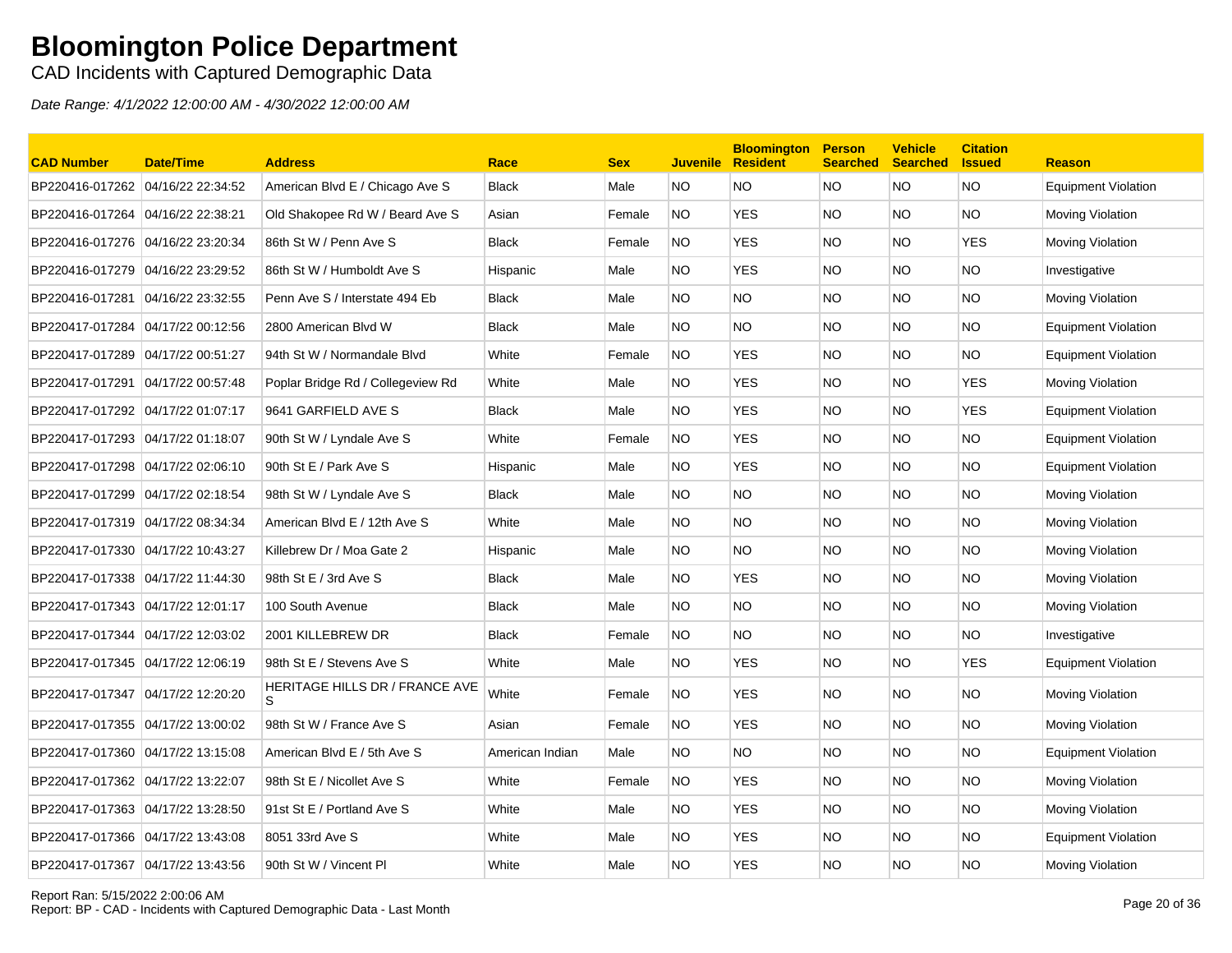CAD Incidents with Captured Demographic Data

| <b>CAD Number</b>                 | <b>Date/Time</b>  | <b>Address</b>                       | Race            | <b>Sex</b> | <b>Juvenile</b> | <b>Bloomington</b><br><b>Resident</b> | <b>Person</b><br><b>Searched</b> | <b>Vehicle</b><br><b>Searched</b> | <b>Citation</b><br><b>Issued</b> | <b>Reason</b>              |
|-----------------------------------|-------------------|--------------------------------------|-----------------|------------|-----------------|---------------------------------------|----------------------------------|-----------------------------------|----------------------------------|----------------------------|
| BP220416-017262 04/16/22 22:34:52 |                   | American Blvd E / Chicago Ave S      | <b>Black</b>    | Male       | NO.             | NO.                                   | <b>NO</b>                        | <b>NO</b>                         | <b>NO</b>                        | <b>Equipment Violation</b> |
| BP220416-017264 04/16/22 22:38:21 |                   | Old Shakopee Rd W / Beard Ave S      | Asian           | Female     | NO.             | <b>YES</b>                            | NO.                              | NO.                               | <b>NO</b>                        | Moving Violation           |
| BP220416-017276 04/16/22 23:20:34 |                   | 86th St W / Penn Ave S               | <b>Black</b>    | Female     | NO.             | <b>YES</b>                            | NO.                              | NO.                               | YES                              | Moving Violation           |
| BP220416-017279 04/16/22 23:29:52 |                   | 86th St W / Humboldt Ave S           | Hispanic        | Male       | NO.             | <b>YES</b>                            | NO.                              | NO.                               | <b>NO</b>                        | Investigative              |
| BP220416-017281                   | 04/16/22 23:32:55 | Penn Ave S / Interstate 494 Eb       | <b>Black</b>    | Male       | NO.             | NO.                                   | NO.                              | NO.                               | <b>NO</b>                        | <b>Moving Violation</b>    |
| BP220417-017284 04/17/22 00:12:56 |                   | 2800 American Blvd W                 | <b>Black</b>    | Male       | NO.             | <b>NO</b>                             | NO.                              | NO.                               | <b>NO</b>                        | <b>Equipment Violation</b> |
| BP220417-017289 04/17/22 00:51:27 |                   | 94th St W / Normandale Blvd          | White           | Female     | NO.             | <b>YES</b>                            | <b>NO</b>                        | NO.                               | <b>NO</b>                        | <b>Equipment Violation</b> |
| BP220417-017291 04/17/22 00:57:48 |                   | Poplar Bridge Rd / Collegeview Rd    | White           | Male       | NO.             | <b>YES</b>                            | NO.                              | NO.                               | <b>YES</b>                       | Moving Violation           |
| BP220417-017292 04/17/22 01:07:17 |                   | 9641 GARFIELD AVE S                  | <b>Black</b>    | Male       | NO.             | <b>YES</b>                            | <b>NO</b>                        | NO.                               | <b>YES</b>                       | <b>Equipment Violation</b> |
| BP220417-017293 04/17/22 01:18:07 |                   | 90th St W / Lyndale Ave S            | White           | Female     | NO.             | <b>YES</b>                            | NO.                              | NO.                               | <b>NO</b>                        | <b>Equipment Violation</b> |
| BP220417-017298 04/17/22 02:06:10 |                   | 90th St E / Park Ave S               | Hispanic        | Male       | NO.             | <b>YES</b>                            | NO.                              | NO.                               | <b>NO</b>                        | <b>Equipment Violation</b> |
| BP220417-017299 04/17/22 02:18:54 |                   | 98th St W / Lyndale Ave S            | <b>Black</b>    | Male       | NO.             | <b>NO</b>                             | <b>NO</b>                        | NO.                               | <b>NO</b>                        | Moving Violation           |
| BP220417-017319 04/17/22 08:34:34 |                   | American Blvd E / 12th Ave S         | White           | Male       | NO.             | <b>NO</b>                             | NO.                              | NO.                               | <b>NO</b>                        | Moving Violation           |
| BP220417-017330 04/17/22 10:43:27 |                   | Killebrew Dr / Moa Gate 2            | Hispanic        | Male       | NO.             | NO                                    | <b>NO</b>                        | NO.                               | <b>NO</b>                        | Moving Violation           |
| BP220417-017338 04/17/22 11:44:30 |                   | 98th St E / 3rd Ave S                | <b>Black</b>    | Male       | NO.             | <b>YES</b>                            | <b>NO</b>                        | NO.                               | <b>NO</b>                        | Moving Violation           |
| BP220417-017343 04/17/22 12:01:17 |                   | 100 South Avenue                     | <b>Black</b>    | Male       | NO.             | NO.                                   | NO.                              | NO.                               | <b>NO</b>                        | Moving Violation           |
| BP220417-017344 04/17/22 12:03:02 |                   | 2001 KILLEBREW DR                    | <b>Black</b>    | Female     | NO.             | NO.                                   | NO.                              | NO.                               | <b>NO</b>                        | Investigative              |
| BP220417-017345 04/17/22 12:06:19 |                   | 98th St E / Stevens Ave S            | White           | Male       | NO.             | <b>YES</b>                            | NO.                              | NO.                               | <b>YES</b>                       | <b>Equipment Violation</b> |
| BP220417-017347 04/17/22 12:20:20 |                   | HERITAGE HILLS DR / FRANCE AVE<br>S. | White           | Female     | NO.             | <b>YES</b>                            | <b>NO</b>                        | NO.                               | <b>NO</b>                        | Moving Violation           |
| BP220417-017355 04/17/22 13:00:02 |                   | 98th St W / France Ave S             | Asian           | Female     | NO.             | <b>YES</b>                            | NO.                              | NO.                               | <b>NO</b>                        | Moving Violation           |
| BP220417-017360 04/17/22 13:15:08 |                   | American Blvd E / 5th Ave S          | American Indian | Male       | NO.             | NO.                                   | <b>NO</b>                        | NO.                               | <b>NO</b>                        | <b>Equipment Violation</b> |
| BP220417-017362 04/17/22 13:22:07 |                   | 98th St E / Nicollet Ave S           | White           | Female     | NO.             | <b>YES</b>                            | NO.                              | NO.                               | <b>NO</b>                        | Moving Violation           |
| BP220417-017363 04/17/22 13:28:50 |                   | 91st St E / Portland Ave S           | White           | Male       | NO.             | <b>YES</b>                            | <b>NO</b>                        | NO.                               | <b>NO</b>                        | Moving Violation           |
|                                   |                   | 8051 33rd Ave S                      | White           | Male       | NO.             | YES                                   | NO.                              | NO.                               | <b>NO</b>                        | Equipment Violation        |
| BP220417-017367 04/17/22 13:43:56 |                   | 90th St W / Vincent Pl               | White           | Male       | NO.             | <b>YES</b>                            | <b>NO</b>                        | NO.                               | <b>NO</b>                        | Moving Violation           |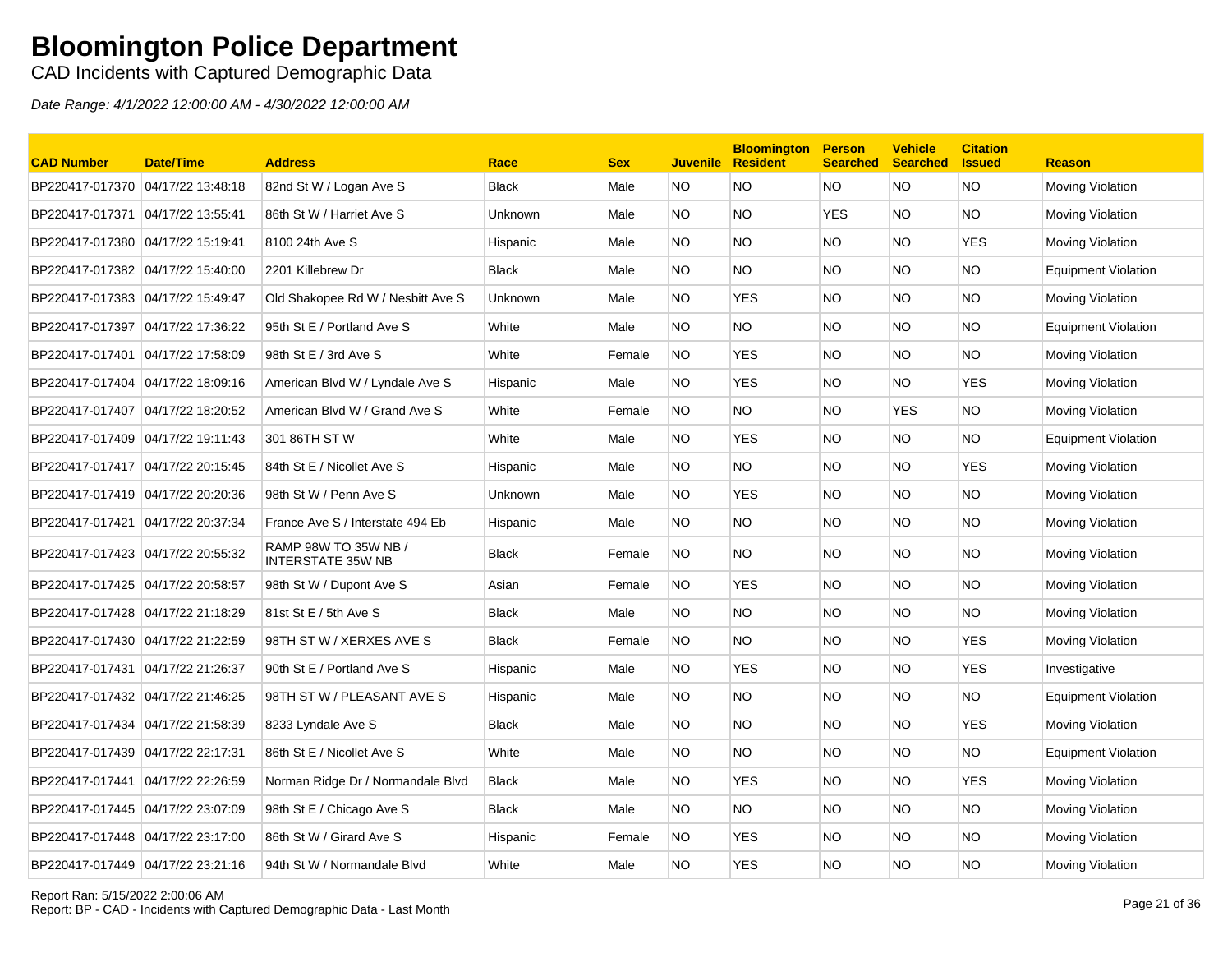CAD Incidents with Captured Demographic Data

| <b>CAD Number</b>                 | <b>Date/Time</b> | <b>Address</b>                                   | Race           | <b>Sex</b> | <b>Juvenile</b> | <b>Bloomington</b><br><b>Resident</b> | <b>Person</b><br><b>Searched</b> | <b>Vehicle</b><br><b>Searched</b> | <b>Citation</b><br><b>Issued</b> | <b>Reason</b>              |
|-----------------------------------|------------------|--------------------------------------------------|----------------|------------|-----------------|---------------------------------------|----------------------------------|-----------------------------------|----------------------------------|----------------------------|
| BP220417-017370 04/17/22 13:48:18 |                  | 82nd St W / Logan Ave S                          | Black          | Male       | NO.             | <b>NO</b>                             | <b>NO</b>                        | <b>NO</b>                         | <b>NO</b>                        | <b>Moving Violation</b>    |
|                                   |                  | 86th St W / Harriet Ave S                        | Unknown        | Male       | NO.             | <b>NO</b>                             | <b>YES</b>                       | NO.                               | <b>NO</b>                        | Moving Violation           |
| BP220417-017380 04/17/22 15:19:41 |                  | 8100 24th Ave S                                  | Hispanic       | Male       | NO.             | NO.                                   | NO.                              | NO.                               | YES                              | Moving Violation           |
| BP220417-017382 04/17/22 15:40:00 |                  | 2201 Killebrew Dr                                | Black          | Male       | NO.             | NO.                                   | NO.                              | NO.                               | <b>NO</b>                        | <b>Equipment Violation</b> |
| BP220417-017383 04/17/22 15:49:47 |                  | Old Shakopee Rd W / Nesbitt Ave S                | Unknown        | Male       | NO.             | <b>YES</b>                            | NO.                              | NO.                               | <b>NO</b>                        | Moving Violation           |
| BP220417-017397 04/17/22 17:36:22 |                  | 95th St E / Portland Ave S                       | White          | Male       | NO.             | <b>NO</b>                             | NO.                              | NO.                               | <b>NO</b>                        | <b>Equipment Violation</b> |
|                                   |                  | 98th St E / 3rd Ave S                            | White          | Female     | NO.             | <b>YES</b>                            | NO.                              | NO.                               | <b>NO</b>                        | Moving Violation           |
| BP220417-017404 04/17/22 18:09:16 |                  | American Blvd W / Lyndale Ave S                  | Hispanic       | Male       | NO.             | <b>YES</b>                            | NO.                              | NO.                               | <b>YES</b>                       | <b>Moving Violation</b>    |
| BP220417-017407 04/17/22 18:20:52 |                  | American Blvd W / Grand Ave S                    | White          | Female     | NO.             | NO.                                   | NO.                              | <b>YES</b>                        | <b>NO</b>                        | Moving Violation           |
| BP220417-017409 04/17/22 19:11:43 |                  | 301 86TH ST W                                    | White          | Male       | NO.             | <b>YES</b>                            | NO.                              | NO.                               | <b>NO</b>                        | <b>Equipment Violation</b> |
| BP220417-017417 04/17/22 20:15:45 |                  | 84th St E / Nicollet Ave S                       | Hispanic       | Male       | NO.             | NO.                                   | NO.                              | NO.                               | YES                              | Moving Violation           |
| BP220417-017419 04/17/22 20:20:36 |                  | 98th St W / Penn Ave S                           | <b>Unknown</b> | Male       | NO.             | <b>YES</b>                            | <b>NO</b>                        | NO.                               | <b>NO</b>                        | Moving Violation           |
|                                   |                  | France Ave S / Interstate 494 Eb                 | Hispanic       | Male       | NO.             | <b>NO</b>                             | NO.                              | NO.                               | <b>NO</b>                        | <b>Moving Violation</b>    |
|                                   |                  | RAMP 98W TO 35W NB /<br><b>INTERSTATE 35W NB</b> | <b>Black</b>   | Female     | NO.             | <b>NO</b>                             | NO.                              | NO.                               | <b>NO</b>                        | Moving Violation           |
| BP220417-017425 04/17/22 20:58:57 |                  | 98th St W / Dupont Ave S                         | Asian          | Female     | NO.             | <b>YES</b>                            | NO.                              | NO.                               | <b>NO</b>                        | Moving Violation           |
| BP220417-017428 04/17/22 21:18:29 |                  | 81st St E / 5th Ave S                            | <b>Black</b>   | Male       | NO.             | <b>NO</b>                             | <b>NO</b>                        | NO.                               | <b>NO</b>                        | Moving Violation           |
|                                   |                  | 98TH ST W / XERXES AVE S                         | <b>Black</b>   | Female     | NO.             | NO                                    | NO.                              | NO.                               | YES                              | <b>Moving Violation</b>    |
| BP220417-017431 04/17/22 21:26:37 |                  | 90th St E / Portland Ave S                       | Hispanic       | Male       | NO.             | <b>YES</b>                            | <b>NO</b>                        | NO.                               | <b>YES</b>                       | Investigative              |
|                                   |                  | 98TH ST W / PLEASANT AVE S                       | Hispanic       | Male       | NO.             | <b>NO</b>                             | <b>NO</b>                        | NO.                               | <b>NO</b>                        | <b>Equipment Violation</b> |
| BP220417-017434 04/17/22 21:58:39 |                  | 8233 Lyndale Ave S                               | <b>Black</b>   | Male       | NO.             | NO.                                   | NO.                              | NO.                               | YES                              | Moving Violation           |
| BP220417-017439 04/17/22 22:17:31 |                  | 86th St E / Nicollet Ave S                       | White          | Male       | NO.             | NO.                                   | NO.                              | NO.                               | NO.                              | <b>Equipment Violation</b> |
| BP220417-017441 04/17/22 22:26:59 |                  | Norman Ridge Dr / Normandale Blvd                | <b>Black</b>   | Male       | NO.             | <b>YES</b>                            | <b>NO</b>                        | NO.                               | <b>YES</b>                       | Moving Violation           |
| BP220417-017445 04/17/22 23:07:09 |                  | 98th St E / Chicago Ave S                        | <b>Black</b>   | Male       | NO.             | NO.                                   | NO.                              | NO.                               | <b>NO</b>                        | Moving Violation           |
|                                   |                  | 86th St W / Girard Ave S                         | Hispanic       | Female     | NO.             | <b>YES</b>                            | <b>NO</b>                        | NO.                               | <b>NO</b>                        | <b>Moving Violation</b>    |
| BP220417-017449 04/17/22 23:21:16 |                  | 94th St W / Normandale Blvd                      | White          | Male       | NO.             | <b>YES</b>                            | <b>NO</b>                        | NO.                               | <b>NO</b>                        | <b>Moving Violation</b>    |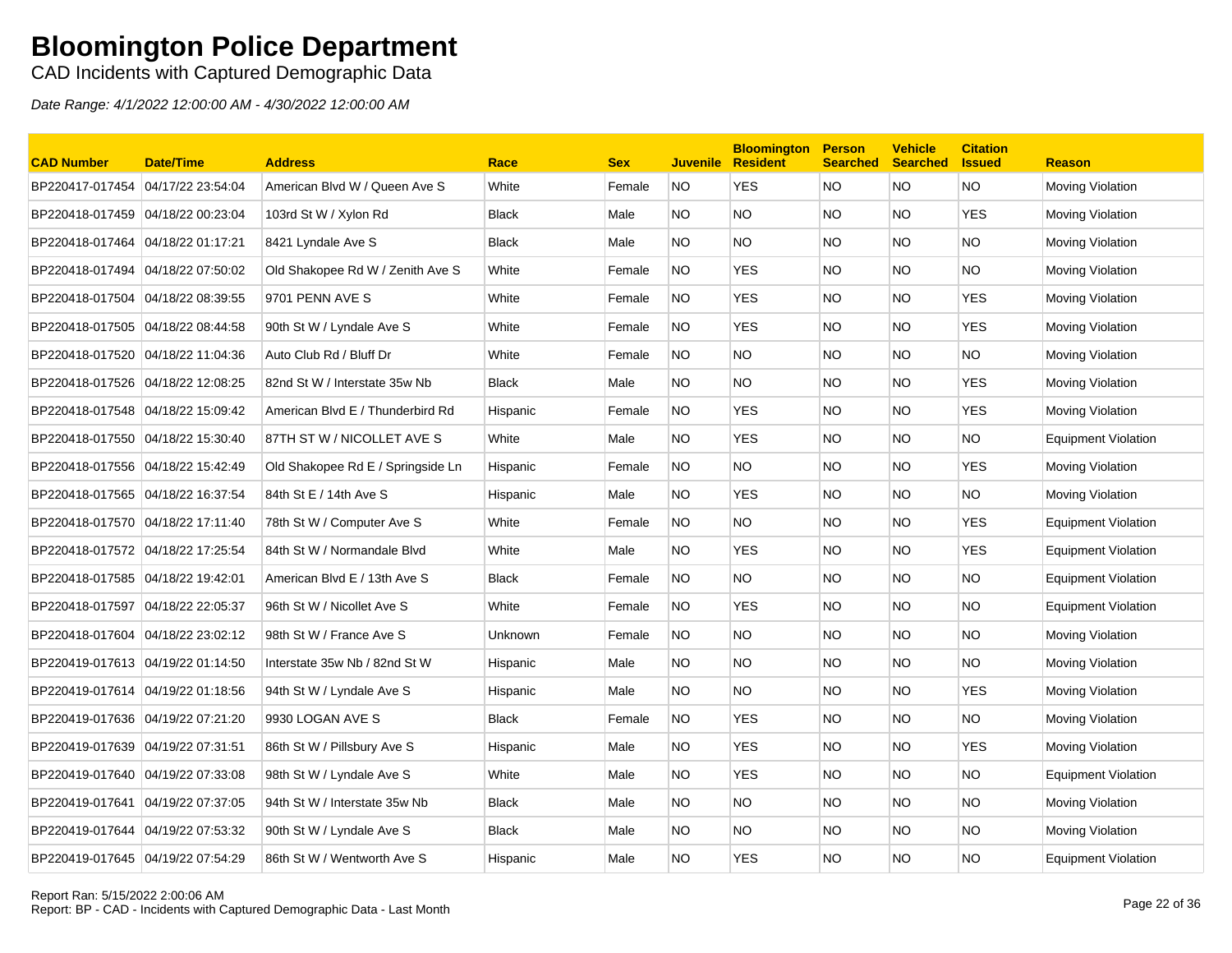CAD Incidents with Captured Demographic Data

| <b>CAD Number</b>                 | <b>Date/Time</b>  | <b>Address</b>                    | Race         | <b>Sex</b> | <b>Juvenile</b> | <b>Bloomington</b><br><b>Resident</b> | <b>Person</b><br><b>Searched</b> | <b>Vehicle</b><br><b>Searched</b> | <b>Citation</b><br><b>Issued</b> | <b>Reason</b>              |
|-----------------------------------|-------------------|-----------------------------------|--------------|------------|-----------------|---------------------------------------|----------------------------------|-----------------------------------|----------------------------------|----------------------------|
| BP220417-017454                   | 04/17/22 23:54:04 | American Blvd W / Queen Ave S     | White        | Female     | <b>NO</b>       | <b>YES</b>                            | <b>NO</b>                        | <b>NO</b>                         | <b>NO</b>                        | Moving Violation           |
| BP220418-017459 04/18/22 00:23:04 |                   | 103rd St W / Xylon Rd             | <b>Black</b> | Male       | NO.             | <b>NO</b>                             | <b>NO</b>                        | NO.                               | <b>YES</b>                       | Moving Violation           |
| BP220418-017464                   | 04/18/22 01:17:21 | 8421 Lyndale Ave S                | <b>Black</b> | Male       | NO.             | <b>NO</b>                             | <b>NO</b>                        | NO.                               | <b>NO</b>                        | Moving Violation           |
| BP220418-017494                   | 04/18/22 07:50:02 | Old Shakopee Rd W / Zenith Ave S  | White        | Female     | NO.             | <b>YES</b>                            | <b>NO</b>                        | NO.                               | NO.                              | Moving Violation           |
| BP220418-017504                   | 04/18/22 08:39:55 | 9701 PENN AVE S                   | White        | Female     | <b>NO</b>       | <b>YES</b>                            | <b>NO</b>                        | NO.                               | <b>YES</b>                       | Moving Violation           |
| BP220418-017505 04/18/22 08:44:58 |                   | 90th St W / Lyndale Ave S         | White        | Female     | <b>NO</b>       | YES.                                  | <b>NO</b>                        | NO.                               | <b>YES</b>                       | Moving Violation           |
| BP220418-017520 04/18/22 11:04:36 |                   | Auto Club Rd / Bluff Dr           | White        | Female     | <b>NO</b>       | <b>NO</b>                             | <b>NO</b>                        | NO.                               | NO.                              | Moving Violation           |
| BP220418-017526 04/18/22 12:08:25 |                   | 82nd St W / Interstate 35w Nb     | <b>Black</b> | Male       | NO.             | <b>NO</b>                             | <b>NO</b>                        | NO.                               | <b>YES</b>                       | Moving Violation           |
| BP220418-017548 04/18/22 15:09:42 |                   | American Blvd E / Thunderbird Rd  | Hispanic     | Female     | <b>NO</b>       | <b>YES</b>                            | <b>NO</b>                        | NO.                               | <b>YES</b>                       | Moving Violation           |
| BP220418-017550 04/18/22 15:30:40 |                   | 87TH ST W / NICOLLET AVE S        | White        | Male       | NO.             | <b>YES</b>                            | <b>NO</b>                        | NO.                               | <b>NO</b>                        | <b>Equipment Violation</b> |
| BP220418-017556 04/18/22 15:42:49 |                   | Old Shakopee Rd E / Springside Ln | Hispanic     | Female     | NO.             | NO.                                   | <b>NO</b>                        | NO.                               | <b>YES</b>                       | Moving Violation           |
| BP220418-017565 04/18/22 16:37:54 |                   | 84th St E / 14th Ave S            | Hispanic     | Male       | NO.             | <b>YES</b>                            | <b>NO</b>                        | NO.                               | <b>NO</b>                        | Moving Violation           |
| BP220418-017570 04/18/22 17:11:40 |                   | 78th St W / Computer Ave S        | White        | Female     | <b>NO</b>       | NO.                                   | <b>NO</b>                        | NO.                               | YES                              | <b>Equipment Violation</b> |
| BP220418-017572 04/18/22 17:25:54 |                   | 84th St W / Normandale Blvd       | White        | Male       | NO.             | <b>YES</b>                            | <b>NO</b>                        | NO.                               | <b>YES</b>                       | Equipment Violation        |
| BP220418-017585 04/18/22 19:42:01 |                   | American Blvd E / 13th Ave S      | <b>Black</b> | Female     | NO.             | <b>NO</b>                             | <b>NO</b>                        | NO.                               | NO.                              | Equipment Violation        |
| BP220418-017597 04/18/22 22:05:37 |                   | 96th St W / Nicollet Ave S        | White        | Female     | <b>NO</b>       | <b>YES</b>                            | <b>NO</b>                        | NO.                               | <b>NO</b>                        | <b>Equipment Violation</b> |
| BP220418-017604                   | 04/18/22 23:02:12 | 98th St W / France Ave S          | Unknown      | Female     | <b>NO</b>       | <b>NO</b>                             | <b>NO</b>                        | NO.                               | <b>NO</b>                        | Moving Violation           |
| BP220419-017613 04/19/22 01:14:50 |                   | Interstate 35w Nb / 82nd St W     | Hispanic     | Male       | NO.             | <b>NO</b>                             | <b>NO</b>                        | NO.                               | <b>NO</b>                        | Moving Violation           |
| BP220419-017614 04/19/22 01:18:56 |                   | 94th St W / Lyndale Ave S         | Hispanic     | Male       | NO.             | NO.                                   | <b>NO</b>                        | NO.                               | <b>YES</b>                       | Moving Violation           |
| BP220419-017636 04/19/22 07:21:20 |                   | 9930 LOGAN AVE S                  | <b>Black</b> | Female     | NO.             | <b>YES</b>                            | NO.                              | NO.                               | <b>NO</b>                        | Moving Violation           |
|                                   |                   | 86th St W / Pillsbury Ave S       | Hispanic     | Male       | NO.             | <b>YES</b>                            | <b>NO</b>                        | NO.                               | <b>YES</b>                       | Moving Violation           |
| BP220419-017640 04/19/22 07:33:08 |                   | 98th St W / Lyndale Ave S         | White        | Male       | NO.             | <b>YES</b>                            | <b>NO</b>                        | NO.                               | <b>NO</b>                        | Equipment Violation        |
| BP220419-017641                   | 04/19/22 07:37:05 | 94th St W / Interstate 35w Nb     | <b>Black</b> | Male       | NO.             | <b>NO</b>                             | <b>NO</b>                        | NO.                               | <b>NO</b>                        | Moving Violation           |
| BP220419-017644                   | 04/19/22 07:53:32 | 90th St W / Lyndale Ave S         | <b>Black</b> | Male       | NO.             | <b>NO</b>                             | <b>NO</b>                        | NO.                               | <b>NO</b>                        | Moving Violation           |
| BP220419-017645 04/19/22 07:54:29 |                   | 86th St W / Wentworth Ave S       | Hispanic     | Male       | NO.             | <b>YES</b>                            | <b>NO</b>                        | <b>NO</b>                         | <b>NO</b>                        | <b>Equipment Violation</b> |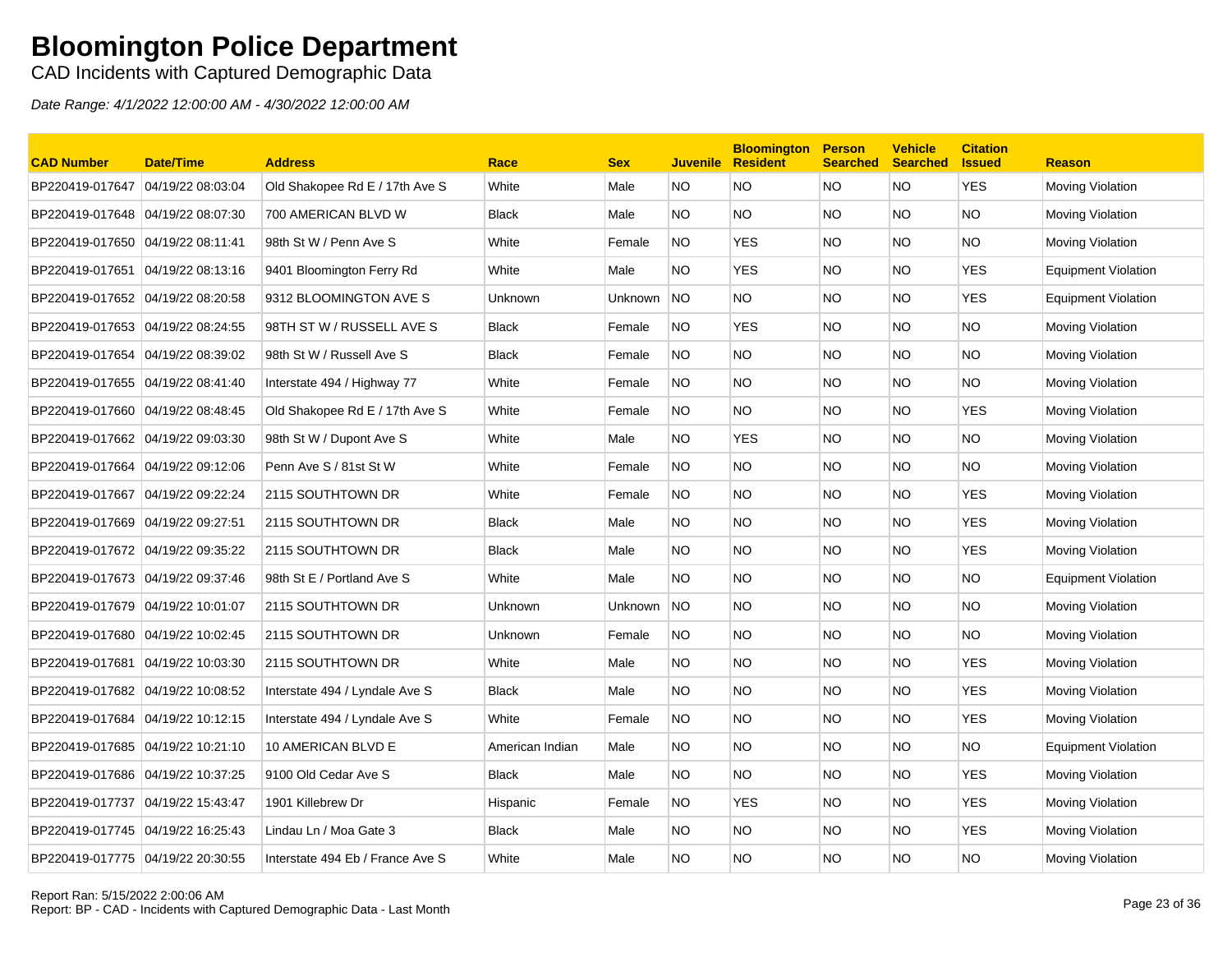CAD Incidents with Captured Demographic Data

| <b>CAD Number</b>                 | Date/Time         | <b>Address</b>                   | Race            | <b>Sex</b> | <b>Juvenile</b> | <b>Bloomington</b><br><b>Resident</b> | <b>Person</b><br><b>Searched</b> | <b>Vehicle</b><br><b>Searched</b> | <b>Citation</b><br><b>Issued</b> | <b>Reason</b>              |
|-----------------------------------|-------------------|----------------------------------|-----------------|------------|-----------------|---------------------------------------|----------------------------------|-----------------------------------|----------------------------------|----------------------------|
| BP220419-017647                   | 04/19/22 08:03:04 | Old Shakopee Rd E / 17th Ave S   | White           | Male       | NO.             | <b>NO</b>                             | <b>NO</b>                        | <b>NO</b>                         | <b>YES</b>                       | Moving Violation           |
| BP220419-017648 04/19/22 08:07:30 |                   | 700 AMERICAN BLVD W              | <b>Black</b>    | Male       | NO.             | <b>NO</b>                             | <b>NO</b>                        | NO.                               | <b>NO</b>                        | Moving Violation           |
| BP220419-017650                   | 04/19/22 08:11:41 | 98th St W / Penn Ave S           | White           | Female     | <b>NO</b>       | <b>YES</b>                            | <b>NO</b>                        | NO.                               | <b>NO</b>                        | Moving Violation           |
| BP220419-017651                   | 04/19/22 08:13:16 | 9401 Bloomington Ferry Rd        | White           | Male       | NO.             | <b>YES</b>                            | <b>NO</b>                        | NO.                               | <b>YES</b>                       | Equipment Violation        |
| BP220419-017652 04/19/22 08:20:58 |                   | 9312 BLOOMINGTON AVE S           | <b>Unknown</b>  | Unknown    | <b>NO</b>       | NO.                                   | <b>NO</b>                        | NO.                               | <b>YES</b>                       | Equipment Violation        |
| BP220419-017653 04/19/22 08:24:55 |                   | 98TH ST W / RUSSELL AVE S        | <b>Black</b>    | Female     | NO.             | YES                                   | <b>NO</b>                        | NO.                               | NO.                              | Moving Violation           |
| BP220419-017654                   | 04/19/22 08:39:02 | 98th St W / Russell Ave S        | <b>Black</b>    | Female     | <b>NO</b>       | <b>NO</b>                             | <b>NO</b>                        | NO.                               | <b>NO</b>                        | Moving Violation           |
| BP220419-017655 04/19/22 08:41:40 |                   | Interstate 494 / Highway 77      | White           | Female     | NO.             | <b>NO</b>                             | <b>NO</b>                        | NO.                               | <b>NO</b>                        | Moving Violation           |
| BP220419-017660 04/19/22 08:48:45 |                   | Old Shakopee Rd E / 17th Ave S   | White           | Female     | <b>NO</b>       | <b>NO</b>                             | <b>NO</b>                        | NO.                               | <b>YES</b>                       | Moving Violation           |
| BP220419-017662                   | 04/19/22 09:03:30 | 98th St W / Dupont Ave S         | White           | Male       | NO.             | <b>YES</b>                            | <b>NO</b>                        | NO.                               | <b>NO</b>                        | Moving Violation           |
| BP220419-017664                   | 04/19/22 09:12:06 | Penn Ave S / 81st St W           | White           | Female     | NO.             | <b>NO</b>                             | <b>NO</b>                        | NO.                               | NO.                              | Moving Violation           |
| BP220419-017667                   | 04/19/22 09:22:24 | 2115 SOUTHTOWN DR                | White           | Female     | NO.             | NO.                                   | <b>NO</b>                        | NO.                               | <b>YES</b>                       | Moving Violation           |
| BP220419-017669 04/19/22 09:27:51 |                   | 2115 SOUTHTOWN DR                | <b>Black</b>    | Male       | NO.             | <b>NO</b>                             | <b>NO</b>                        | NO.                               | <b>YES</b>                       | Moving Violation           |
| BP220419-017672                   | 04/19/22 09:35:22 | 2115 SOUTHTOWN DR                | <b>Black</b>    | Male       | NO.             | <b>NO</b>                             | <b>NO</b>                        | NO.                               | <b>YES</b>                       | Moving Violation           |
| BP220419-017673 04/19/22 09:37:46 |                   | 98th St E / Portland Ave S       | White           | Male       | NO.             | <b>NO</b>                             | <b>NO</b>                        | NO.                               | NO.                              | <b>Equipment Violation</b> |
|                                   |                   | 2115 SOUTHTOWN DR                | Unknown         | Unknown    | <b>NO</b>       | <b>NO</b>                             | <b>NO</b>                        | NO.                               | <b>NO</b>                        | Moving Violation           |
| BP220419-017680 04/19/22 10:02:45 |                   | 2115 SOUTHTOWN DR                | Unknown         | Female     | NO.             | NO.                                   | <b>NO</b>                        | NO.                               | <b>NO</b>                        | Moving Violation           |
| BP220419-017681                   | 04/19/22 10:03:30 | 2115 SOUTHTOWN DR                | White           | Male       | NO.             | <b>NO</b>                             | <b>NO</b>                        | NO.                               | <b>YES</b>                       | Moving Violation           |
| BP220419-017682 04/19/22 10:08:52 |                   | Interstate 494 / Lyndale Ave S   | <b>Black</b>    | Male       | NO.             | <b>NO</b>                             | <b>NO</b>                        | NO.                               | <b>YES</b>                       | Moving Violation           |
| BP220419-017684                   | 04/19/22 10:12:15 | Interstate 494 / Lyndale Ave S   | White           | Female     | NO.             | NO.                                   | <b>NO</b>                        | NO.                               | <b>YES</b>                       | Moving Violation           |
| BP220419-017685                   | 04/19/22 10:21:10 | 10 AMERICAN BLVD E               | American Indian | Male       | NO.             | <b>NO</b>                             | <b>NO</b>                        | <b>NO</b>                         | <b>NO</b>                        | <b>Equipment Violation</b> |
| BP220419-017686 04/19/22 10:37:25 |                   | 9100 Old Cedar Ave S             | <b>Black</b>    | Male       | NO.             | <b>NO</b>                             | <b>NO</b>                        | NO.                               | <b>YES</b>                       | Moving Violation           |
| BP220419-017737 04/19/22 15:43:47 |                   | 1901 Killebrew Dr                | Hispanic        | Female     | NO.             | <b>YES</b>                            | <b>NO</b>                        | NO.                               | <b>YES</b>                       | Moving Violation           |
| BP220419-017745 04/19/22 16:25:43 |                   | Lindau Ln / Moa Gate 3           | <b>Black</b>    | Male       | NO.             | <b>NO</b>                             | <b>NO</b>                        | NO.                               | <b>YES</b>                       | Moving Violation           |
| BP220419-017775 04/19/22 20:30:55 |                   | Interstate 494 Eb / France Ave S | White           | Male       | <b>NO</b>       | NO                                    | <b>NO</b>                        | <b>NO</b>                         | <b>NO</b>                        | Moving Violation           |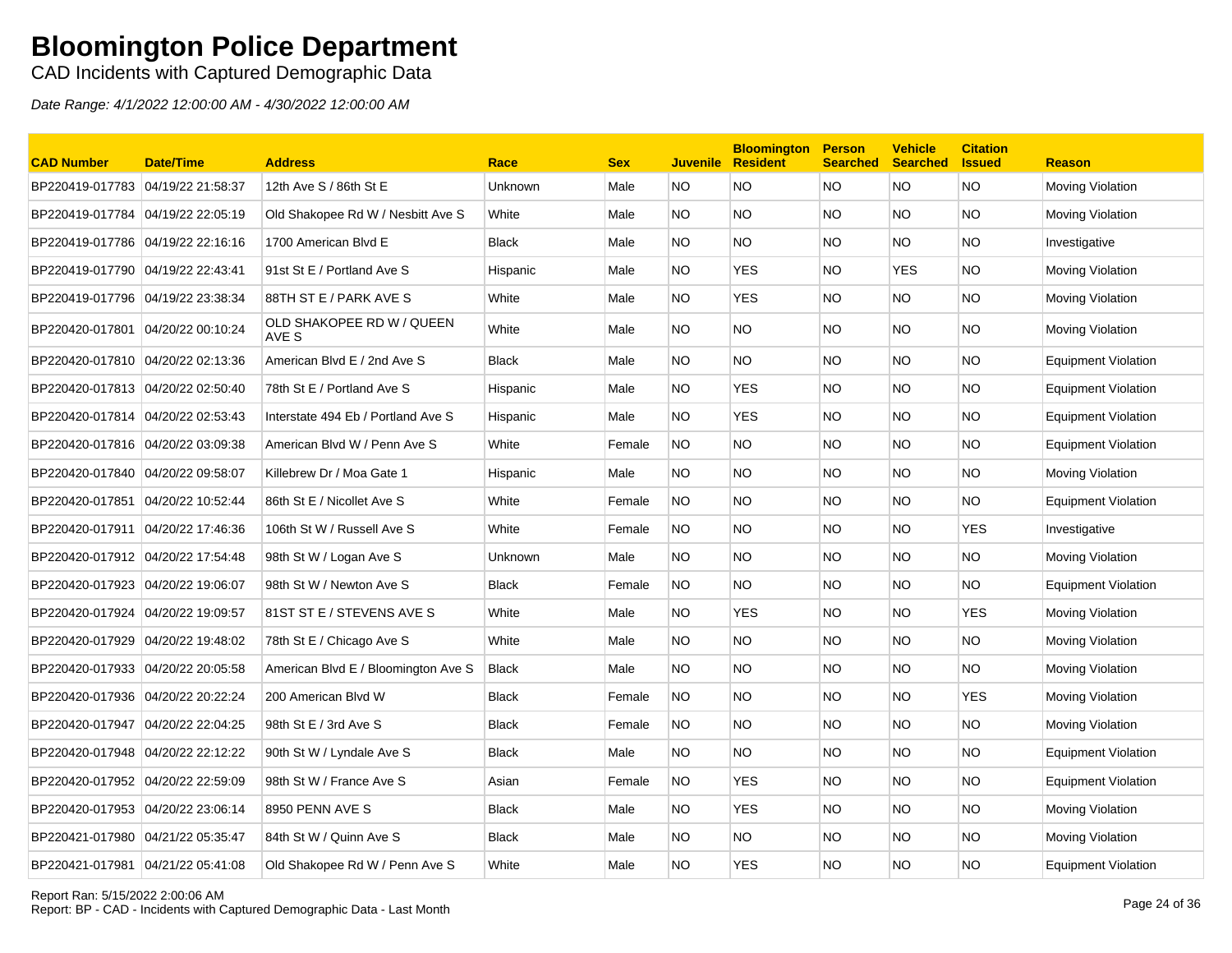CAD Incidents with Captured Demographic Data

| <b>CAD Number</b>                 | <b>Date/Time</b> | <b>Address</b>                      | Race         | <b>Sex</b> | <b>Juvenile</b> | <b>Bloomington</b><br><b>Resident</b> | <b>Person</b><br><b>Searched</b> | <b>Vehicle</b><br><b>Searched</b> | <b>Citation</b><br><b>Issued</b> | <b>Reason</b>              |
|-----------------------------------|------------------|-------------------------------------|--------------|------------|-----------------|---------------------------------------|----------------------------------|-----------------------------------|----------------------------------|----------------------------|
| BP220419-017783 04/19/22 21:58:37 |                  | 12th Ave S / 86th St E              | Unknown      | Male       | NO              | NO.                                   | <b>NO</b>                        | NO.                               | NO.                              | Moving Violation           |
| BP220419-017784 04/19/22 22:05:19 |                  | Old Shakopee Rd W / Nesbitt Ave S   | White        | Male       | NO.             | NO                                    | <b>NO</b>                        | NO.                               | ΝO                               | Moving Violation           |
| BP220419-017786 04/19/22 22:16:16 |                  | 1700 American Blvd E                | <b>Black</b> | Male       | <b>NO</b>       | NO.                                   | <b>NO</b>                        | NO.                               | <b>NO</b>                        | Investigative              |
| BP220419-017790 04/19/22 22:43:41 |                  | 91st St E / Portland Ave S          | Hispanic     | Male       | NO.             | <b>YES</b>                            | <b>NO</b>                        | <b>YES</b>                        | NO.                              | Moving Violation           |
| BP220419-017796 04/19/22 23:38:34 |                  | 88TH ST E / PARK AVE S              | White        | Male       | NO.             | <b>YES</b>                            | <b>NO</b>                        | NO.                               | NO.                              | Moving Violation           |
| BP220420-017801 04/20/22 00:10:24 |                  | OLD SHAKOPEE RD W / QUEEN<br>AVE S  | White        | Male       | NO.             | NO.                                   | <b>NO</b>                        | NO.                               | NO.                              | Moving Violation           |
| BP220420-017810 04/20/22 02:13:36 |                  | American Blvd E / 2nd Ave S         | <b>Black</b> | Male       | NO.             | NO.                                   | <b>NO</b>                        | NO.                               | <b>NO</b>                        | <b>Equipment Violation</b> |
|                                   |                  | 78th St E / Portland Ave S          | Hispanic     | Male       | NO.             | <b>YES</b>                            | <b>NO</b>                        | NO.                               | NO.                              | <b>Equipment Violation</b> |
| BP220420-017814 04/20/22 02:53:43 |                  | Interstate 494 Eb / Portland Ave S  | Hispanic     | Male       | NO.             | <b>YES</b>                            | <b>NO</b>                        | NO.                               | NO.                              | <b>Equipment Violation</b> |
| BP220420-017816 04/20/22 03:09:38 |                  | American Blvd W / Penn Ave S        | White        | Female     | <b>NO</b>       | NO                                    | <b>NO</b>                        | NO.                               | <b>NO</b>                        | Equipment Violation        |
| BP220420-017840 04/20/22 09:58:07 |                  | Killebrew Dr / Moa Gate 1           | Hispanic     | Male       | NO.             | <b>NO</b>                             | <b>NO</b>                        | NO.                               | <b>NO</b>                        | Moving Violation           |
| BP220420-017851 04/20/22 10:52:44 |                  | 86th St E / Nicollet Ave S          | White        | Female     | <b>NO</b>       | NO                                    | <b>NO</b>                        | NO.                               | NO.                              | <b>Equipment Violation</b> |
| BP220420-017911 04/20/22 17:46:36 |                  | 106th St W / Russell Ave S          | White        | Female     | NO              | NO.                                   | <b>NO</b>                        | NO.                               | <b>YES</b>                       | Investigative              |
| BP220420-017912 04/20/22 17:54:48 |                  | 98th St W / Logan Ave S             | Unknown      | Male       | NO.             | NO.                                   | NO.                              | NO.                               | NO.                              | Moving Violation           |
| BP220420-017923 04/20/22 19:06:07 |                  | 98th St W / Newton Ave S            | <b>Black</b> | Female     | <b>NO</b>       | NO.                                   | <b>NO</b>                        | NO.                               | NO.                              | <b>Equipment Violation</b> |
| BP220420-017924 04/20/22 19:09:57 |                  | 81ST ST E / STEVENS AVE S           | White        | Male       | NO.             | <b>YES</b>                            | <b>NO</b>                        | NO.                               | <b>YES</b>                       | Moving Violation           |
| BP220420-017929 04/20/22 19:48:02 |                  | 78th St E / Chicago Ave S           | White        | Male       | NO.             | NO                                    | <b>NO</b>                        | NO.                               | NO.                              | Moving Violation           |
| BP220420-017933 04/20/22 20:05:58 |                  | American Blvd E / Bloomington Ave S | <b>Black</b> | Male       | NO.             | NO.                                   | NO.                              | NO.                               | NO.                              | Moving Violation           |
| BP220420-017936 04/20/22 20:22:24 |                  | 200 American Blvd W                 | <b>Black</b> | Female     | <b>NO</b>       | ΝO                                    | <b>NO</b>                        | NO.                               | <b>YES</b>                       | Moving Violation           |
| BP220420-017947 04/20/22 22:04:25 |                  | 98th St E / 3rd Ave S               | <b>Black</b> | Female     | <b>NO</b>       | NO.                                   | NO.                              | NO.                               | NO.                              | Moving Violation           |
| BP220420-017948 04/20/22 22:12:22 |                  | 90th St W / Lyndale Ave S           | <b>Black</b> | Male       | NO.             | NO.                                   | <b>NO</b>                        | NO.                               | NO.                              | <b>Equipment Violation</b> |
| BP220420-017952 04/20/22 22:59:09 |                  | 98th St W / France Ave S            | Asian        | Female     | <b>NO</b>       | YES.                                  | NO.                              | NO.                               | NO.                              | <b>Equipment Violation</b> |
| BP220420-017953 04/20/22 23:06:14 |                  | 8950 PENN AVE S                     | <b>Black</b> | Male       | NO.             | <b>YES</b>                            | <b>NO</b>                        | NO.                               | <b>NO</b>                        | Moving Violation           |
|                                   |                  | 84th St W / Quinn Ave S             | <b>Black</b> | Male       | NO.             | ΝO                                    | <b>NO</b>                        | NO.                               | NO.                              | Moving Violation           |
| BP220421-017981 04/21/22 05:41:08 |                  | Old Shakopee Rd W / Penn Ave S      | White        | Male       | NO              | <b>YES</b>                            | <b>NO</b>                        | NO.                               | NO                               | <b>Equipment Violation</b> |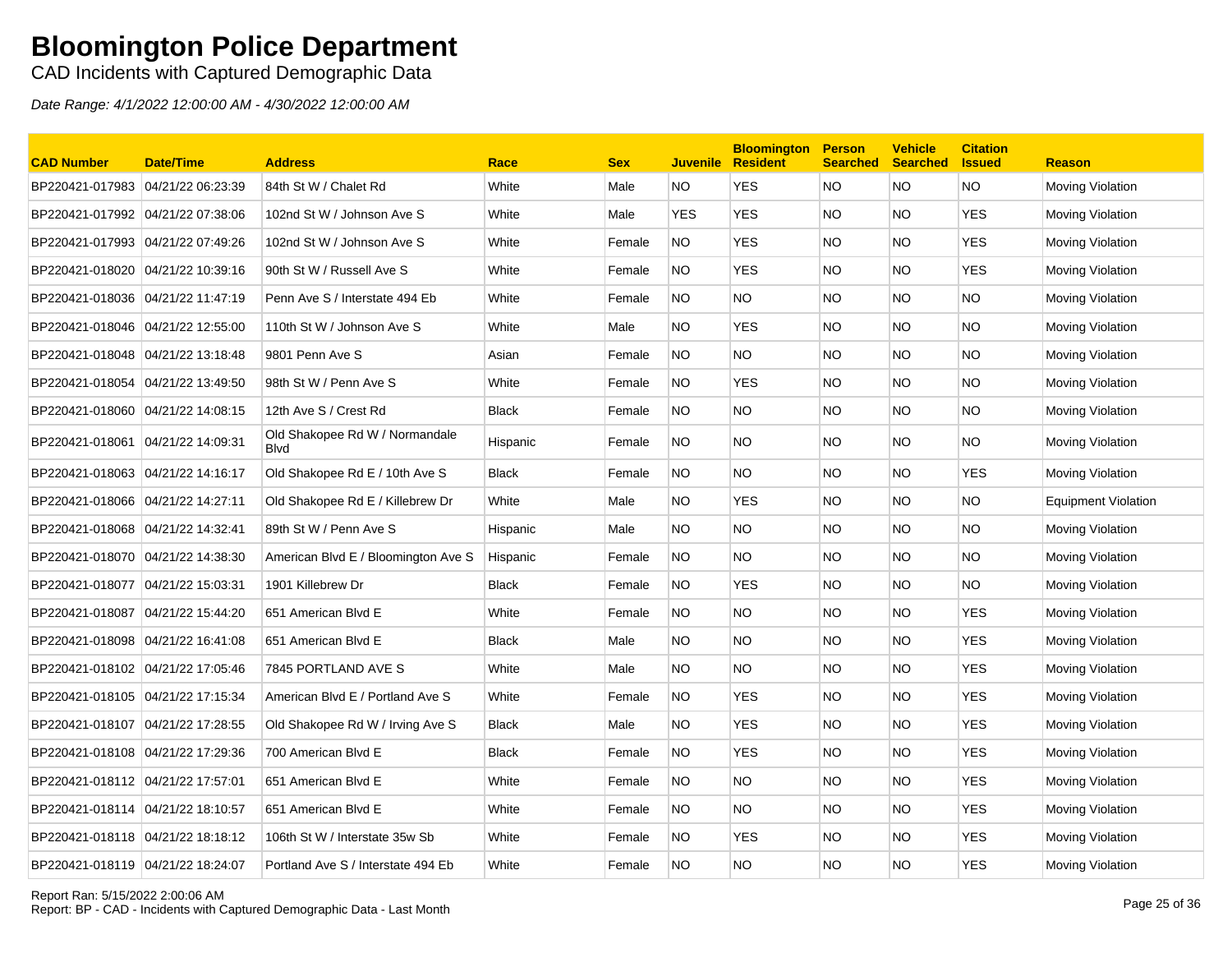CAD Incidents with Captured Demographic Data

| <b>CAD Number</b>                 | <b>Date/Time</b>  | <b>Address</b>                                | Race         | <b>Sex</b> | <b>Juvenile</b> | <b>Bloomington</b><br><b>Resident</b> | <b>Person</b><br><b>Searched</b> | <b>Vehicle</b><br><b>Searched</b> | <b>Citation</b><br><b>Issued</b> | <b>Reason</b>              |
|-----------------------------------|-------------------|-----------------------------------------------|--------------|------------|-----------------|---------------------------------------|----------------------------------|-----------------------------------|----------------------------------|----------------------------|
| BP220421-017983 04/21/22 06:23:39 |                   | 84th St W / Chalet Rd                         | White        | Male       | NO              | <b>YES</b>                            | <b>NO</b>                        | NO.                               | NO.                              | Moving Violation           |
| BP220421-017992 04/21/22 07:38:06 |                   | 102nd St W / Johnson Ave S                    | White        | Male       | <b>YES</b>      | <b>YES</b>                            | <b>NO</b>                        | NO.                               | <b>YES</b>                       | Moving Violation           |
| BP220421-017993 04/21/22 07:49:26 |                   | 102nd St W / Johnson Ave S                    | White        | Female     | NO.             | <b>YES</b>                            | <b>NO</b>                        | NO.                               | <b>YES</b>                       | Moving Violation           |
| BP220421-018020 04/21/22 10:39:16 |                   | 90th St W / Russell Ave S                     | White        | Female     | NO.             | <b>YES</b>                            | <b>NO</b>                        | NO.                               | <b>YES</b>                       | Moving Violation           |
| BP220421-018036                   | 04/21/22 11:47:19 | Penn Ave S / Interstate 494 Eb                | White        | Female     | <b>NO</b>       | NO.                                   | <b>NO</b>                        | NO.                               | NO.                              | Moving Violation           |
| BP220421-018046 04/21/22 12:55:00 |                   | 110th St W / Johnson Ave S                    | White        | Male       | NO.             | <b>YES</b>                            | <b>NO</b>                        | NO.                               | <b>NO</b>                        | Moving Violation           |
|                                   |                   | 9801 Penn Ave S                               | Asian        | Female     | <b>NO</b>       | ΝO                                    | <b>NO</b>                        | NO.                               | NO.                              | Moving Violation           |
| BP220421-018054 04/21/22 13:49:50 |                   | 98th St W / Penn Ave S                        | White        | Female     | NO              | <b>YES</b>                            | <b>NO</b>                        | NO.                               | ΝO                               | Moving Violation           |
| BP220421-018060 04/21/22 14:08:15 |                   | 12th Ave S / Crest Rd                         | Black        | Female     | NO.             | NO.                                   | <b>NO</b>                        | NO.                               | <b>NO</b>                        | Moving Violation           |
| BP220421-018061 04/21/22 14:09:31 |                   | Old Shakopee Rd W / Normandale<br><b>Blvd</b> | Hispanic     | Female     | <b>NO</b>       | ΝO                                    | <b>NO</b>                        | NO.                               | NO.                              | Moving Violation           |
|                                   |                   | Old Shakopee Rd E / 10th Ave S                | <b>Black</b> | Female     | NO              | NO.                                   | <b>NO</b>                        | NO.                               | <b>YES</b>                       | Moving Violation           |
| BP220421-018066 04/21/22 14:27:11 |                   | Old Shakopee Rd E / Killebrew Dr              | White        | Male       | NO.             | <b>YES</b>                            | <b>NO</b>                        | NO.                               | NO.                              | <b>Equipment Violation</b> |
| BP220421-018068 04/21/22 14:32:41 |                   | 89th St W / Penn Ave S                        | Hispanic     | Male       | NO.             | NO.                                   | <b>NO</b>                        | NO.                               | NO                               | Moving Violation           |
| BP220421-018070 04/21/22 14:38:30 |                   | American Blvd E / Bloomington Ave S           | Hispanic     | Female     | <b>NO</b>       | NO.                                   | <b>NO</b>                        | NO.                               | NO.                              | Moving Violation           |
| BP220421-018077 04/21/22 15:03:31 |                   | 1901 Killebrew Dr                             | Black        | Female     | <b>NO</b>       | <b>YES</b>                            | NO.                              | NO.                               | NO.                              | Moving Violation           |
| BP220421-018087                   | 04/21/22 15:44:20 | 651 American Blvd E                           | White        | Female     | NO              | <b>NO</b>                             | <b>NO</b>                        | NO.                               | <b>YES</b>                       | Moving Violation           |
| BP220421-018098 04/21/22 16:41:08 |                   | 651 American Blvd E                           | Black        | Male       | NO.             | ΝO                                    | <b>NO</b>                        | NO.                               | <b>YES</b>                       | Moving Violation           |
| BP220421-018102 04/21/22 17:05:46 |                   | 7845 PORTLAND AVE S                           | White        | Male       | NO              | NO.                                   | <b>NO</b>                        | NO.                               | <b>YES</b>                       | Moving Violation           |
| BP220421-018105 04/21/22 17:15:34 |                   | American Blvd E / Portland Ave S              | White        | Female     | <b>NO</b>       | <b>YES</b>                            | <b>NO</b>                        | NO.                               | <b>YES</b>                       | Moving Violation           |
| BP220421-018107 04/21/22 17:28:55 |                   | Old Shakopee Rd W / Irving Ave S              | <b>Black</b> | Male       | NO.             | <b>YES</b>                            | <b>NO</b>                        | NO.                               | <b>YES</b>                       | Moving Violation           |
| BP220421-018108 04/21/22 17:29:36 |                   | 700 American Blvd E                           | Black        | Female     | <b>NO</b>       | <b>YES</b>                            | <b>NO</b>                        | NO.                               | <b>YES</b>                       | Moving Violation           |
| BP220421-018112 04/21/22 17:57:01 |                   | 651 American Blvd E                           | White        | Female     | NO              | NO.                                   | <b>NO</b>                        | NO.                               | <b>YES</b>                       | Moving Violation           |
| BP220421-018114 04/21/22 18:10:57 |                   | 651 American Blvd E                           | White        | Female     | NO.             | <b>NO</b>                             | <b>NO</b>                        | NO.                               | <b>YES</b>                       | Moving Violation           |
| BP220421-018118 04/21/22 18:18:12 |                   | 106th St W / Interstate 35w Sb                | White        | Female     | NO              | <b>YES</b>                            | <b>NO</b>                        | NO.                               | <b>YES</b>                       | Moving Violation           |
| BP220421-018119 04/21/22 18:24:07 |                   | Portland Ave S / Interstate 494 Eb            | White        | Female     | <b>NO</b>       | ΝO                                    | <b>NO</b>                        | NO.                               | <b>YES</b>                       | Moving Violation           |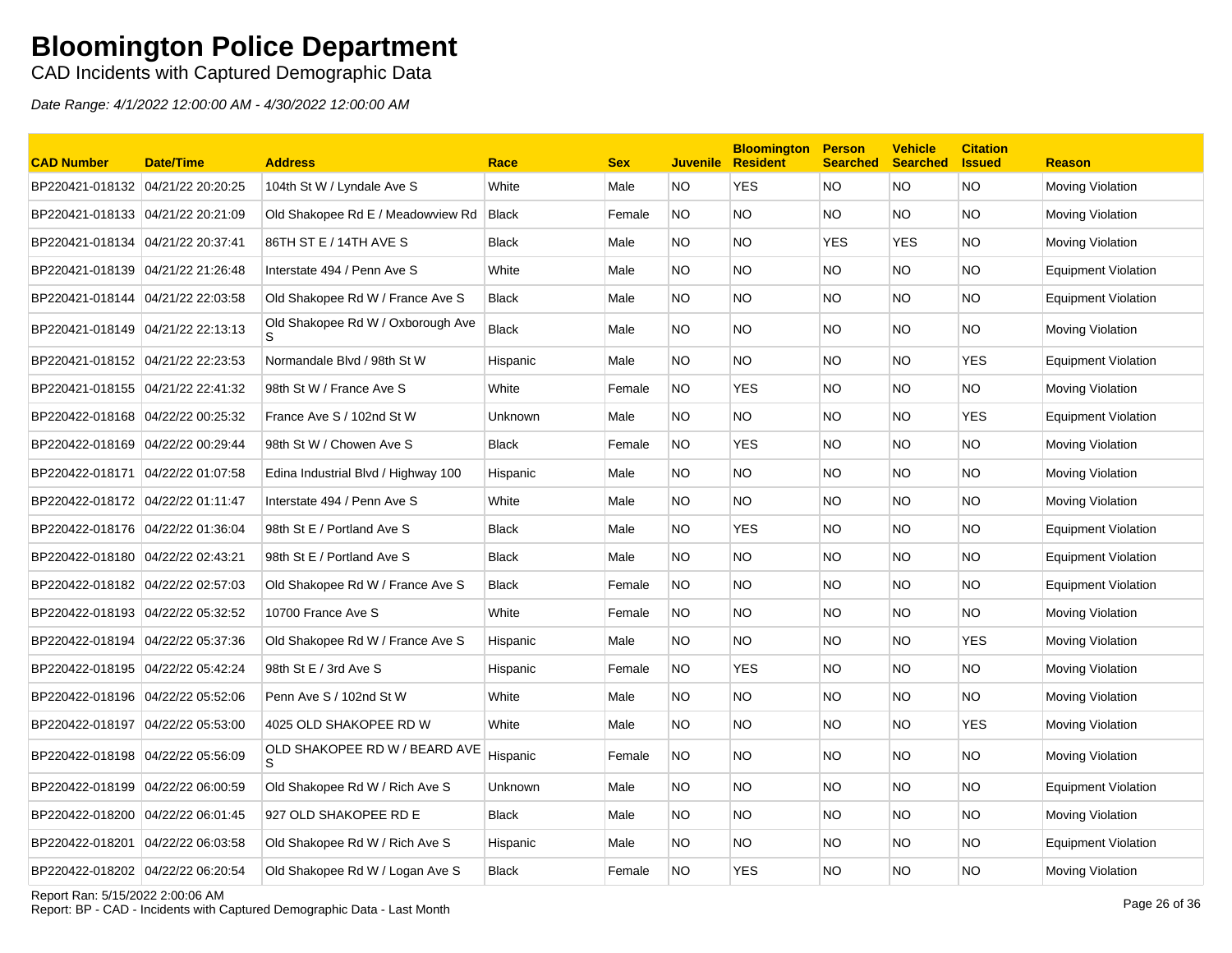CAD Incidents with Captured Demographic Data

Date Range: 4/1/2022 12:00:00 AM - 4/30/2022 12:00:00 AM

| <b>CAD Number</b>                 | Date/Time | <b>Address</b>                      | Race         | <b>Sex</b> | <b>Juvenile</b> | <b>Bloomington</b><br><b>Resident</b> | <b>Person</b><br><b>Searched</b> | <b>Vehicle</b><br><b>Searched</b> | <b>Citation</b><br><b>Issued</b> | <b>Reason</b>              |
|-----------------------------------|-----------|-------------------------------------|--------------|------------|-----------------|---------------------------------------|----------------------------------|-----------------------------------|----------------------------------|----------------------------|
| BP220421-018132 04/21/22 20:20:25 |           | 104th St W / Lyndale Ave S          | White        | Male       | NO              | <b>YES</b>                            | NO                               | NO.                               | NO                               | <b>Moving Violation</b>    |
| BP220421-018133 04/21/22 20:21:09 |           | Old Shakopee Rd E / Meadowview Rd   | <b>Black</b> | Female     | NO              | NO.                                   | NO                               | NO.                               | NO.                              | <b>Moving Violation</b>    |
| BP220421-018134 04/21/22 20:37:41 |           | 86TH ST E / 14TH AVE S              | <b>Black</b> | Male       | NO.             | NO.                                   | <b>YES</b>                       | <b>YES</b>                        | NO.                              | <b>Moving Violation</b>    |
| BP220421-018139 04/21/22 21:26:48 |           | Interstate 494 / Penn Ave S         | White        | Male       | NO.             | NO.                                   | <b>NO</b>                        | NO.                               | NO.                              | <b>Equipment Violation</b> |
| BP220421-018144 04/21/22 22:03:58 |           | Old Shakopee Rd W / France Ave S    | Black        | Male       | <b>NO</b>       | NO.                                   | <b>NO</b>                        | NO.                               | NO.                              | Equipment Violation        |
| BP220421-018149 04/21/22 22:13:13 |           | Old Shakopee Rd W / Oxborough Ave   | Black        | Male       | NO.             | NO.                                   | <b>NO</b>                        | NO.                               | NO.                              | <b>Moving Violation</b>    |
| BP220421-018152 04/21/22 22:23:53 |           | Normandale Blvd / 98th St W         | Hispanic     | Male       | NO.             | NO.                                   | <b>NO</b>                        | NO.                               | <b>YES</b>                       | Equipment Violation        |
| BP220421-018155 04/21/22 22:41:32 |           | 98th St W / France Ave S            | White        | Female     | NO.             | <b>YES</b>                            | <b>NO</b>                        | NO.                               | <b>NO</b>                        | <b>Moving Violation</b>    |
| BP220422-018168 04/22/22 00:25:32 |           | France Ave S / 102nd St W           | Unknown      | Male       | NO              | NO.                                   | <b>NO</b>                        | NO                                | <b>YES</b>                       | Equipment Violation        |
| BP220422-018169 04/22/22 00:29:44 |           | 98th St W / Chowen Ave S            | <b>Black</b> | Female     | NO.             | <b>YES</b>                            | <b>NO</b>                        | NO                                | NO.                              | <b>Moving Violation</b>    |
| BP220422-018171 04/22/22 01:07:58 |           | Edina Industrial Blvd / Highway 100 | Hispanic     | Male       | NO.             | NO.                                   | <b>NO</b>                        | NO.                               | NO.                              | <b>Moving Violation</b>    |
| BP220422-018172 04/22/22 01:11:47 |           | Interstate 494 / Penn Ave S         | White        | Male       | NO.             | NO.                                   | <b>NO</b>                        | NO.                               | NO.                              | <b>Moving Violation</b>    |
| BP220422-018176 04/22/22 01:36:04 |           | 98th St E / Portland Ave S          | Black        | Male       | NO.             | <b>YES</b>                            | <b>NO</b>                        | NO.                               | NO.                              | <b>Equipment Violation</b> |
| BP220422-018180 04/22/22 02:43:21 |           | 98th St E / Portland Ave S          | Black        | Male       | <b>NO</b>       | NO.                                   | <b>NO</b>                        | NO.                               | NO.                              | Equipment Violation        |
| BP220422-018182 04/22/22 02:57:03 |           | Old Shakopee Rd W / France Ave S    | Black        | Female     | <b>NO</b>       | NO.                                   | <b>NO</b>                        | NO                                | NO.                              | Equipment Violation        |
| BP220422-018193 04/22/22 05:32:52 |           | 10700 France Ave S                  | White        | Female     | NO.             | NO.                                   | <b>NO</b>                        | NO                                | NO.                              | <b>Moving Violation</b>    |
| BP220422-018194 04/22/22 05:37:36 |           | Old Shakopee Rd W / France Ave S    | Hispanic     | Male       | NO.             | NO.                                   | <b>NO</b>                        | NO.                               | <b>YES</b>                       | <b>Moving Violation</b>    |
| BP220422-018195 04/22/22 05:42:24 |           | 98th St E / 3rd Ave S               | Hispanic     | Female     | NO.             | YES                                   | NO.                              | NO.                               | NO.                              | Moving Violation           |
| BP220422-018196 04/22/22 05:52:06 |           | Penn Ave S / 102nd St W             | White        | Male       | NO.             | NO.                                   | <b>NO</b>                        | NO.                               | NO.                              | Moving Violation           |
| BP220422-018197 04/22/22 05:53:00 |           | 4025 OLD SHAKOPEE RD W              | White        | Male       | NO.             | NO.                                   | NO.                              | NO.                               | YES                              | <b>Moving Violation</b>    |
| BP220422-018198 04/22/22 05:56:09 |           | OLD SHAKOPEE RD W / BEARD AVE       | Hispanic     | Female     | <b>NO</b>       | NO.                                   | <b>NO</b>                        | NO.                               | NO.                              | Moving Violation           |
| BP220422-018199 04/22/22 06:00:59 |           | Old Shakopee Rd W / Rich Ave S      | Unknown      | Male       | NO.             | <b>NO</b>                             | <b>NO</b>                        | NO.                               | <b>NO</b>                        | <b>Equipment Violation</b> |
| BP220422-018200 04/22/22 06:01:45 |           | 927 OLD SHAKOPEE RD E               | Black        | Male       | NO.             | NO.                                   | <b>NO</b>                        | NO.                               | NO.                              | <b>Moving Violation</b>    |
| BP220422-018201 04/22/22 06:03:58 |           | Old Shakopee Rd W / Rich Ave S      | Hispanic     | Male       | NO.             | NO.                                   | <b>NO</b>                        | NO                                | ΝO                               | <b>Equipment Violation</b> |
| BP220422-018202 04/22/22 06:20:54 |           | Old Shakopee Rd W / Logan Ave S     | Black        | Female     | <b>NO</b>       | YES                                   | <b>NO</b>                        | NO                                | NO.                              | <b>Moving Violation</b>    |

#### Report Ran: 5/15/2022 2:00:06 AM

Report: BP - CAD - Incidents with Captured Demographic Data - Last Month Page 26 of 36<br>Report: BP - CAD - Incidents with Captured Demographic Data - Last Month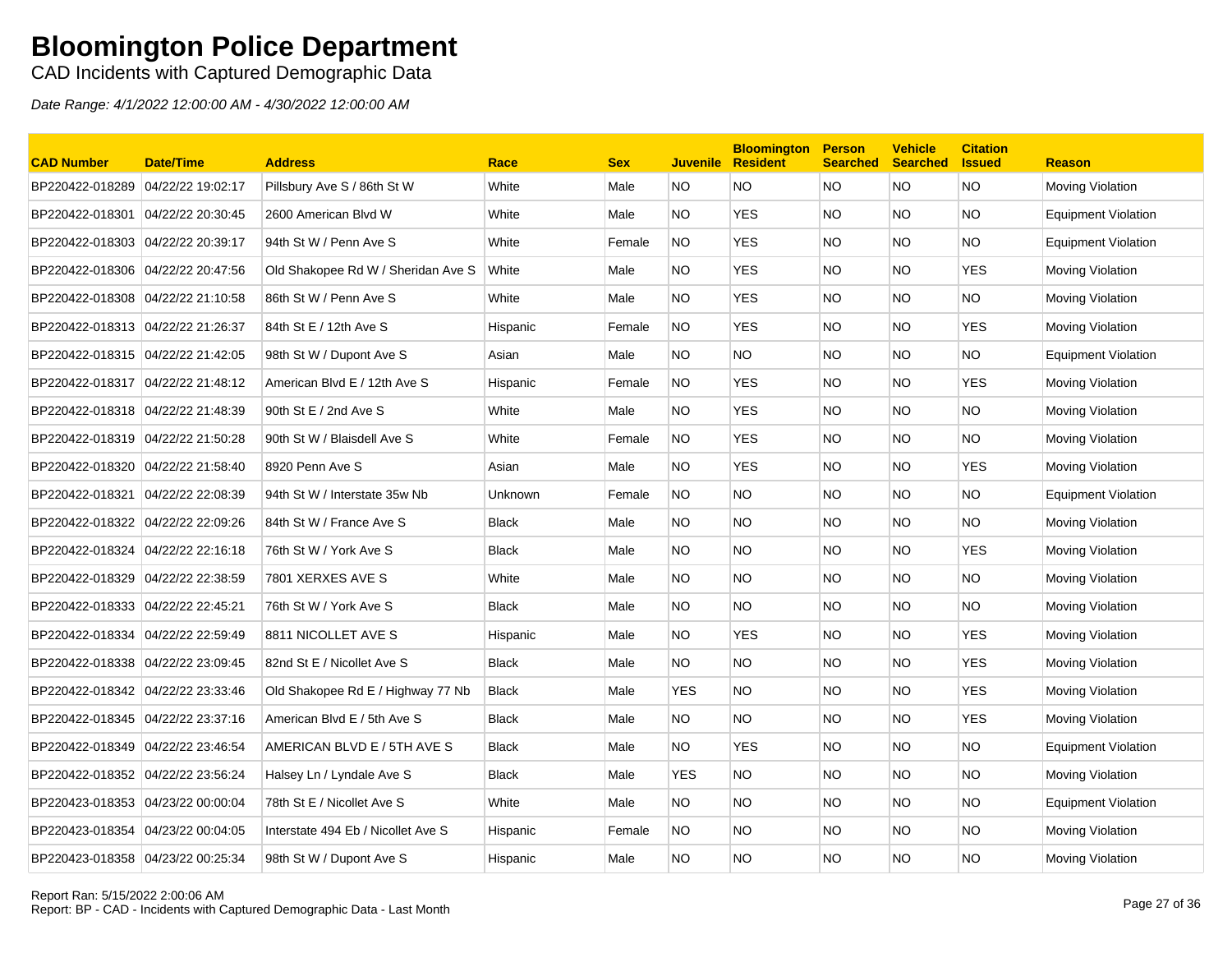CAD Incidents with Captured Demographic Data

| <b>CAD Number</b>                 | <b>Date/Time</b>  | <b>Address</b>                     | Race         | <b>Sex</b> | <b>Juvenile</b> | <b>Bloomington</b><br><b>Resident</b> | <b>Person</b><br><b>Searched</b> | <b>Vehicle</b><br><b>Searched</b> | <b>Citation</b><br><b>Issued</b> | <b>Reason</b>              |
|-----------------------------------|-------------------|------------------------------------|--------------|------------|-----------------|---------------------------------------|----------------------------------|-----------------------------------|----------------------------------|----------------------------|
| BP220422-018289 04/22/22 19:02:17 |                   | Pillsbury Ave S / 86th St W        | White        | Male       | <b>NO</b>       | NO.                                   | <b>NO</b>                        | NO.                               | <b>NO</b>                        | Moving Violation           |
| BP220422-018301                   | 04/22/22 20:30:45 | 2600 American Blvd W               | White        | Male       | NO.             | <b>YES</b>                            | <b>NO</b>                        | NO.                               | <b>NO</b>                        | <b>Equipment Violation</b> |
| BP220422-018303                   | 04/22/22 20:39:17 | 94th St W / Penn Ave S             | White        | Female     | <b>NO</b>       | <b>YES</b>                            | <b>NO</b>                        | NO.                               | <b>NO</b>                        | <b>Equipment Violation</b> |
| BP220422-018306 04/22/22 20:47:56 |                   | Old Shakopee Rd W / Sheridan Ave S | White        | Male       | NO.             | <b>YES</b>                            | <b>NO</b>                        | NO.                               | <b>YES</b>                       | Moving Violation           |
| BP220422-018308                   | 04/22/22 21:10:58 | 86th St W / Penn Ave S             | White        | Male       | NO.             | <b>YES</b>                            | <b>NO</b>                        | NO.                               | <b>NO</b>                        | Moving Violation           |
|                                   |                   | 84th St E / 12th Ave S             | Hispanic     | Female     | <b>NO</b>       | <b>YES</b>                            | <b>NO</b>                        | NO.                               | <b>YES</b>                       | Moving Violation           |
| BP220422-018315 04/22/22 21:42:05 |                   | 98th St W / Dupont Ave S           | Asian        | Male       | NO.             | <b>NO</b>                             | <b>NO</b>                        | NO.                               | NO.                              | <b>Equipment Violation</b> |
|                                   |                   | American Blvd E / 12th Ave S       | Hispanic     | Female     | NO.             | <b>YES</b>                            | <b>NO</b>                        | NO.                               | <b>YES</b>                       | Moving Violation           |
| BP220422-018318 04/22/22 21:48:39 |                   | 90th St E / 2nd Ave S              | White        | Male       | NO.             | <b>YES</b>                            | <b>NO</b>                        | NO.                               | <b>NO</b>                        | Moving Violation           |
| BP220422-018319 04/22/22 21:50:28 |                   | 90th St W / Blaisdell Ave S        | White        | Female     | <b>NO</b>       | <b>YES</b>                            | <b>NO</b>                        | NO.                               | <b>NO</b>                        | Moving Violation           |
| BP220422-018320 04/22/22 21:58:40 |                   | 8920 Penn Ave S                    | Asian        | Male       | NO.             | <b>YES</b>                            | <b>NO</b>                        | NO.                               | <b>YES</b>                       | Moving Violation           |
| BP220422-018321                   | 04/22/22 22:08:39 | 94th St W / Interstate 35w Nb      | Unknown      | Female     | NO.             | NO.                                   | <b>NO</b>                        | NO.                               | <b>NO</b>                        | <b>Equipment Violation</b> |
| BP220422-018322                   | 04/22/22 22:09:26 | 84th St W / France Ave S           | Black        | Male       | NO.             | NO.                                   | <b>NO</b>                        | NO.                               | NO.                              | Moving Violation           |
| BP220422-018324                   | 04/22/22 22:16:18 | 76th St W / York Ave S             | <b>Black</b> | Male       | NO.             | <b>NO</b>                             | <b>NO</b>                        | NO.                               | <b>YES</b>                       | Moving Violation           |
| BP220422-018329 04/22/22 22:38:59 |                   | 7801 XERXES AVE S                  | White        | Male       | NO.             | <b>NO</b>                             | <b>NO</b>                        | NO.                               | NO.                              | Moving Violation           |
| BP220422-018333 04/22/22 22:45:21 |                   | 76th St W / York Ave S             | <b>Black</b> | Male       | NO.             | <b>NO</b>                             | <b>NO</b>                        | NO.                               | NO.                              | Moving Violation           |
| BP220422-018334                   | 04/22/22 22:59:49 | 8811 NICOLLET AVE S                | Hispanic     | Male       | NO.             | <b>YES</b>                            | <b>NO</b>                        | NO.                               | <b>YES</b>                       | Moving Violation           |
| BP220422-018338 04/22/22 23:09:45 |                   | 82nd St E / Nicollet Ave S         | <b>Black</b> | Male       | NO.             | NO.                                   | <b>NO</b>                        | NO.                               | <b>YES</b>                       | Moving Violation           |
| BP220422-018342 04/22/22 23:33:46 |                   | Old Shakopee Rd E / Highway 77 Nb  | <b>Black</b> | Male       | <b>YES</b>      | NO.                                   | <b>NO</b>                        | NO.                               | <b>YES</b>                       | Moving Violation           |
| BP220422-018345 04/22/22 23:37:16 |                   | American Blvd E / 5th Ave S        | <b>Black</b> | Male       | NO.             | NO.                                   | NO.                              | NO.                               | <b>YES</b>                       | Moving Violation           |
| BP220422-018349                   | 04/22/22 23:46:54 | AMERICAN BLVD E / 5TH AVE S        | <b>Black</b> | Male       | NO.             | <b>YES</b>                            | <b>NO</b>                        | NO.                               | <b>NO</b>                        | <b>Equipment Violation</b> |
| BP220422-018352 04/22/22 23:56:24 |                   | Halsey Ln / Lyndale Ave S          | <b>Black</b> | Male       | <b>YES</b>      | <b>NO</b>                             | <b>NO</b>                        | NO.                               | <b>NO</b>                        | Moving Violation           |
| BP220423-018353 04/23/22 00:00:04 |                   | 78th St E / Nicollet Ave S         | White        | Male       | NO.             | <b>NO</b>                             | <b>NO</b>                        | NO.                               | <b>NO</b>                        | <b>Equipment Violation</b> |
| BP220423-018354                   | 04/23/22 00:04:05 | Interstate 494 Eb / Nicollet Ave S | Hispanic     | Female     | NO.             | <b>NO</b>                             | <b>NO</b>                        | NO.                               | <b>NO</b>                        | Moving Violation           |
| BP220423-018358 04/23/22 00:25:34 |                   | 98th St W / Dupont Ave S           | Hispanic     | Male       | <b>NO</b>       | <b>NO</b>                             | <b>NO</b>                        | NO.                               | <b>NO</b>                        | Moving Violation           |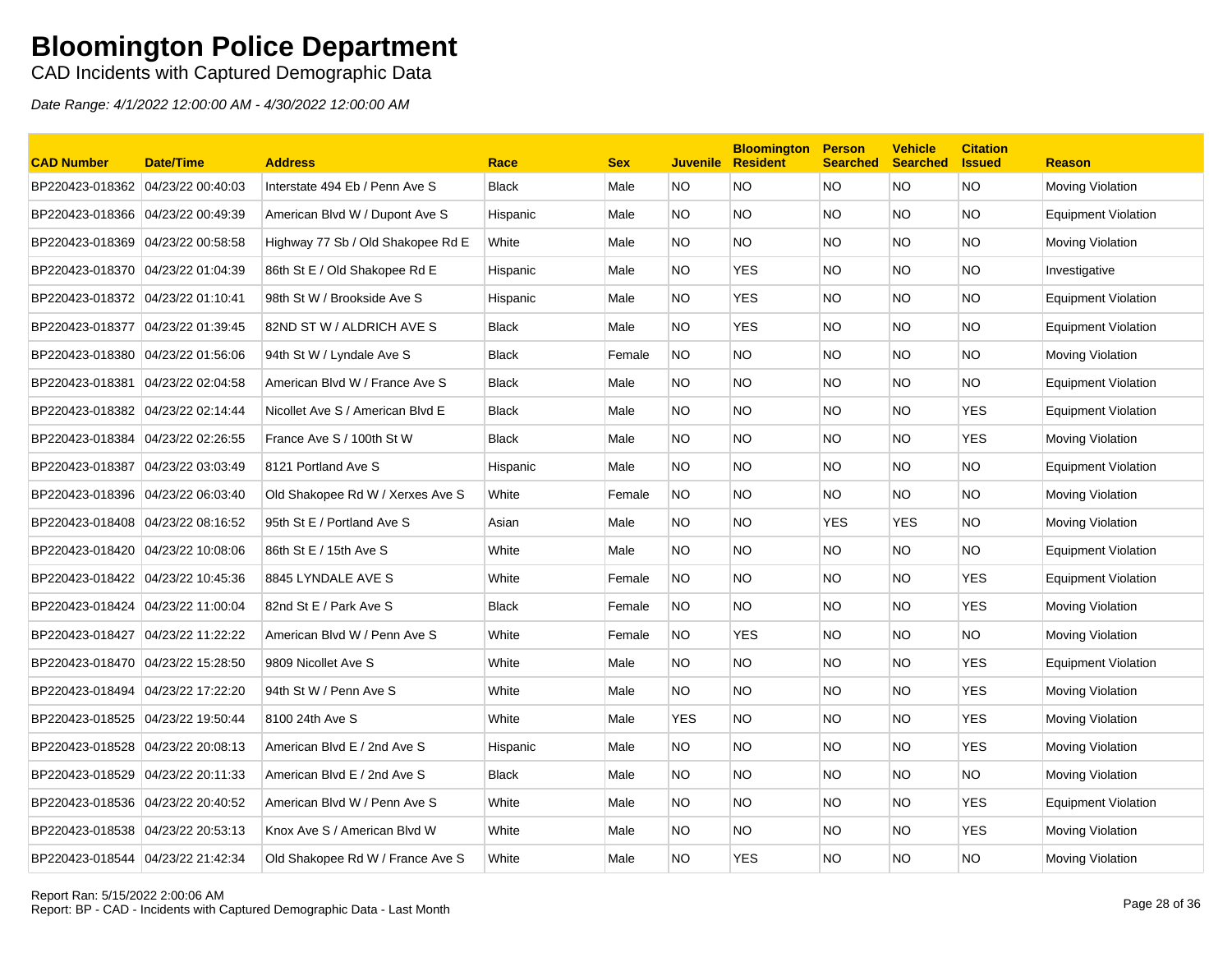CAD Incidents with Captured Demographic Data

| <b>CAD Number</b>                 | <b>Date/Time</b>  | <b>Address</b>                    | Race         | <b>Sex</b> | <b>Juvenile</b> | <b>Bloomington</b><br><b>Resident</b> | <b>Person</b><br><b>Searched</b> | <b>Vehicle</b><br><b>Searched</b> | <b>Citation</b><br><b>Issued</b> | <b>Reason</b>              |
|-----------------------------------|-------------------|-----------------------------------|--------------|------------|-----------------|---------------------------------------|----------------------------------|-----------------------------------|----------------------------------|----------------------------|
| BP220423-018362 04/23/22 00:40:03 |                   | Interstate 494 Eb / Penn Ave S    | <b>Black</b> | Male       | <b>NO</b>       | NO.                                   | <b>NO</b>                        | NO.                               | <b>NO</b>                        | Moving Violation           |
| BP220423-018366                   | 04/23/22 00:49:39 | American Blvd W / Dupont Ave S    | Hispanic     | Male       | NO.             | <b>NO</b>                             | <b>NO</b>                        | NO.                               | <b>NO</b>                        | <b>Equipment Violation</b> |
| BP220423-018369                   | 04/23/22 00:58:58 | Highway 77 Sb / Old Shakopee Rd E | White        | Male       | NO.             | <b>NO</b>                             | <b>NO</b>                        | NO.                               | <b>NO</b>                        | Moving Violation           |
| BP220423-018370 04/23/22 01:04:39 |                   | 86th St E / Old Shakopee Rd E     | Hispanic     | Male       | NO.             | <b>YES</b>                            | <b>NO</b>                        | NO.                               | NO.                              | Investigative              |
| BP220423-018372                   | 04/23/22 01:10:41 | 98th St W / Brookside Ave S       | Hispanic     | Male       | NO.             | <b>YES</b>                            | <b>NO</b>                        | NO.                               | NO.                              | <b>Equipment Violation</b> |
|                                   |                   | 82ND ST W / ALDRICH AVE S         | Black        | Male       | NO.             | <b>YES</b>                            | <b>NO</b>                        | NO.                               | <b>NO</b>                        | Equipment Violation        |
| BP220423-018380 04/23/22 01:56:06 |                   | 94th St W / Lyndale Ave S         | <b>Black</b> | Female     | NO.             | <b>NO</b>                             | <b>NO</b>                        | NO.                               | <b>NO</b>                        | Moving Violation           |
| BP220423-018381                   | 04/23/22 02:04:58 | American Blvd W / France Ave S    | <b>Black</b> | Male       | NO.             | <b>NO</b>                             | <b>NO</b>                        | NO.                               | NO.                              | <b>Equipment Violation</b> |
| BP220423-018382 04/23/22 02:14:44 |                   | Nicollet Ave S / American Blvd E  | <b>Black</b> | Male       | NO.             | <b>NO</b>                             | <b>NO</b>                        | NO.                               | <b>YES</b>                       | <b>Equipment Violation</b> |
| BP220423-018384                   | 04/23/22 02:26:55 | France Ave S / 100th St W         | <b>Black</b> | Male       | NO.             | <b>NO</b>                             | <b>NO</b>                        | NO.                               | <b>YES</b>                       | Moving Violation           |
| BP220423-018387                   | 04/23/22 03:03:49 | 8121 Portland Ave S               | Hispanic     | Male       | NO.             | NO.                                   | <b>NO</b>                        | NO.                               | NO.                              | <b>Equipment Violation</b> |
| BP220423-018396                   | 04/23/22 06:03:40 | Old Shakopee Rd W / Xerxes Ave S  | White        | Female     | NO.             | NO.                                   | <b>NO</b>                        | NO.                               | NO.                              | Moving Violation           |
| BP220423-018408                   | 04/23/22 08:16:52 | 95th St E / Portland Ave S        | Asian        | Male       | NO.             | NO.                                   | <b>YES</b>                       | <b>YES</b>                        | NO.                              | Moving Violation           |
| BP220423-018420 04/23/22 10:08:06 |                   | 86th St E / 15th Ave S            | White        | Male       | NO.             | <b>NO</b>                             | <b>NO</b>                        | NO.                               | <b>NO</b>                        | Equipment Violation        |
| BP220423-018422 04/23/22 10:45:36 |                   | 8845 LYNDALE AVE S                | White        | Female     | NO.             | <b>NO</b>                             | <b>NO</b>                        | NO.                               | <b>YES</b>                       | Equipment Violation        |
| BP220423-018424 04/23/22 11:00:04 |                   | 82nd St E / Park Ave S            | <b>Black</b> | Female     | <b>NO</b>       | <b>NO</b>                             | <b>NO</b>                        | NO.                               | <b>YES</b>                       | Moving Violation           |
| BP220423-018427                   | 04/23/22 11:22:22 | American Blvd W / Penn Ave S      | White        | Female     | NO.             | <b>YES</b>                            | <b>NO</b>                        | NO.                               | <b>NO</b>                        | Moving Violation           |
| BP220423-018470 04/23/22 15:28:50 |                   | 9809 Nicollet Ave S               | White        | Male       | NO.             | <b>NO</b>                             | <b>NO</b>                        | NO.                               | <b>YES</b>                       | <b>Equipment Violation</b> |
| BP220423-018494                   | 04/23/22 17:22:20 | 94th St W / Penn Ave S            | White        | Male       | NO.             | NO.                                   | <b>NO</b>                        | NO.                               | <b>YES</b>                       | Moving Violation           |
| BP220423-018525 04/23/22 19:50:44 |                   | 8100 24th Ave S                   | White        | Male       | <b>YES</b>      | NO.                                   | NO.                              | NO.                               | <b>YES</b>                       | Moving Violation           |
| BP220423-018528                   | 04/23/22 20:08:13 | American Blvd E / 2nd Ave S       | Hispanic     | Male       | NO.             | <b>NO</b>                             | <b>NO</b>                        | NO.                               | <b>YES</b>                       | Moving Violation           |
| BP220423-018529 04/23/22 20:11:33 |                   | American Blvd E / 2nd Ave S       | <b>Black</b> | Male       | NO.             | <b>NO</b>                             | <b>NO</b>                        | NO.                               | NO.                              | Moving Violation           |
| BP220423-018536 04/23/22 20:40:52 |                   | American Blvd W / Penn Ave S      | White        | Male       | NO.             | <b>NO</b>                             | <b>NO</b>                        | NO.                               | <b>YES</b>                       | <b>Equipment Violation</b> |
| BP220423-018538                   | 04/23/22 20:53:13 | Knox Ave S / American Blvd W      | White        | Male       | NO.             | <b>NO</b>                             | <b>NO</b>                        | NO.                               | <b>YES</b>                       | Moving Violation           |
| BP220423-018544 04/23/22 21:42:34 |                   | Old Shakopee Rd W / France Ave S  | White        | Male       | NO.             | <b>YES</b>                            | <b>NO</b>                        | NO.                               | <b>NO</b>                        | Moving Violation           |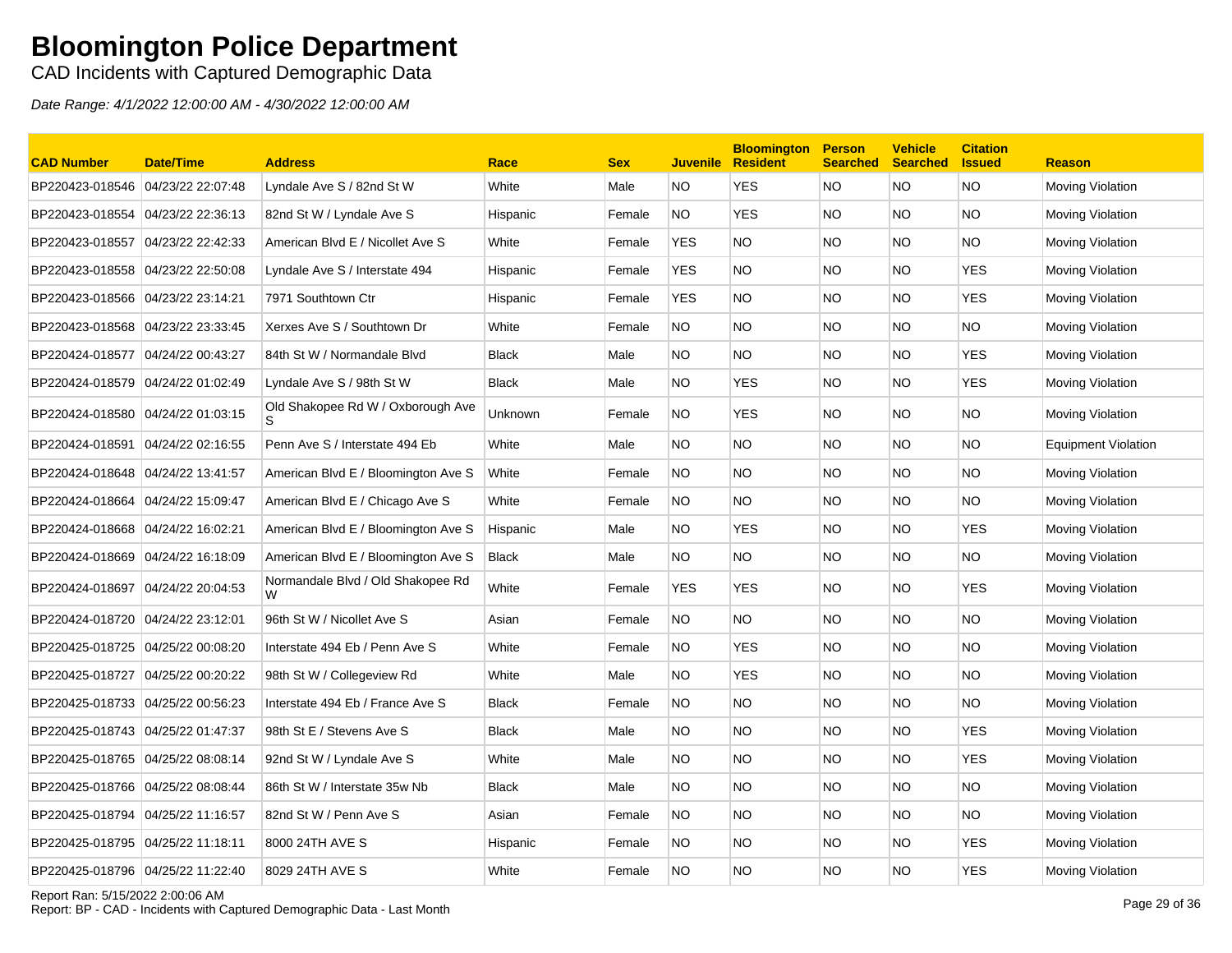CAD Incidents with Captured Demographic Data

| <b>CAD Number</b>                 | <b>Date/Time</b>  | <b>Address</b>                      | Race         | <b>Sex</b> | <b>Juvenile</b> | <b>Bloomington</b><br><b>Resident</b> | <b>Person</b><br><b>Searched</b> | <b>Vehicle</b><br><b>Searched</b> | <b>Citation</b><br><b>Issued</b> | <b>Reason</b>              |
|-----------------------------------|-------------------|-------------------------------------|--------------|------------|-----------------|---------------------------------------|----------------------------------|-----------------------------------|----------------------------------|----------------------------|
| BP220423-018546                   | 04/23/22 22:07:48 | Lyndale Ave S / 82nd St W           | White        | Male       | NO              | <b>YES</b>                            | <b>NO</b>                        | NO.                               | <b>NO</b>                        | Moving Violation           |
| BP220423-018554 04/23/22 22:36:13 |                   | 82nd St W / Lyndale Ave S           | Hispanic     | Female     | NO.             | <b>YES</b>                            | NO.                              | NO.                               | NO.                              | Moving Violation           |
| BP220423-018557                   | 04/23/22 22:42:33 | American Blvd E / Nicollet Ave S    | White        | Female     | <b>YES</b>      | NO.                                   | <b>NO</b>                        | NO.                               | NO.                              | Moving Violation           |
| BP220423-018558 04/23/22 22:50:08 |                   | Lyndale Ave S / Interstate 494      | Hispanic     | Female     | <b>YES</b>      | NO                                    | <b>NO</b>                        | NO.                               | <b>YES</b>                       | Moving Violation           |
| BP220423-018566 04/23/22 23:14:21 |                   | 7971 Southtown Ctr                  | Hispanic     | Female     | <b>YES</b>      | <b>NO</b>                             | <b>NO</b>                        | NO.                               | <b>YES</b>                       | Moving Violation           |
| BP220423-018568 04/23/22 23:33:45 |                   | Xerxes Ave S / Southtown Dr         | White        | Female     | NO              | NO.                                   | <b>NO</b>                        | NO.                               | NO.                              | <b>Moving Violation</b>    |
| BP220424-018577 04/24/22 00:43:27 |                   | 84th St W / Normandale Blvd         | Black        | Male       | NO.             | <b>NO</b>                             | <b>NO</b>                        | NO.                               | YES                              | Moving Violation           |
|                                   |                   | Lyndale Ave S / 98th St W           | <b>Black</b> | Male       | NO.             | <b>YES</b>                            | <b>NO</b>                        | NO.                               | <b>YES</b>                       | Moving Violation           |
| BP220424-018580 04/24/22 01:03:15 |                   | Old Shakopee Rd W / Oxborough Ave   | Unknown      | Female     | <b>NO</b>       | <b>YES</b>                            | <b>NO</b>                        | NO.                               | ΝO                               | Moving Violation           |
| BP220424-018591 04/24/22 02:16:55 |                   | Penn Ave S / Interstate 494 Eb      | White        | Male       | NO              | NO.                                   | <b>NO</b>                        | NO.                               | <b>NO</b>                        | <b>Equipment Violation</b> |
| BP220424-018648 04/24/22 13:41:57 |                   | American Blvd E / Bloomington Ave S | White        | Female     | NO.             | NO                                    | <b>NO</b>                        | NO.                               | NO                               | Moving Violation           |
| BP220424-018664                   | 04/24/22 15:09:47 | American Blvd E / Chicago Ave S     | White        | Female     | <b>NO</b>       | NO.                                   | <b>NO</b>                        | NO.                               | NO.                              | Moving Violation           |
| BP220424-018668 04/24/22 16:02:21 |                   | American Blvd E / Bloomington Ave S | Hispanic     | Male       | NO.             | <b>YES</b>                            | <b>NO</b>                        | NO.                               | <b>YES</b>                       | Moving Violation           |
| BP220424-018669 04/24/22 16:18:09 |                   | American Blvd E / Bloomington Ave S | <b>Black</b> | Male       | NO.             | NO.                                   | <b>NO</b>                        | NO.                               | NO.                              | Moving Violation           |
| BP220424-018697 04/24/22 20:04:53 |                   | Normandale Blvd / Old Shakopee Rd   | White        | Female     | <b>YES</b>      | <b>YES</b>                            | <b>NO</b>                        | NO.                               | <b>YES</b>                       | Moving Violation           |
| BP220424-018720 04/24/22 23:12:01 |                   | 96th St W / Nicollet Ave S          | Asian        | Female     | <b>NO</b>       | NO.                                   | <b>NO</b>                        | NO.                               | <b>NO</b>                        | Moving Violation           |
| BP220425-018725 04/25/22 00:08:20 |                   | Interstate 494 Eb / Penn Ave S      | White        | Female     | NO.             | <b>YES</b>                            | <b>NO</b>                        | NO.                               | <b>NO</b>                        | Moving Violation           |
| BP220425-018727 04/25/22 00:20:22 |                   | 98th St W / Collegeview Rd          | White        | Male       | <b>NO</b>       | <b>YES</b>                            | <b>NO</b>                        | NO.                               | NO.                              | Moving Violation           |
| BP220425-018733 04/25/22 00:56:23 |                   | Interstate 494 Eb / France Ave S    | <b>Black</b> | Female     | <b>NO</b>       | NO.                                   | <b>NO</b>                        | NO.                               | NO.                              | Moving Violation           |
| BP220425-018743 04/25/22 01:47:37 |                   | 98th St E / Stevens Ave S           | <b>Black</b> | Male       | NO.             | ΝO                                    | <b>NO</b>                        | NO.                               | <b>YES</b>                       | Moving Violation           |
| BP220425-018765                   | 04/25/22 08:08:14 | 92nd St W / Lyndale Ave S           | White        | Male       | NO.             | NO                                    | <b>NO</b>                        | NO.                               | <b>YES</b>                       | <b>Moving Violation</b>    |
| BP220425-018766 04/25/22 08:08:44 |                   | 86th St W / Interstate 35w Nb       | <b>Black</b> | Male       | NO.             | NO                                    | <b>NO</b>                        | NO.                               | NO.                              | Moving Violation           |
| BP220425-018794 04/25/22 11:16:57 |                   | 82nd St W / Penn Ave S              | Asian        | Female     | <b>NO</b>       | <b>NO</b>                             | <b>NO</b>                        | NO.                               | NO.                              | <b>Moving Violation</b>    |
|                                   |                   | 8000 24TH AVE S                     | Hispanic     | Female     | <b>NO</b>       | NO                                    | <b>NO</b>                        | NO.                               | YES                              | Moving Violation           |
| BP220425-018796 04/25/22 11:22:40 |                   | 8029 24TH AVE S                     | White        | Female     | <b>NO</b>       | ΝO                                    | <b>NO</b>                        | NO.                               | YES                              | Moving Violation           |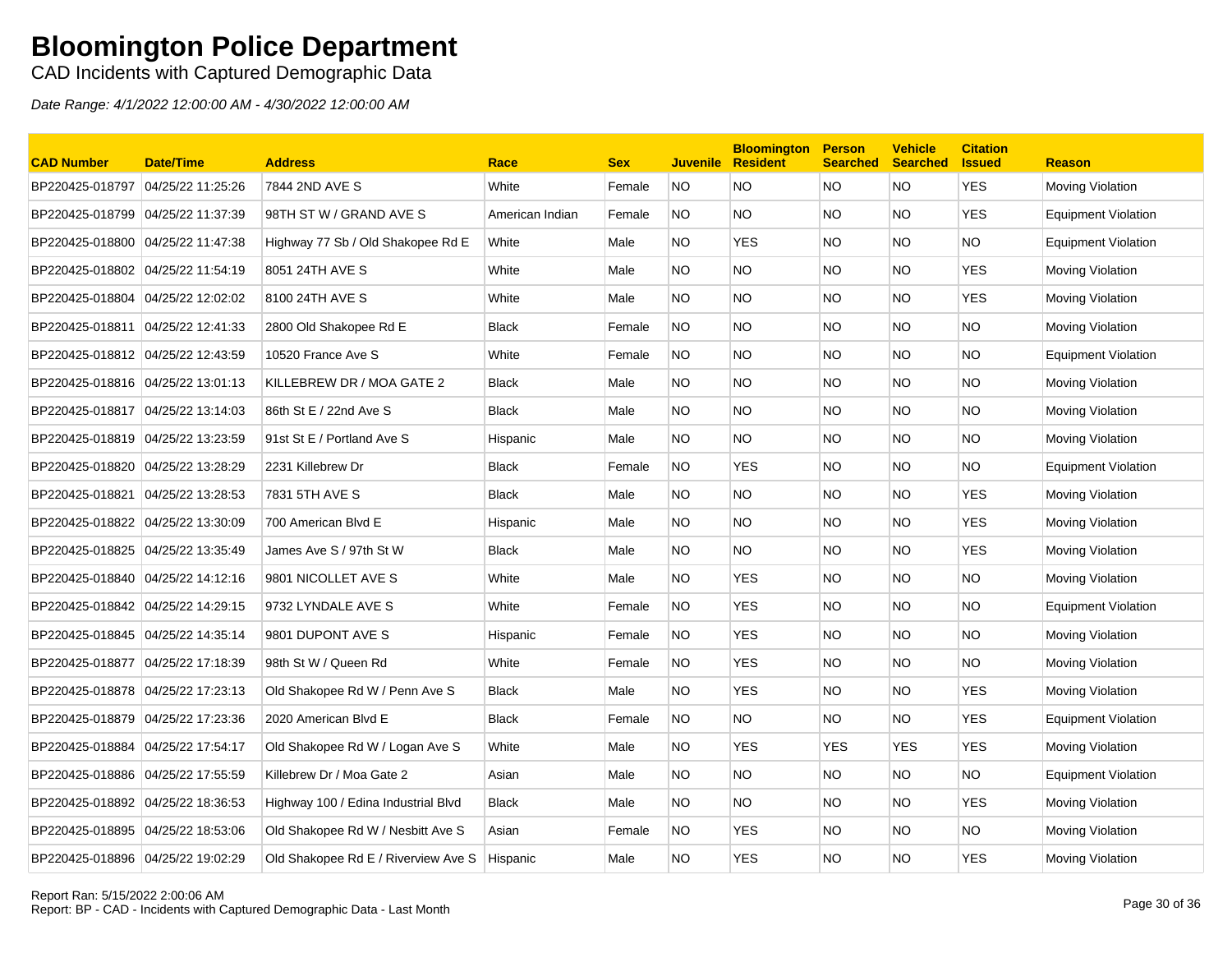CAD Incidents with Captured Demographic Data

| <b>CAD Number</b>                 | Date/Time         | <b>Address</b>                      | Race            | <b>Sex</b> | <b>Juvenile</b> | <b>Bloomington</b><br><b>Resident</b> | <b>Person</b><br><b>Searched</b> | <b>Vehicle</b><br><b>Searched</b> | <b>Citation</b><br><b>Issued</b> | <b>Reason</b>              |
|-----------------------------------|-------------------|-------------------------------------|-----------------|------------|-----------------|---------------------------------------|----------------------------------|-----------------------------------|----------------------------------|----------------------------|
| BP220425-018797                   | 04/25/22 11:25:26 | 7844 2ND AVE S                      | White           | Female     | NO.             | <b>NO</b>                             | <b>NO</b>                        | <b>NO</b>                         | <b>YES</b>                       | Moving Violation           |
| BP220425-018799 04/25/22 11:37:39 |                   | 98TH ST W / GRAND AVE S             | American Indian | Female     | NO.             | <b>NO</b>                             | <b>NO</b>                        | NO.                               | <b>YES</b>                       | <b>Equipment Violation</b> |
| BP220425-018800                   | 04/25/22 11:47:38 | Highway 77 Sb / Old Shakopee Rd E   | White           | Male       | NO.             | <b>YES</b>                            | <b>NO</b>                        | NO.                               | <b>NO</b>                        | <b>Equipment Violation</b> |
| BP220425-018802 04/25/22 11:54:19 |                   | 8051 24TH AVE S                     | White           | Male       | NO.             | NO.                                   | <b>NO</b>                        | NO.                               | <b>YES</b>                       | Moving Violation           |
| BP220425-018804                   | 04/25/22 12:02:02 | 8100 24TH AVE S                     | White           | Male       | NO.             | NO.                                   | <b>NO</b>                        | NO.                               | <b>YES</b>                       | Moving Violation           |
| BP220425-018811 04/25/22 12:41:33 |                   | 2800 Old Shakopee Rd E              | <b>Black</b>    | Female     | <b>NO</b>       | <b>NO</b>                             | <b>NO</b>                        | NO.                               | NO.                              | Moving Violation           |
| BP220425-018812 04/25/22 12:43:59 |                   | 10520 France Ave S                  | White           | Female     | NO.             | <b>NO</b>                             | <b>NO</b>                        | NO.                               | <b>NO</b>                        | Equipment Violation        |
|                                   |                   | KILLEBREW DR / MOA GATE 2           | <b>Black</b>    | Male       | NO.             | <b>NO</b>                             | <b>NO</b>                        | NO.                               | NO                               | Moving Violation           |
| BP220425-018817 04/25/22 13:14:03 |                   | 86th St E / 22nd Ave S              | <b>Black</b>    | Male       | NO.             | NO.                                   | <b>NO</b>                        | NO.                               | <b>NO</b>                        | Moving Violation           |
| BP220425-018819 04/25/22 13:23:59 |                   | 91st St E / Portland Ave S          | Hispanic        | Male       | NO.             | <b>NO</b>                             | <b>NO</b>                        | NO.                               | <b>NO</b>                        | Moving Violation           |
| BP220425-018820 04/25/22 13:28:29 |                   | 2231 Killebrew Dr                   | <b>Black</b>    | Female     | NO.             | <b>YES</b>                            | <b>NO</b>                        | NO.                               | <b>NO</b>                        | <b>Equipment Violation</b> |
| BP220425-018821                   | 04/25/22 13:28:53 | 7831 5TH AVE S                      | <b>Black</b>    | Male       | NO.             | NO.                                   | <b>NO</b>                        | NO.                               | <b>YES</b>                       | Moving Violation           |
| BP220425-018822 04/25/22 13:30:09 |                   | 700 American Blvd E                 | Hispanic        | Male       | NO.             | NO.                                   | <b>NO</b>                        | NO.                               | <b>YES</b>                       | Moving Violation           |
| BP220425-018825                   | 04/25/22 13:35:49 | James Ave S / 97th St W             | <b>Black</b>    | Male       | NO.             | <b>NO</b>                             | <b>NO</b>                        | NO.                               | <b>YES</b>                       | Moving Violation           |
| BP220425-018840 04/25/22 14:12:16 |                   | 9801 NICOLLET AVE S                 | White           | Male       | NO.             | <b>YES</b>                            | <b>NO</b>                        | NO.                               | <b>NO</b>                        | Moving Violation           |
| BP220425-018842 04/25/22 14:29:15 |                   | 9732 LYNDALE AVE S                  | White           | Female     | NO.             | <b>YES</b>                            | <b>NO</b>                        | NO.                               | <b>NO</b>                        | <b>Equipment Violation</b> |
| BP220425-018845 04/25/22 14:35:14 |                   | 9801 DUPONT AVE S                   | Hispanic        | Female     | <b>NO</b>       | <b>YES</b>                            | <b>NO</b>                        | NO.                               | <b>NO</b>                        | Moving Violation           |
| BP220425-018877                   | 04/25/22 17:18:39 | 98th St W / Queen Rd                | White           | Female     | NO.             | <b>YES</b>                            | <b>NO</b>                        | NO.                               | <b>NO</b>                        | Moving Violation           |
| BP220425-018878 04/25/22 17:23:13 |                   | Old Shakopee Rd W / Penn Ave S      | <b>Black</b>    | Male       | NO.             | <b>YES</b>                            | <b>NO</b>                        | NO.                               | <b>YES</b>                       | Moving Violation           |
| BP220425-018879 04/25/22 17:23:36 |                   | 2020 American Blvd E                | Black           | Female     | NO.             | NO.                                   | <b>NO</b>                        | NO.                               | <b>YES</b>                       | <b>Equipment Violation</b> |
| BP220425-018884                   | 04/25/22 17:54:17 | Old Shakopee Rd W / Logan Ave S     | White           | Male       | NO.             | <b>YES</b>                            | <b>YES</b>                       | <b>YES</b>                        | <b>YES</b>                       | Moving Violation           |
| BP220425-018886 04/25/22 17:55:59 |                   | Killebrew Dr / Moa Gate 2           | Asian           | Male       | NO.             | <b>NO</b>                             | <b>NO</b>                        | NO.                               | NO.                              | <b>Equipment Violation</b> |
| BP220425-018892 04/25/22 18:36:53 |                   | Highway 100 / Edina Industrial Blvd | <b>Black</b>    | Male       | NO.             | <b>NO</b>                             | <b>NO</b>                        | NO.                               | <b>YES</b>                       | Moving Violation           |
| BP220425-018895 04/25/22 18:53:06 |                   | Old Shakopee Rd W / Nesbitt Ave S   | Asian           | Female     | NO.             | <b>YES</b>                            | <b>NO</b>                        | NO.                               | NO.                              | Moving Violation           |
| BP220425-018896 04/25/22 19:02:29 |                   | Old Shakopee Rd E / Riverview Ave S | Hispanic        | Male       | NO.             | <b>YES</b>                            | <b>NO</b>                        | NO.                               | <b>YES</b>                       | Moving Violation           |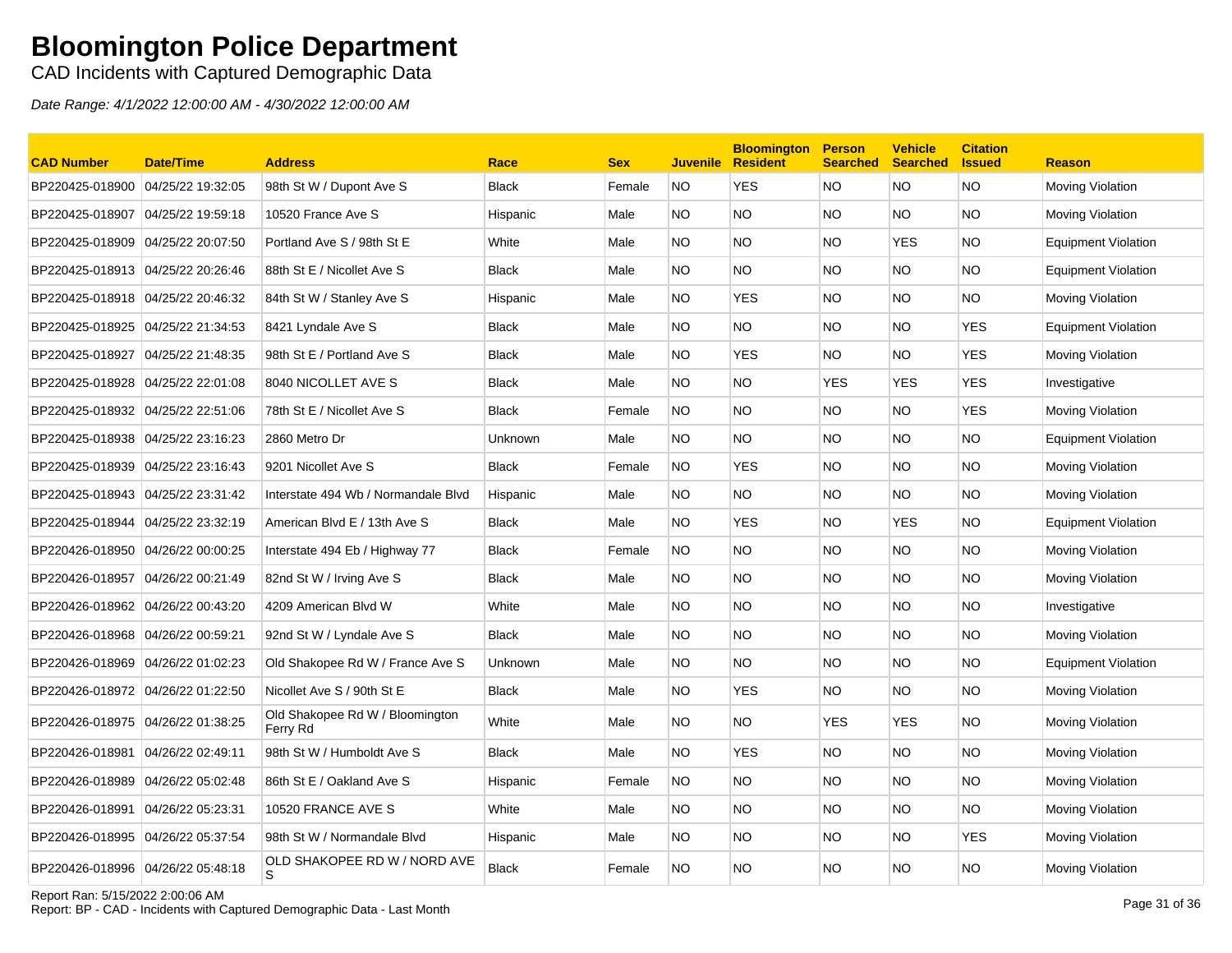CAD Incidents with Captured Demographic Data

Date Range: 4/1/2022 12:00:00 AM - 4/30/2022 12:00:00 AM

| <b>CAD Number</b>                 | <b>Date/Time</b>  | <b>Address</b>                              | Race         | <b>Sex</b> | <b>Juvenile</b> | <b>Bloomington</b><br><b>Resident</b> | <b>Person</b><br><b>Searched</b> | <b>Vehicle</b><br><b>Searched</b> | <b>Citation</b><br><b>Issued</b> | <b>Reason</b>              |
|-----------------------------------|-------------------|---------------------------------------------|--------------|------------|-----------------|---------------------------------------|----------------------------------|-----------------------------------|----------------------------------|----------------------------|
| BP220425-018900                   | 04/25/22 19:32:05 | 98th St W / Dupont Ave S                    | <b>Black</b> | Female     | <b>NO</b>       | <b>YES</b>                            | NO.                              | NO.                               | <b>NO</b>                        | <b>Moving Violation</b>    |
| BP220425-018907 04/25/22 19:59:18 |                   | 10520 France Ave S                          | Hispanic     | Male       | NO.             | <b>NO</b>                             | <b>NO</b>                        | NO.                               | <b>NO</b>                        | <b>Moving Violation</b>    |
| BP220425-018909 04/25/22 20:07:50 |                   | Portland Ave S / 98th St E                  | White        | Male       | NO.             | NO.                                   | NO.                              | <b>YES</b>                        | <b>NO</b>                        | <b>Equipment Violation</b> |
| BP220425-018913 04/25/22 20:26:46 |                   | 88th St E / Nicollet Ave S                  | <b>Black</b> | Male       | NO.             | <b>NO</b>                             | NO.                              | NO.                               | <b>NO</b>                        | <b>Equipment Violation</b> |
| BP220425-018918 04/25/22 20:46:32 |                   | 84th St W / Stanley Ave S                   | Hispanic     | Male       | NO.             | <b>YES</b>                            | NO.                              | NO.                               | <b>NO</b>                        | Moving Violation           |
|                                   |                   | 8421 Lyndale Ave S                          | <b>Black</b> | Male       | NO.             | NO                                    | <b>NO</b>                        | NO.                               | <b>YES</b>                       | Equipment Violation        |
| BP220425-018927                   | 04/25/22 21:48:35 | 98th St E / Portland Ave S                  | <b>Black</b> | Male       | NO.             | <b>YES</b>                            | <b>NO</b>                        | NO.                               | <b>YES</b>                       | Moving Violation           |
| BP220425-018928 04/25/22 22:01:08 |                   | 8040 NICOLLET AVE S                         | <b>Black</b> | Male       | NO.             | NO.                                   | <b>YES</b>                       | <b>YES</b>                        | YES                              | Investigative              |
| BP220425-018932 04/25/22 22:51:06 |                   | 78th St E / Nicollet Ave S                  | <b>Black</b> | Female     | NO.             | NO.                                   | NO.                              | NO.                               | YES                              | Moving Violation           |
| BP220425-018938 04/25/22 23:16:23 |                   | 2860 Metro Dr                               | Unknown      | Male       | NO.             | <b>NO</b>                             | NO.                              | NO.                               | <b>NO</b>                        | <b>Equipment Violation</b> |
|                                   |                   | 9201 Nicollet Ave S                         | Black        | Female     | NO.             | <b>YES</b>                            | NO.                              | NO.                               | <b>NO</b>                        | Moving Violation           |
| BP220425-018943 04/25/22 23:31:42 |                   | Interstate 494 Wb / Normandale Blvd         | Hispanic     | Male       | NO.             | <b>NO</b>                             | NO.                              | NO.                               | <b>NO</b>                        | <b>Moving Violation</b>    |
| BP220425-018944                   | 04/25/22 23:32:19 | American Blvd E / 13th Ave S                | <b>Black</b> | Male       | NO.             | <b>YES</b>                            | NO.                              | <b>YES</b>                        | <b>NO</b>                        | <b>Equipment Violation</b> |
| BP220426-018950 04/26/22 00:00:25 |                   | Interstate 494 Eb / Highway 77              | <b>Black</b> | Female     | NO.             | NO.                                   | NO.                              | NO.                               | <b>NO</b>                        | Moving Violation           |
| BP220426-018957                   | 04/26/22 00:21:49 | 82nd St W / Irving Ave S                    | <b>Black</b> | Male       | NO.             | <b>NO</b>                             | NO.                              | NO.                               | <b>NO</b>                        | Moving Violation           |
| BP220426-018962 04/26/22 00:43:20 |                   | 4209 American Blvd W                        | White        | Male       | NO.             | <b>NO</b>                             | NO.                              | NO.                               | <b>NO</b>                        | Investigative              |
| BP220426-018968 04/26/22 00:59:21 |                   | 92nd St W / Lyndale Ave S                   | <b>Black</b> | Male       | NO.             | <b>NO</b>                             | NO.                              | NO.                               | <b>NO</b>                        | <b>Moving Violation</b>    |
| BP220426-018969 04/26/22 01:02:23 |                   | Old Shakopee Rd W / France Ave S            | Unknown      | Male       | NO.             | <b>NO</b>                             | NO.                              | NO.                               | <b>NO</b>                        | <b>Equipment Violation</b> |
| BP220426-018972 04/26/22 01:22:50 |                   | Nicollet Ave S / 90th St E                  | <b>Black</b> | Male       | NO.             | <b>YES</b>                            | NO.                              | NO.                               | <b>NO</b>                        | <b>Moving Violation</b>    |
| BP220426-018975 04/26/22 01:38:25 |                   | Old Shakopee Rd W / Bloomington<br>Ferry Rd | White        | Male       | NO.             | NO.                                   | <b>YES</b>                       | <b>YES</b>                        | <b>NO</b>                        | <b>Moving Violation</b>    |
| BP220426-018981                   | 04/26/22 02:49:11 | 98th St W / Humboldt Ave S                  | <b>Black</b> | Male       | NO.             | <b>YES</b>                            | <b>NO</b>                        | NO.                               | <b>NO</b>                        | <b>Moving Violation</b>    |
| BP220426-018989 04/26/22 05:02:48 |                   | 86th St E / Oakland Ave S                   | Hispanic     | Female     | NO.             | NO.                                   | NO.                              | NO.                               | <b>NO</b>                        | Moving Violation           |
| BP220426-018991                   | 04/26/22 05:23:31 | 10520 FRANCE AVE S                          | White        | Male       | NO.             | <b>NO</b>                             | NO.                              | NO.                               | <b>NO</b>                        | Moving Violation           |
| BP220426-018995                   | 04/26/22 05:37:54 | 98th St W / Normandale Blvd                 | Hispanic     | Male       | NO.             | <b>NO</b>                             | NO.                              | NO.                               | <b>YES</b>                       | Moving Violation           |
| BP220426-018996 04/26/22 05:48:18 |                   | OLD SHAKOPEE RD W / NORD AVE<br>S           | <b>Black</b> | Female     | NO.             | <b>NO</b>                             | NO.                              | NO.                               | <b>NO</b>                        | <b>Moving Violation</b>    |

#### Report Ran: 5/15/2022 2:00:06 AM

Report Ran: 5/15/2022 2:00:06 AM<br>Report: BP - CAD - Incidents with Captured Demographic Data - Last Month Page 31 of 36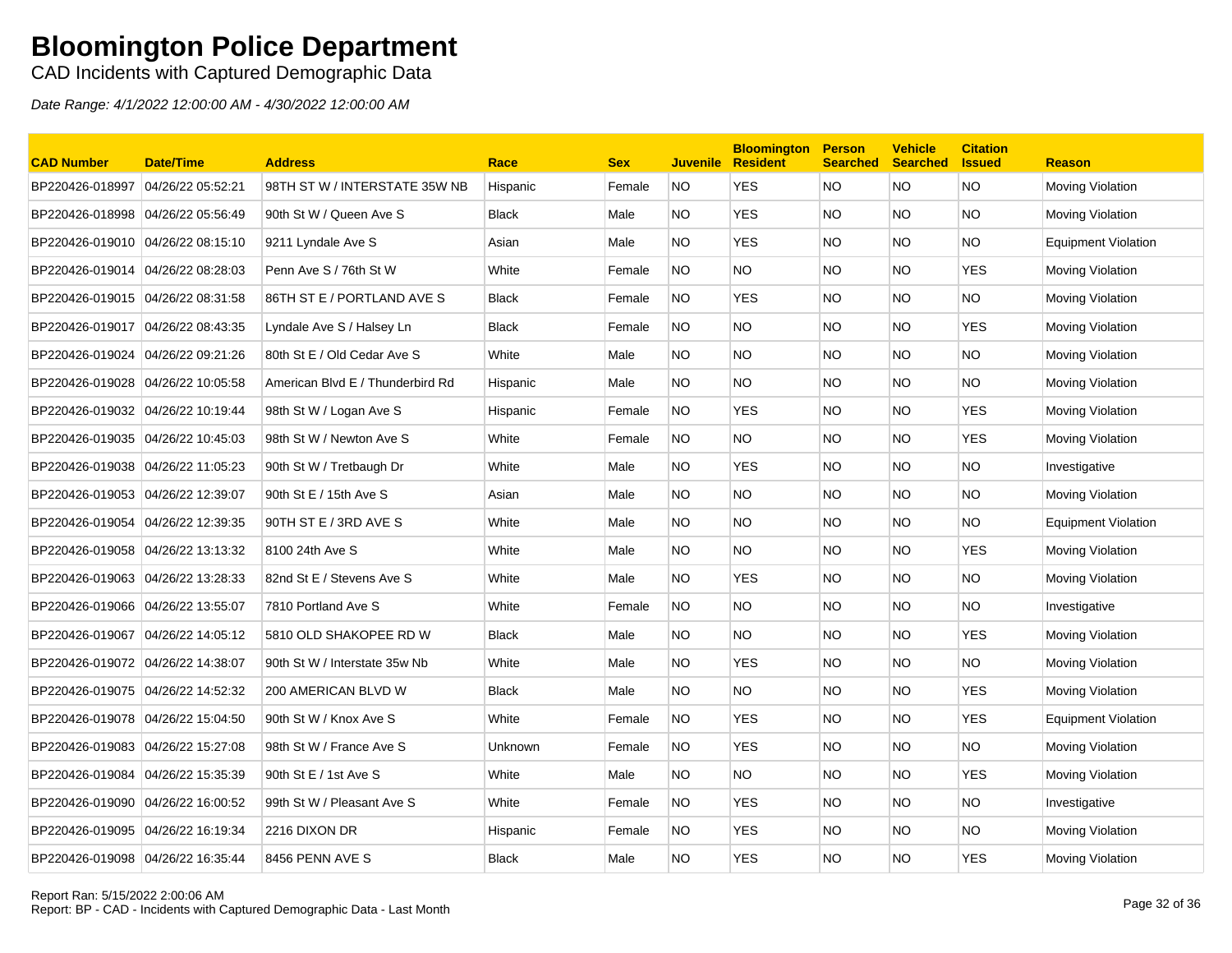CAD Incidents with Captured Demographic Data

| <b>CAD Number</b>                 | Date/Time         | <b>Address</b>                   | Race         | <b>Sex</b> | <b>Juvenile</b> | <b>Bloomington</b><br><b>Resident</b> | <b>Person</b><br><b>Searched</b> | <b>Vehicle</b><br><b>Searched</b> | <b>Citation</b><br><b>Issued</b> | <b>Reason</b>              |
|-----------------------------------|-------------------|----------------------------------|--------------|------------|-----------------|---------------------------------------|----------------------------------|-----------------------------------|----------------------------------|----------------------------|
| BP220426-018997                   | 04/26/22 05:52:21 | 98TH ST W / INTERSTATE 35W NB    | Hispanic     | Female     | NO.             | <b>YES</b>                            | <b>NO</b>                        | <b>NO</b>                         | <b>NO</b>                        | Moving Violation           |
| BP220426-018998 04/26/22 05:56:49 |                   | 90th St W / Queen Ave S          | <b>Black</b> | Male       | NO.             | <b>YES</b>                            | <b>NO</b>                        | NO.                               | <b>NO</b>                        | Moving Violation           |
| BP220426-019010 04/26/22 08:15:10 |                   | 9211 Lyndale Ave S               | Asian        | Male       | NO.             | <b>YES</b>                            | <b>NO</b>                        | NO.                               | <b>NO</b>                        | <b>Equipment Violation</b> |
| BP220426-019014                   | 04/26/22 08:28:03 | Penn Ave S / 76th St W           | White        | Female     | NO.             | NO.                                   | <b>NO</b>                        | NO.                               | <b>YES</b>                       | Moving Violation           |
| BP220426-019015 04/26/22 08:31:58 |                   | 86TH ST E / PORTLAND AVE S       | <b>Black</b> | Female     | NO.             | <b>YES</b>                            | <b>NO</b>                        | NO.                               | NO.                              | Moving Violation           |
| BP220426-019017 04/26/22 08:43:35 |                   | Lyndale Ave S / Halsey Ln        | Black        | Female     | NO.             | NO.                                   | <b>NO</b>                        | NO.                               | <b>YES</b>                       | Moving Violation           |
| BP220426-019024                   | 04/26/22 09:21:26 | 80th St E / Old Cedar Ave S      | White        | Male       | NO.             | <b>NO</b>                             | <b>NO</b>                        | NO.                               | <b>NO</b>                        | Moving Violation           |
| BP220426-019028 04/26/22 10:05:58 |                   | American Blvd E / Thunderbird Rd | Hispanic     | Male       | NO.             | <b>NO</b>                             | <b>NO</b>                        | NO.                               | NO.                              | Moving Violation           |
| BP220426-019032 04/26/22 10:19:44 |                   | 98th St W / Logan Ave S          | Hispanic     | Female     | <b>NO</b>       | <b>YES</b>                            | <b>NO</b>                        | NO.                               | <b>YES</b>                       | Moving Violation           |
| BP220426-019035                   | 04/26/22 10:45:03 | 98th St W / Newton Ave S         | White        | Female     | <b>NO</b>       | NO.                                   | <b>NO</b>                        | NO.                               | <b>YES</b>                       | Moving Violation           |
| BP220426-019038 04/26/22 11:05:23 |                   | 90th St W / Tretbaugh Dr         | White        | Male       | NO.             | <b>YES</b>                            | <b>NO</b>                        | NO.                               | <b>NO</b>                        | Investigative              |
| BP220426-019053 04/26/22 12:39:07 |                   | 90th St E / 15th Ave S           | Asian        | Male       | NO.             | NO.                                   | <b>NO</b>                        | NO.                               | NO.                              | Moving Violation           |
| BP220426-019054                   | 04/26/22 12:39:35 | 90TH ST E / 3RD AVE S            | White        | Male       | NO.             | <b>NO</b>                             | <b>NO</b>                        | NO.                               | NO.                              | <b>Equipment Violation</b> |
| BP220426-019058                   | 04/26/22 13:13:32 | 8100 24th Ave S                  | White        | Male       | NO.             | <b>NO</b>                             | <b>NO</b>                        | NO.                               | <b>YES</b>                       | Moving Violation           |
| BP220426-019063 04/26/22 13:28:33 |                   | 82nd St E / Stevens Ave S        | White        | Male       | NO.             | <b>YES</b>                            | <b>NO</b>                        | NO.                               | <b>NO</b>                        | Moving Violation           |
|                                   |                   | 7810 Portland Ave S              | White        | Female     | NO.             | NO.                                   | <b>NO</b>                        | NO.                               | NO.                              | Investigative              |
| BP220426-019067                   | 04/26/22 14:05:12 | 5810 OLD SHAKOPEE RD W           | <b>Black</b> | Male       | NO.             | <b>NO</b>                             | <b>NO</b>                        | NO.                               | <b>YES</b>                       | Moving Violation           |
| BP220426-019072 04/26/22 14:38:07 |                   | 90th St W / Interstate 35w Nb    | White        | Male       | NO.             | <b>YES</b>                            | <b>NO</b>                        | NO.                               | <b>NO</b>                        | Moving Violation           |
| BP220426-019075 04/26/22 14:52:32 |                   | 200 AMERICAN BLVD W              | <b>Black</b> | Male       | NO.             | NO.                                   | <b>NO</b>                        | NO.                               | <b>YES</b>                       | Moving Violation           |
| BP220426-019078 04/26/22 15:04:50 |                   | 90th St W / Knox Ave S           | White        | Female     | NO.             | <b>YES</b>                            | <b>NO</b>                        | NO.                               | <b>YES</b>                       | <b>Equipment Violation</b> |
| BP220426-019083                   | 04/26/22 15:27:08 | 98th St W / France Ave S         | Unknown      | Female     | <b>NO</b>       | <b>YES</b>                            | <b>NO</b>                        | NO.                               | <b>NO</b>                        | Moving Violation           |
| BP220426-019084                   | 04/26/22 15:35:39 | 90th St E / 1st Ave S            | White        | Male       | NO.             | <b>NO</b>                             | <b>NO</b>                        | NO.                               | <b>YES</b>                       | Moving Violation           |
| BP220426-019090 04/26/22 16:00:52 |                   | 99th St W / Pleasant Ave S       | White        | Female     | NO.             | <b>YES</b>                            | <b>NO</b>                        | NO.                               | NO.                              | Investigative              |
| BP220426-019095                   | 04/26/22 16:19:34 | 2216 DIXON DR                    | Hispanic     | Female     | NO.             | <b>YES</b>                            | <b>NO</b>                        | NO.                               | <b>NO</b>                        | Moving Violation           |
| BP220426-019098 04/26/22 16:35:44 |                   | 8456 PENN AVE S                  | <b>Black</b> | Male       | <b>NO</b>       | <b>YES</b>                            | <b>NO</b>                        | NO.                               | <b>YES</b>                       | Moving Violation           |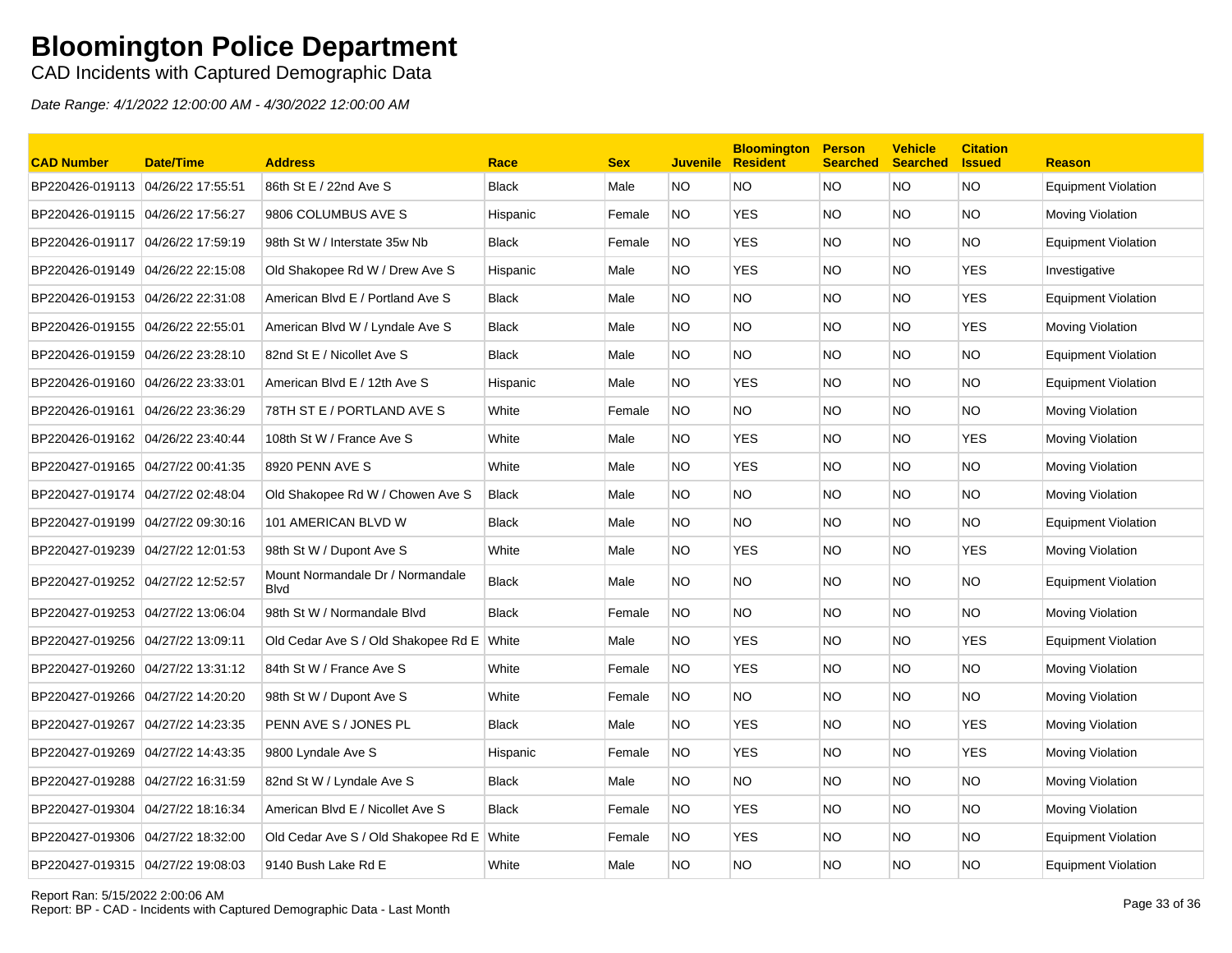CAD Incidents with Captured Demographic Data

| <b>CAD Number</b>                  | <b>Date/Time</b>  | <b>Address</b>                                   | Race         | <b>Sex</b> | <b>Juvenile</b> | <b>Bloomington</b><br><b>Resident</b> | <b>Person</b><br><b>Searched</b> | <b>Vehicle</b><br><b>Searched</b> | <b>Citation</b><br><b>Issued</b> | <b>Reason</b>              |
|------------------------------------|-------------------|--------------------------------------------------|--------------|------------|-----------------|---------------------------------------|----------------------------------|-----------------------------------|----------------------------------|----------------------------|
| BP220426-019113 04/26/22 17:55:51  |                   | 86th St E / 22nd Ave S                           | <b>Black</b> | Male       | NO.             | NO.                                   | <b>NO</b>                        | <b>NO</b>                         | <b>NO</b>                        | <b>Equipment Violation</b> |
|                                    |                   | 9806 COLUMBUS AVE S                              | Hispanic     | Female     | NO.             | <b>YES</b>                            | <b>NO</b>                        | NO.                               | <b>NO</b>                        | Moving Violation           |
| BP220426-019117                    | 04/26/22 17:59:19 | 98th St W / Interstate 35w Nb                    | <b>Black</b> | Female     | NO.             | <b>YES</b>                            | <b>NO</b>                        | NO.                               | NO.                              | <b>Equipment Violation</b> |
| BP220426-019149 04/26/22 22:15:08  |                   | Old Shakopee Rd W / Drew Ave S                   | Hispanic     | Male       | NO.             | <b>YES</b>                            | <b>NO</b>                        | NO.                               | <b>YES</b>                       | Investigative              |
| BP220426-019153                    | 04/26/22 22:31:08 | American Blvd E / Portland Ave S                 | <b>Black</b> | Male       | NO.             | <b>NO</b>                             | <b>NO</b>                        | NO.                               | <b>YES</b>                       | <b>Equipment Violation</b> |
| BP220426-019155 04/26/22 22:55:01  |                   | American Blvd W / Lyndale Ave S                  | <b>Black</b> | Male       | NO.             | <b>NO</b>                             | <b>NO</b>                        | NO.                               | <b>YES</b>                       | Moving Violation           |
| BP220426-019159 04/26/22 23:28:10  |                   | 82nd St E / Nicollet Ave S                       | <b>Black</b> | Male       | NO.             | <b>NO</b>                             | <b>NO</b>                        | NO.                               | <b>NO</b>                        | <b>Equipment Violation</b> |
| BP220426-019160 04/26/22 23:33:01  |                   | American Blvd E / 12th Ave S                     | Hispanic     | Male       | NO.             | <b>YES</b>                            | <b>NO</b>                        | NO.                               | <b>NO</b>                        | <b>Equipment Violation</b> |
| BP220426-019161                    | 04/26/22 23:36:29 | 78TH ST E / PORTLAND AVE S                       | White        | Female     | <b>NO</b>       | NO.                                   | <b>NO</b>                        | NO.                               | <b>NO</b>                        | Moving Violation           |
| BP220426-019162  04/26/22 23:40:44 |                   | 108th St W / France Ave S                        | White        | Male       | NO.             | <b>YES</b>                            | <b>NO</b>                        | NO.                               | <b>YES</b>                       | Moving Violation           |
| BP220427-019165 04/27/22 00:41:35  |                   | 8920 PENN AVE S                                  | White        | Male       | NO.             | <b>YES</b>                            | <b>NO</b>                        | NO.                               | NO.                              | Moving Violation           |
| BP220427-019174                    | 04/27/22 02:48:04 | Old Shakopee Rd W / Chowen Ave S                 | <b>Black</b> | Male       | NO.             | <b>NO</b>                             | <b>NO</b>                        | NO.                               | <b>NO</b>                        | Moving Violation           |
| BP220427-019199 04/27/22 09:30:16  |                   | 101 AMERICAN BLVD W                              | <b>Black</b> | Male       | NO.             | <b>NO</b>                             | <b>NO</b>                        | NO.                               | <b>NO</b>                        | <b>Equipment Violation</b> |
| BP220427-019239 04/27/22 12:01:53  |                   | 98th St W / Dupont Ave S                         | White        | Male       | NO.             | <b>YES</b>                            | <b>NO</b>                        | NO.                               | <b>YES</b>                       | Moving Violation           |
| BP220427-019252 04/27/22 12:52:57  |                   | Mount Normandale Dr / Normandale<br><b>B</b> lvd | <b>Black</b> | Male       | NO.             | <b>NO</b>                             | <b>NO</b>                        | NO.                               | NO.                              | <b>Equipment Violation</b> |
| BP220427-019253                    | 04/27/22 13:06:04 | 98th St W / Normandale Blvd                      | <b>Black</b> | Female     | <b>NO</b>       | <b>NO</b>                             | <b>NO</b>                        | NO.                               | <b>NO</b>                        | Moving Violation           |
| BP220427-019256 04/27/22 13:09:11  |                   | Old Cedar Ave S / Old Shakopee Rd E White        |              | Male       | NO.             | <b>YES</b>                            | <b>NO</b>                        | NO.                               | <b>YES</b>                       | <b>Equipment Violation</b> |
| BP220427-019260 04/27/22 13:31:12  |                   | 84th St W / France Ave S                         | White        | Female     | <b>NO</b>       | <b>YES</b>                            | <b>NO</b>                        | NO.                               | <b>NO</b>                        | Moving Violation           |
| BP220427-019266                    | 04/27/22 14:20:20 | 98th St W / Dupont Ave S                         | White        | Female     | <b>NO</b>       | <b>NO</b>                             | <b>NO</b>                        | NO.                               | <b>NO</b>                        | Moving Violation           |
| BP220427-019267                    | 04/27/22 14:23:35 | PENN AVE S / JONES PL                            | <b>Black</b> | Male       | NO.             | <b>YES</b>                            | <b>NO</b>                        | NO.                               | <b>YES</b>                       | Moving Violation           |
| BP220427-019269 04/27/22 14:43:35  |                   | 9800 Lyndale Ave S                               | Hispanic     | Female     | NO.             | <b>YES</b>                            | <b>NO</b>                        | NO.                               | <b>YES</b>                       | Moving Violation           |
| BP220427-019288 04/27/22 16:31:59  |                   | 82nd St W / Lyndale Ave S                        | Black        | Male       | NO.             | NO.                                   | <b>NO</b>                        | NO.                               | NO.                              | Moving Violation           |
| BP220427-019304                    | 04/27/22 18:16:34 | American Blvd E / Nicollet Ave S                 | <b>Black</b> | Female     | <b>NO</b>       | <b>YES</b>                            | <b>NO</b>                        | NO.                               | <b>NO</b>                        | Moving Violation           |
| BP220427-019306 04/27/22 18:32:00  |                   | Old Cedar Ave S / Old Shakopee Rd E White        |              | Female     | NO.             | YES                                   | <b>NO</b>                        | NO.                               | NO                               | Equipment Violation        |
| BP220427-019315 04/27/22 19:08:03  |                   | 9140 Bush Lake Rd E                              | White        | Male       | NO.             | NO                                    | <b>NO</b>                        | NO.                               | <b>NO</b>                        | <b>Equipment Violation</b> |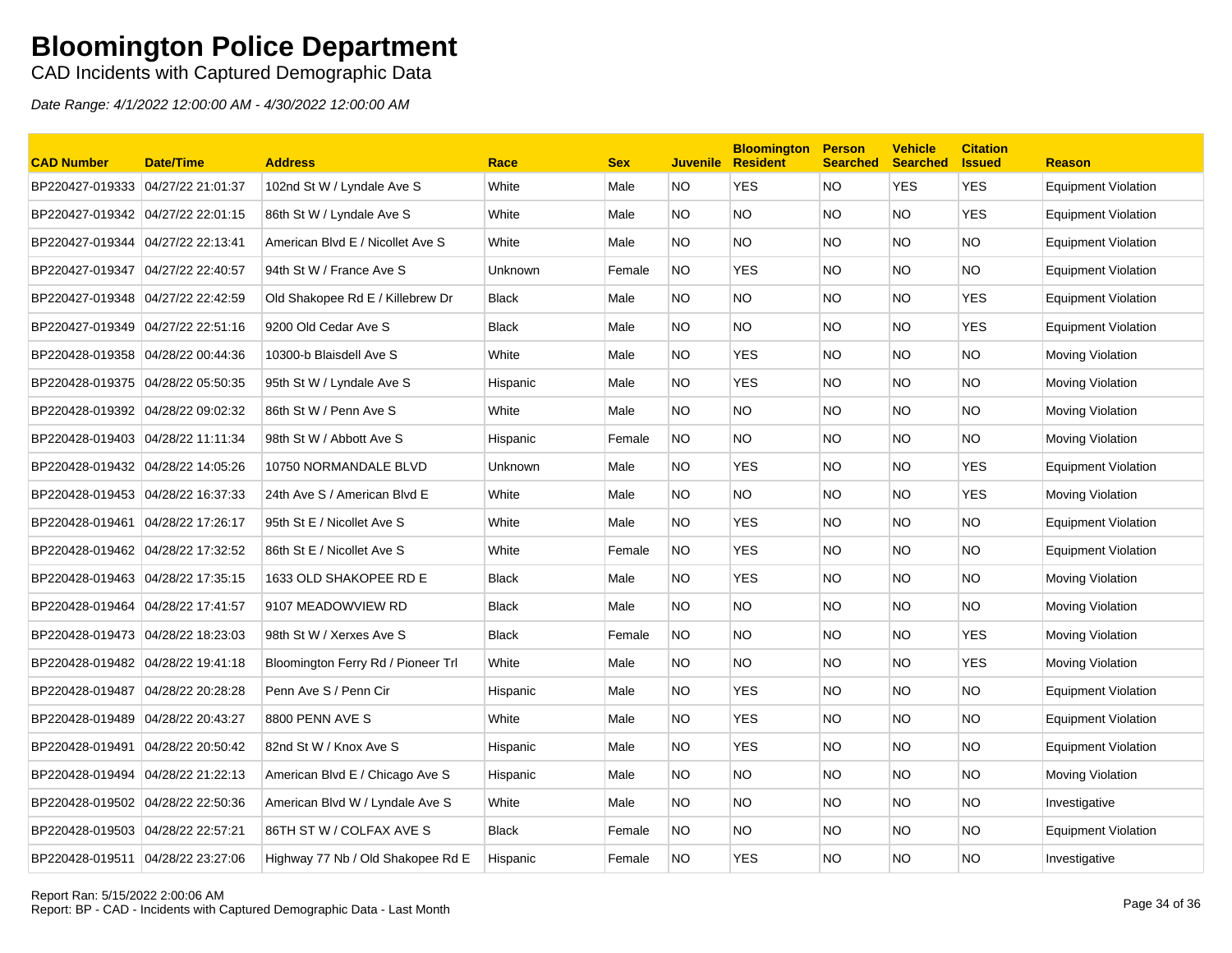CAD Incidents with Captured Demographic Data

| <b>CAD Number</b>                 | <b>Date/Time</b>  | <b>Address</b>                     | Race         | <b>Sex</b> | <b>Juvenile</b> | <b>Bloomington</b><br><b>Resident</b> | <b>Person</b><br><b>Searched</b> | <b>Vehicle</b><br><b>Searched</b> | <b>Citation</b><br><b>Issued</b> | <b>Reason</b>              |
|-----------------------------------|-------------------|------------------------------------|--------------|------------|-----------------|---------------------------------------|----------------------------------|-----------------------------------|----------------------------------|----------------------------|
| BP220427-019333 04/27/22 21:01:37 |                   | 102nd St W / Lyndale Ave S         | White        | Male       | <b>NO</b>       | <b>YES</b>                            | <b>NO</b>                        | <b>YES</b>                        | <b>YES</b>                       | <b>Equipment Violation</b> |
| BP220427-019342 04/27/22 22:01:15 |                   | 86th St W / Lyndale Ave S          | White        | Male       | NO.             | <b>NO</b>                             | <b>NO</b>                        | NO.                               | <b>YES</b>                       | <b>Equipment Violation</b> |
| BP220427-019344                   | 04/27/22 22:13:41 | American Blvd E / Nicollet Ave S   | White        | Male       | NO.             | <b>NO</b>                             | <b>NO</b>                        | NO.                               | <b>NO</b>                        | <b>Equipment Violation</b> |
| BP220427-019347                   | 04/27/22 22:40:57 | 94th St W / France Ave S           | Unknown      | Female     | NO.             | <b>YES</b>                            | <b>NO</b>                        | NO.                               | NO.                              | <b>Equipment Violation</b> |
| BP220427-019348                   | 04/27/22 22:42:59 | Old Shakopee Rd E / Killebrew Dr   | <b>Black</b> | Male       | NO.             | NO.                                   | <b>NO</b>                        | NO.                               | <b>YES</b>                       | Equipment Violation        |
|                                   |                   | 9200 Old Cedar Ave S               | Black        | Male       | NO.             | NO.                                   | <b>NO</b>                        | NO.                               | <b>YES</b>                       | Equipment Violation        |
| BP220428-019358 04/28/22 00:44:36 |                   | 10300-b Blaisdell Ave S            | White        | Male       | NO.             | <b>YES</b>                            | <b>NO</b>                        | NO.                               | <b>NO</b>                        | Moving Violation           |
| BP220428-019375 04/28/22 05:50:35 |                   | 95th St W / Lyndale Ave S          | Hispanic     | Male       | NO.             | <b>YES</b>                            | <b>NO</b>                        | NO.                               | <b>NO</b>                        | Moving Violation           |
| BP220428-019392 04/28/22 09:02:32 |                   | 86th St W / Penn Ave S             | White        | Male       | NO.             | <b>NO</b>                             | <b>NO</b>                        | NO.                               | <b>NO</b>                        | Moving Violation           |
| BP220428-019403                   | 04/28/22 11:11:34 | 98th St W / Abbott Ave S           | Hispanic     | Female     | <b>NO</b>       | <b>NO</b>                             | <b>NO</b>                        | <b>NO</b>                         | <b>NO</b>                        | Moving Violation           |
| BP220428-019432 04/28/22 14:05:26 |                   | 10750 NORMANDALE BLVD              | Unknown      | Male       | NO.             | <b>YES</b>                            | <b>NO</b>                        | NO.                               | <b>YES</b>                       | <b>Equipment Violation</b> |
| BP220428-019453 04/28/22 16:37:33 |                   | 24th Ave S / American Blvd E       | White        | Male       | NO.             | NO.                                   | <b>NO</b>                        | NO.                               | <b>YES</b>                       | Moving Violation           |
| BP220428-019461                   | 04/28/22 17:26:17 | 95th St E / Nicollet Ave S         | White        | Male       | NO.             | YES.                                  | <b>NO</b>                        | NO.                               | NO.                              | <b>Equipment Violation</b> |
| BP220428-019462                   | 04/28/22 17:32:52 | 86th St E / Nicollet Ave S         | White        | Female     | NO.             | <b>YES</b>                            | <b>NO</b>                        | NO.                               | <b>NO</b>                        | Equipment Violation        |
| BP220428-019463 04/28/22 17:35:15 |                   | 1633 OLD SHAKOPEE RD E             | <b>Black</b> | Male       | NO.             | YES                                   | <b>NO</b>                        | NO.                               | <b>NO</b>                        | Moving Violation           |
| BP220428-019464                   | 04/28/22 17:41:57 | 9107 MEADOWVIEW RD                 | <b>Black</b> | Male       | NO.             | <b>NO</b>                             | <b>NO</b>                        | NO.                               | <b>NO</b>                        | Moving Violation           |
| BP220428-019473                   | 04/28/22 18:23:03 | 98th St W / Xerxes Ave S           | <b>Black</b> | Female     | <b>NO</b>       | <b>NO</b>                             | <b>NO</b>                        | NO.                               | <b>YES</b>                       | Moving Violation           |
| BP220428-019482 04/28/22 19:41:18 |                   | Bloomington Ferry Rd / Pioneer Trl | White        | Male       | NO.             | <b>NO</b>                             | <b>NO</b>                        | NO.                               | <b>YES</b>                       | Moving Violation           |
| BP220428-019487                   | 04/28/22 20:28:28 | Penn Ave S / Penn Cir              | Hispanic     | Male       | NO.             | <b>YES</b>                            | <b>NO</b>                        | NO.                               | NO.                              | <b>Equipment Violation</b> |
| BP220428-019489                   | 04/28/22 20:43:27 | 8800 PENN AVE S                    | White        | Male       | NO.             | <b>YES</b>                            | NO.                              | NO.                               | <b>NO</b>                        | <b>Equipment Violation</b> |
| BP220428-019491                   | 04/28/22 20:50:42 | 82nd St W / Knox Ave S             | Hispanic     | Male       | NO.             | <b>YES</b>                            | <b>NO</b>                        | NO.                               | <b>NO</b>                        | Equipment Violation        |
| BP220428-019494                   | 04/28/22 21:22:13 | American Blvd E / Chicago Ave S    | Hispanic     | Male       | NO.             | <b>NO</b>                             | <b>NO</b>                        | NO.                               | <b>NO</b>                        | Moving Violation           |
| BP220428-019502 04/28/22 22:50:36 |                   | American Blvd W / Lyndale Ave S    | White        | Male       | NO.             | <b>NO</b>                             | <b>NO</b>                        | NO.                               | <b>NO</b>                        | Investigative              |
| BP220428-019503                   | 04/28/22 22:57:21 | 86TH ST W / COLFAX AVE S           | <b>Black</b> | Female     | NO.             | <b>NO</b>                             | <b>NO</b>                        | NO.                               | <b>NO</b>                        | <b>Equipment Violation</b> |
| BP220428-019511 04/28/22 23:27:06 |                   | Highway 77 Nb / Old Shakopee Rd E  | Hispanic     | Female     | <b>NO</b>       | <b>YES</b>                            | <b>NO</b>                        | NO.                               | <b>NO</b>                        | Investigative              |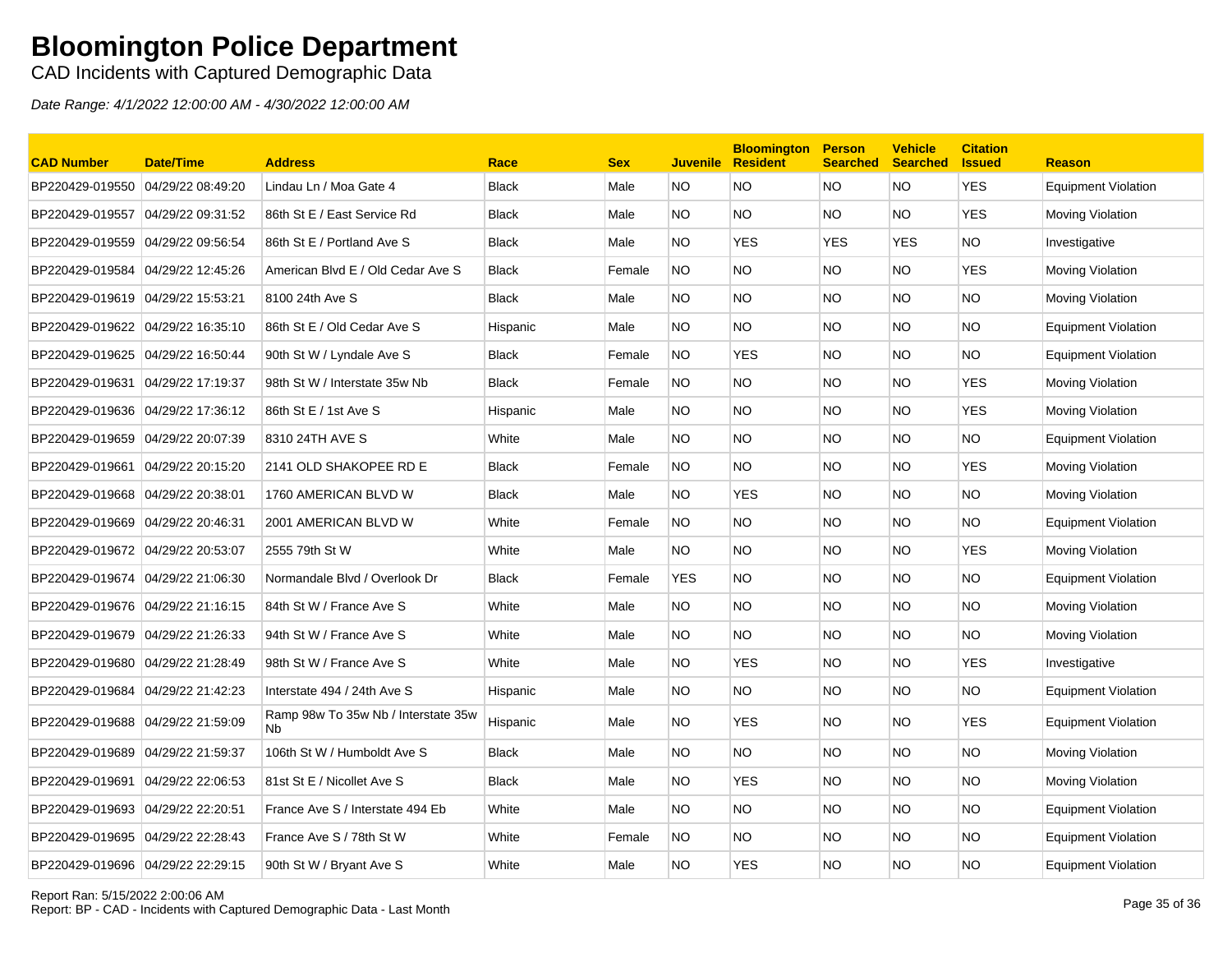CAD Incidents with Captured Demographic Data

| <b>CAD Number</b>                 | <b>Date/Time</b>  | <b>Address</b>                             | Race         | <b>Sex</b> | <b>Juvenile</b> | <b>Bloomington</b><br><b>Resident</b> | <b>Person</b><br><b>Searched</b> | <b>Vehicle</b><br><b>Searched</b> | <b>Citation</b><br><b>Issued</b> | <b>Reason</b>              |
|-----------------------------------|-------------------|--------------------------------------------|--------------|------------|-----------------|---------------------------------------|----------------------------------|-----------------------------------|----------------------------------|----------------------------|
| BP220429-019550                   | 04/29/22 08:49:20 | Lindau Ln / Moa Gate 4                     | <b>Black</b> | Male       | NO.             | <b>NO</b>                             | <b>NO</b>                        | NO.                               | <b>YES</b>                       | <b>Equipment Violation</b> |
| BP220429-019557                   | 04/29/22 09:31:52 | 86th St E / East Service Rd                | <b>Black</b> | Male       | NO.             | <b>NO</b>                             | <b>NO</b>                        | NO.                               | <b>YES</b>                       | Moving Violation           |
| BP220429-019559                   | 04/29/22 09:56:54 | 86th St E / Portland Ave S                 | <b>Black</b> | Male       | NO.             | <b>YES</b>                            | <b>YES</b>                       | <b>YES</b>                        | NO.                              | Investigative              |
| BP220429-019584                   | 04/29/22 12:45:26 | American Blvd E / Old Cedar Ave S          | <b>Black</b> | Female     | NO.             | NO.                                   | <b>NO</b>                        | NO.                               | <b>YES</b>                       | Moving Violation           |
| BP220429-019619                   | 04/29/22 15:53:21 | 8100 24th Ave S                            | <b>Black</b> | Male       | NO.             | <b>NO</b>                             | <b>NO</b>                        | NO.                               | <b>NO</b>                        | Moving Violation           |
| BP220429-019622 04/29/22 16:35:10 |                   | 86th St E / Old Cedar Ave S                | Hispanic     | Male       | NO.             | <b>NO</b>                             | <b>NO</b>                        | NO.                               | <b>NO</b>                        | <b>Equipment Violation</b> |
| BP220429-019625 04/29/22 16:50:44 |                   | 90th St W / Lyndale Ave S                  | <b>Black</b> | Female     | NO.             | <b>YES</b>                            | <b>NO</b>                        | NO.                               | <b>NO</b>                        | <b>Equipment Violation</b> |
| BP220429-019631                   | 04/29/22 17:19:37 | 98th St W / Interstate 35w Nb              | <b>Black</b> | Female     | NO.             | <b>NO</b>                             | <b>NO</b>                        | NO.                               | <b>YES</b>                       | Moving Violation           |
| BP220429-019636 04/29/22 17:36:12 |                   | 86th St E / 1st Ave S                      | Hispanic     | Male       | NO.             | <b>NO</b>                             | <b>NO</b>                        | NO.                               | <b>YES</b>                       | Moving Violation           |
| BP220429-019659 04/29/22 20:07:39 |                   | 8310 24TH AVE S                            | White        | Male       | NO.             | NO.                                   | <b>NO</b>                        | NO.                               | <b>NO</b>                        | <b>Equipment Violation</b> |
| BP220429-019661                   | 04/29/22 20:15:20 | 2141 OLD SHAKOPEE RD E                     | <b>Black</b> | Female     | NO.             | <b>NO</b>                             | <b>NO</b>                        | NO.                               | <b>YES</b>                       | Moving Violation           |
| BP220429-019668                   | 04/29/22 20:38:01 | 1760 AMERICAN BLVD W                       | <b>Black</b> | Male       | NO.             | <b>YES</b>                            | <b>NO</b>                        | NO.                               | <b>NO</b>                        | Moving Violation           |
|                                   |                   | 2001 AMERICAN BLVD W                       | White        | Female     | NO.             | <b>NO</b>                             | <b>NO</b>                        | NO.                               | NO.                              | <b>Equipment Violation</b> |
| BP220429-019672 04/29/22 20:53:07 |                   | 2555 79th St W                             | White        | Male       | NO.             | <b>NO</b>                             | <b>NO</b>                        | NO.                               | <b>YES</b>                       | Moving Violation           |
| BP220429-019674                   | 04/29/22 21:06:30 | Normandale Blvd / Overlook Dr              | <b>Black</b> | Female     | <b>YES</b>      | <b>NO</b>                             | <b>NO</b>                        | NO.                               | <b>NO</b>                        | <b>Equipment Violation</b> |
|                                   |                   | 84th St W / France Ave S                   | White        | Male       | NO.             | NO.                                   | <b>NO</b>                        | NO.                               | NO.                              | Moving Violation           |
| BP220429-019679                   | 04/29/22 21:26:33 | 94th St W / France Ave S                   | White        | Male       | NO.             | NO.                                   | <b>NO</b>                        | NO.                               | NO.                              | Moving Violation           |
| BP220429-019680 04/29/22 21:28:49 |                   | 98th St W / France Ave S                   | White        | Male       | NO.             | <b>YES</b>                            | <b>NO</b>                        | NO.                               | <b>YES</b>                       | Investigative              |
| BP220429-019684                   | 04/29/22 21:42:23 | Interstate 494 / 24th Ave S                | Hispanic     | Male       | NO.             | <b>NO</b>                             | <b>NO</b>                        | NO.                               | NO.                              | <b>Equipment Violation</b> |
| BP220429-019688 04/29/22 21:59:09 |                   | Ramp 98w To 35w Nb / Interstate 35w<br>Nb. | Hispanic     | Male       | NO.             | <b>YES</b>                            | <b>NO</b>                        | NO.                               | <b>YES</b>                       | <b>Equipment Violation</b> |
| BP220429-019689                   | 04/29/22 21:59:37 | 106th St W / Humboldt Ave S                | <b>Black</b> | Male       | NO.             | NO.                                   | <b>NO</b>                        | NO.                               | NO.                              | Moving Violation           |
| BP220429-019691                   | 04/29/22 22:06:53 | 81st St E / Nicollet Ave S                 | <b>Black</b> | Male       | NO.             | <b>YES</b>                            | <b>NO</b>                        | NO.                               | <b>NO</b>                        | Moving Violation           |
| BP220429-019693 04/29/22 22:20:51 |                   | France Ave S / Interstate 494 Eb           | White        | Male       | NO.             | <b>NO</b>                             | <b>NO</b>                        | NO.                               | <b>NO</b>                        | <b>Equipment Violation</b> |
| BP220429-019695                   | 04/29/22 22:28:43 | France Ave S / 78th St W                   | White        | Female     | <b>NO</b>       | <b>NO</b>                             | <b>NO</b>                        | NO.                               | <b>NO</b>                        | <b>Equipment Violation</b> |
| BP220429-019696 04/29/22 22:29:15 |                   | 90th St W / Bryant Ave S                   | White        | Male       | <b>NO</b>       | <b>YES</b>                            | <b>NO</b>                        | <b>NO</b>                         | <b>NO</b>                        | <b>Equipment Violation</b> |